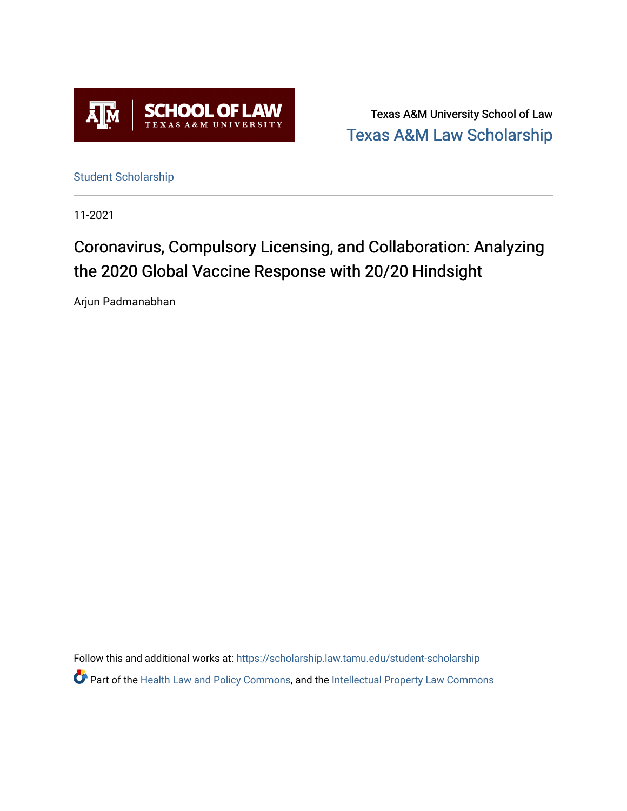

Texas A&M University School of Law [Texas A&M Law Scholarship](https://scholarship.law.tamu.edu/) 

[Student Scholarship](https://scholarship.law.tamu.edu/student-scholarship)

11-2021

# Coronavirus, Compulsory Licensing, and Collaboration: Analyzing the 2020 Global Vaccine Response with 20/20 Hindsight

Arjun Padmanabhan

Follow this and additional works at: [https://scholarship.law.tamu.edu/student-scholarship](https://scholarship.law.tamu.edu/student-scholarship?utm_source=scholarship.law.tamu.edu%2Fstudent-scholarship%2F26&utm_medium=PDF&utm_campaign=PDFCoverPages)  Part of the [Health Law and Policy Commons](https://network.bepress.com/hgg/discipline/901?utm_source=scholarship.law.tamu.edu%2Fstudent-scholarship%2F26&utm_medium=PDF&utm_campaign=PDFCoverPages), and the [Intellectual Property Law Commons](https://network.bepress.com/hgg/discipline/896?utm_source=scholarship.law.tamu.edu%2Fstudent-scholarship%2F26&utm_medium=PDF&utm_campaign=PDFCoverPages)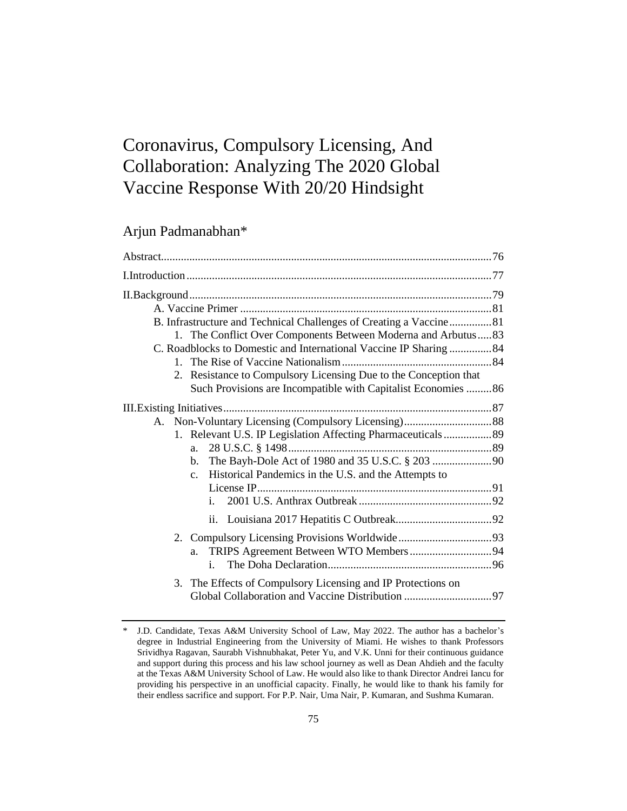# Coronavirus, Compulsory Licensing, And Collaboration: Analyzing The 2020 Global Vaccine Response With 20/20 Hindsight

Arjun Padmanabhan\*

| B. Infrastructure and Technical Challenges of Creating a Vaccine81<br>1. The Conflict Over Components Between Moderna and Arbutus83<br>C. Roadblocks to Domestic and International Vaccine IP Sharing 84<br>2. Resistance to Compulsory Licensing Due to the Conception that<br>Such Provisions are Incompatible with Capitalist Economies 86 |  |
|-----------------------------------------------------------------------------------------------------------------------------------------------------------------------------------------------------------------------------------------------------------------------------------------------------------------------------------------------|--|
| 1. Relevant U.S. IP Legislation Affecting Pharmaceuticals 89<br>a.<br>b.<br>Historical Pandemics in the U.S. and the Attempts to<br>$c_{\cdot}$<br>i.                                                                                                                                                                                         |  |
| a.<br>i.                                                                                                                                                                                                                                                                                                                                      |  |
| 3. The Effects of Compulsory Licensing and IP Protections on                                                                                                                                                                                                                                                                                  |  |

J.D. Candidate, Texas A&M University School of Law, May 2022. The author has a bachelor's degree in Industrial Engineering from the University of Miami. He wishes to thank Professors Srividhya Ragavan, Saurabh Vishnubhakat, Peter Yu, and V.K. Unni for their continuous guidance and support during this process and his law school journey as well as Dean Ahdieh and the faculty at the Texas A&M University School of Law. He would also like to thank Director Andrei Iancu for providing his perspective in an unofficial capacity. Finally, he would like to thank his family for their endless sacrifice and support. For P.P. Nair, Uma Nair, P. Kumaran, and Sushma Kumaran.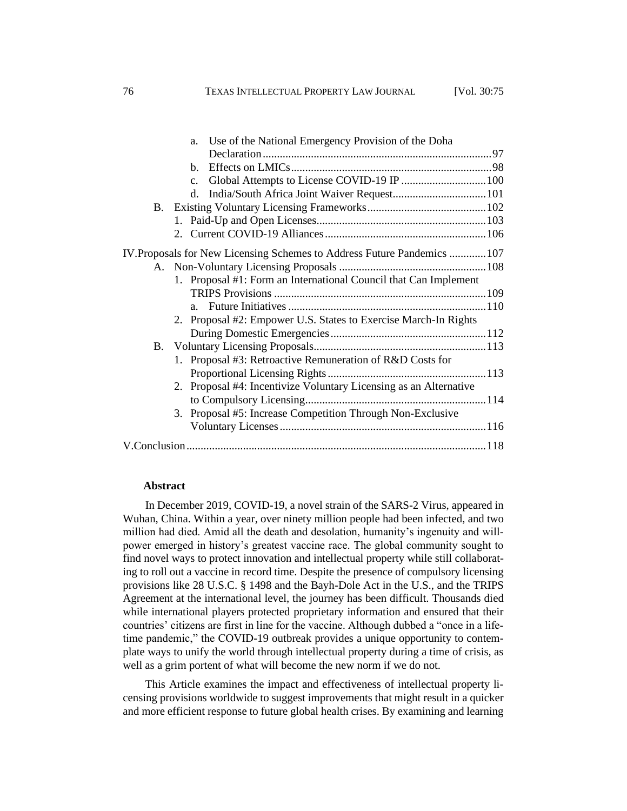| Use of the National Emergency Provision of the Doha<br>a.               |
|-------------------------------------------------------------------------|
|                                                                         |
| b.                                                                      |
| C <sub>1</sub>                                                          |
| d.                                                                      |
| <b>B.</b>                                                               |
|                                                                         |
|                                                                         |
| IV. Proposals for New Licensing Schemes to Address Future Pandemics 107 |
|                                                                         |
| 1. Proposal #1: Form an International Council that Can Implement        |
|                                                                         |
| $a_{-}$                                                                 |
| 2. Proposal #2: Empower U.S. States to Exercise March-In Rights         |
|                                                                         |
|                                                                         |
| 1. Proposal #3: Retroactive Remuneration of R&D Costs for               |
|                                                                         |
| 2. Proposal #4: Incentivize Voluntary Licensing as an Alternative       |
|                                                                         |
| 3. Proposal #5: Increase Competition Through Non-Exclusive              |
|                                                                         |
|                                                                         |
|                                                                         |

#### **Abstract**

In December 2019, COVID-19, a novel strain of the SARS-2 Virus, appeared in Wuhan, China. Within a year, over ninety million people had been infected, and two million had died. Amid all the death and desolation, humanity's ingenuity and willpower emerged in history's greatest vaccine race. The global community sought to find novel ways to protect innovation and intellectual property while still collaborating to roll out a vaccine in record time. Despite the presence of compulsory licensing provisions like 28 U.S.C. § 1498 and the Bayh-Dole Act in the U.S., and the TRIPS Agreement at the international level, the journey has been difficult. Thousands died while international players protected proprietary information and ensured that their countries' citizens are first in line for the vaccine. Although dubbed a "once in a lifetime pandemic," the COVID-19 outbreak provides a unique opportunity to contemplate ways to unify the world through intellectual property during a time of crisis, as well as a grim portent of what will become the new norm if we do not.

This Article examines the impact and effectiveness of intellectual property licensing provisions worldwide to suggest improvements that might result in a quicker and more efficient response to future global health crises. By examining and learning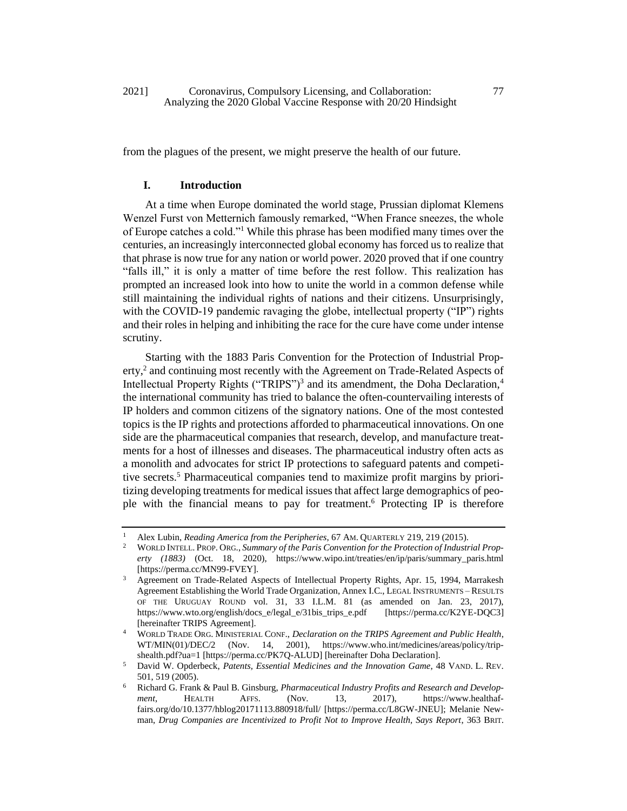from the plagues of the present, we might preserve the health of our future.

# **I. Introduction**

At a time when Europe dominated the world stage, Prussian diplomat Klemens Wenzel Furst von Metternich famously remarked, "When France sneezes, the whole of Europe catches a cold."<sup>1</sup> While this phrase has been modified many times over the centuries, an increasingly interconnected global economy has forced us to realize that that phrase is now true for any nation or world power. 2020 proved that if one country "falls ill," it is only a matter of time before the rest follow. This realization has prompted an increased look into how to unite the world in a common defense while still maintaining the individual rights of nations and their citizens. Unsurprisingly, with the COVID-19 pandemic ravaging the globe, intellectual property ("IP") rights and their roles in helping and inhibiting the race for the cure have come under intense scrutiny.

<span id="page-3-2"></span><span id="page-3-1"></span>Starting with the 1883 Paris Convention for the Protection of Industrial Property,<sup>2</sup> and continuing most recently with the Agreement on Trade-Related Aspects of Intellectual Property Rights ("TRIPS")<sup>3</sup> and its amendment, the Doha Declaration,<sup>4</sup> the international community has tried to balance the often-countervailing interests of IP holders and common citizens of the signatory nations. One of the most contested topics is the IP rights and protections afforded to pharmaceutical innovations. On one side are the pharmaceutical companies that research, develop, and manufacture treatments for a host of illnesses and diseases. The pharmaceutical industry often acts as a monolith and advocates for strict IP protections to safeguard patents and competitive secrets.<sup>5</sup> Pharmaceutical companies tend to maximize profit margins by prioritizing developing treatments for medical issues that affect large demographics of people with the financial means to pay for treatment.<sup>6</sup> Protecting IP is therefore

<span id="page-3-0"></span><sup>1</sup> Alex Lubin, *Reading America from the Peripheries*, 67 AM. QUARTERLY 219, 219 (2015).

<sup>2</sup> WORLD INTELL. PROP. ORG., *Summary of the Paris Convention for the Protection of Industrial Property (1883)* (Oct. 18, 2020), https://www.wipo.int/treaties/en/ip/paris/summary\_paris.html [https://perma.cc/MN99-FVEY].

<sup>&</sup>lt;sup>3</sup> Agreement on Trade-Related Aspects of Intellectual Property Rights, Apr. 15, 1994, Marrakesh Agreement Establishing the World Trade Organization, Annex I.C., LEGAL INSTRUMENTS – RESULTS OF THE URUGUAY ROUND vol. 31, 33 I.L.M. 81 (as amended on Jan. 23, 2017), https://www.wto.org/english/docs\_e/legal\_e/31bis\_trips\_e.pdf [https://perma.cc/K2YE-DQC3] [hereinafter TRIPS Agreement].

<sup>4</sup> WORLD TRADE ORG. MINISTERIAL CONF., *Declaration on the TRIPS Agreement and Public Health*, WT/MIN(01)/DEC/2 (Nov. 14, 2001), https://www.who.int/medicines/areas/policy/tripshealth.pdf?ua=1 [https://perma.cc/PK7Q-ALUD] [hereinafter Doha Declaration].

<sup>5</sup> David W. Opderbeck, *Patents, Essential Medicines and the Innovation Game*, 48 VAND. L. REV. 501, 519 (2005).

<sup>6</sup> Richard G. Frank & Paul B. Ginsburg, *Pharmaceutical Industry Profits and Research and Development*, HEALTH AFFS. (Nov. 13, 2017), https://www.healthaffairs.org/do/10.1377/hblog20171113.880918/full/ [https://perma.cc/L8GW-JNEU]; Melanie Newman, *Drug Companies are Incentivized to Profit Not to Improve Health, Says Report*, 363 BRIT.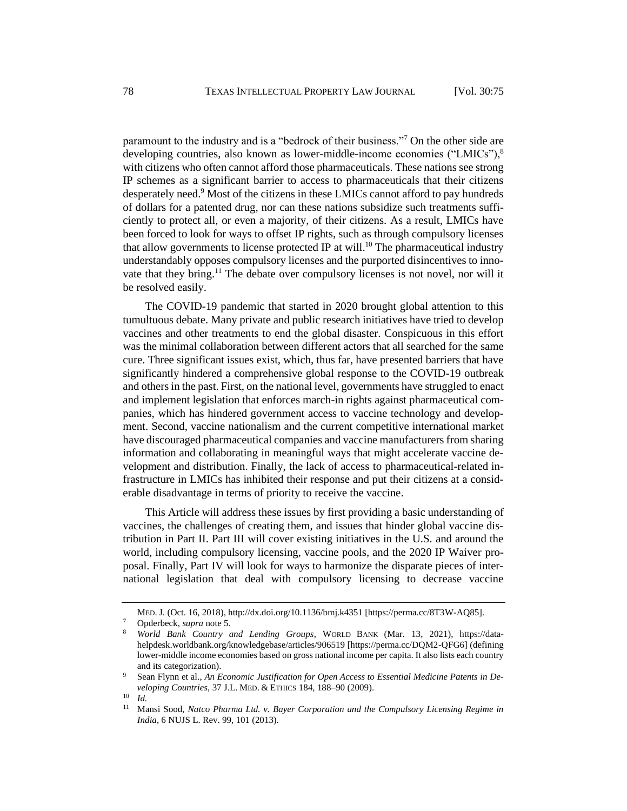paramount to the industry and is a "bedrock of their business."<sup>7</sup> On the other side are developing countries, also known as lower-middle-income economies ("LMICs"),<sup>8</sup> with citizens who often cannot afford those pharmaceuticals. These nations see strong IP schemes as a significant barrier to access to pharmaceuticals that their citizens desperately need.<sup>9</sup> Most of the citizens in these LMICs cannot afford to pay hundreds of dollars for a patented drug, nor can these nations subsidize such treatments sufficiently to protect all, or even a majority, of their citizens. As a result, LMICs have been forced to look for ways to offset IP rights, such as through compulsory licenses that allow governments to license protected IP at will.<sup>10</sup> The pharmaceutical industry understandably opposes compulsory licenses and the purported disincentives to innovate that they bring.<sup>11</sup> The debate over compulsory licenses is not novel, nor will it be resolved easily.

The COVID-19 pandemic that started in 2020 brought global attention to this tumultuous debate. Many private and public research initiatives have tried to develop vaccines and other treatments to end the global disaster. Conspicuous in this effort was the minimal collaboration between different actors that all searched for the same cure. Three significant issues exist, which, thus far, have presented barriers that have significantly hindered a comprehensive global response to the COVID-19 outbreak and others in the past. First, on the national level, governments have struggled to enact and implement legislation that enforces march-in rights against pharmaceutical companies, which has hindered government access to vaccine technology and development. Second, vaccine nationalism and the current competitive international market have discouraged pharmaceutical companies and vaccine manufacturers from sharing information and collaborating in meaningful ways that might accelerate vaccine development and distribution. Finally, the lack of access to pharmaceutical-related infrastructure in LMICs has inhibited their response and put their citizens at a considerable disadvantage in terms of priority to receive the vaccine.

This Article will address these issues by first providing a basic understanding of vaccines, the challenges of creating them, and issues that hinder global vaccine distribution in Part II. Part III will cover existing initiatives in the U.S. and around the world, including compulsory licensing, vaccine pools, and the 2020 IP Waiver proposal. Finally, Part IV will look for ways to harmonize the disparate pieces of international legislation that deal with compulsory licensing to decrease vaccine

MED. J. (Oct. 16, 2018), http://dx.doi.org/10.1136/bmj.k4351 [https://perma.cc/8T3W-AQ85].

<sup>7</sup> Opderbeck, *supra* not[e 5.](#page-3-0)

<sup>8</sup> *World Bank Country and Lending Groups*, WORLD BANK (Mar. 13, 2021), https://datahelpdesk.worldbank.org/knowledgebase/articles/906519 [https://perma.cc/DQM2-QFG6] (defining lower-middle income economies based on gross national income per capita. It also lists each country and its categorization).

<sup>9</sup> Sean Flynn et al., *An Economic Justification for Open Access to Essential Medicine Patents in Developing Countries*, 37 J.L. MED. & ETHICS 184, 188–90 (2009).

 $\frac{10}{11}$  *Id.* 

<sup>11</sup> Mansi Sood, *Natco Pharma Ltd. v. Bayer Corporation and the Compulsory Licensing Regime in India*, 6 NUJS L. Rev. 99, 101 (2013).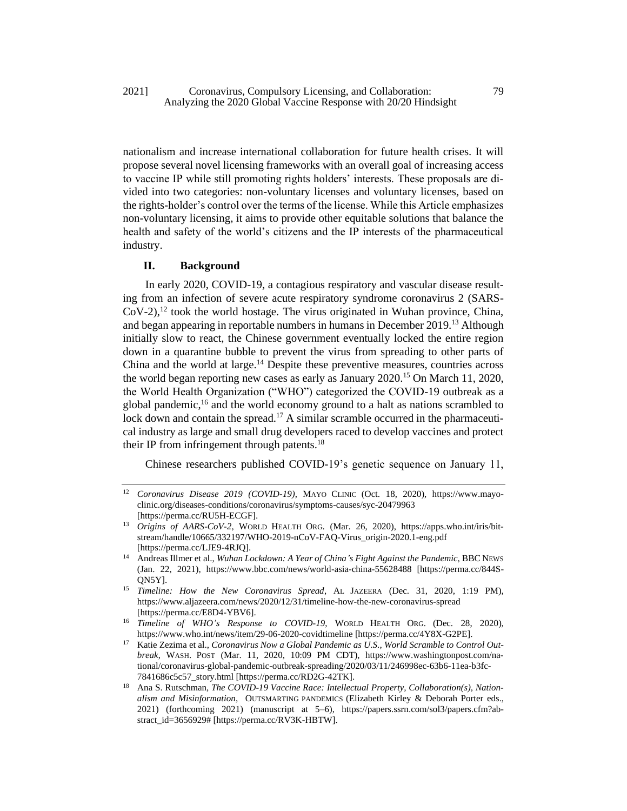2021] Coronavirus, Compulsory Licensing, and Collaboration: 79 Analyzing the 2020 Global Vaccine Response with 20/20 Hindsight

nationalism and increase international collaboration for future health crises. It will propose several novel licensing frameworks with an overall goal of increasing access to vaccine IP while still promoting rights holders' interests. These proposals are divided into two categories: non-voluntary licenses and voluntary licenses, based on the rights-holder's control over the terms of the license. While this Article emphasizes non-voluntary licensing, it aims to provide other equitable solutions that balance the health and safety of the world's citizens and the IP interests of the pharmaceutical industry.

# **II. Background**

In early 2020, COVID-19, a contagious respiratory and vascular disease resulting from an infection of severe acute respiratory syndrome coronavirus 2 (SARS- $CoV-2$ ),  $^{12}$  took the world hostage. The virus originated in Wuhan province, China, and began appearing in reportable numbers in humans in December 2019.<sup>13</sup> Although initially slow to react, the Chinese government eventually locked the entire region down in a quarantine bubble to prevent the virus from spreading to other parts of China and the world at large.<sup>14</sup> Despite these preventive measures, countries across the world began reporting new cases as early as January 2020.<sup>15</sup> On March 11, 2020, the World Health Organization ("WHO") categorized the COVID-19 outbreak as a global pandemic,<sup>16</sup> and the world economy ground to a halt as nations scrambled to lock down and contain the spread.<sup>17</sup> A similar scramble occurred in the pharmaceutical industry as large and small drug developers raced to develop vaccines and protect their IP from infringement through patents.<sup>18</sup>

Chinese researchers published COVID-19's genetic sequence on January 11,

<sup>12</sup> *Coronavirus Disease 2019 (COVID-19)*, MAYO CLINIC (Oct. 18, 2020), https://www.mayoclinic.org/diseases-conditions/coronavirus/symptoms-causes/syc-20479963 [https://perma.cc/RU5H-ECGF].

<sup>13</sup> *Origins of AARS-CoV-2*, WORLD HEALTH ORG. (Mar. 26, 2020), https://apps.who.int/iris/bitstream/handle/10665/332197/WHO-2019-nCoV-FAQ-Virus\_origin-2020.1-eng.pdf [https://perma.cc/LJE9-4RJQ].

<sup>&</sup>lt;sup>14</sup> Andreas Illmer et al., *Wuhan Lockdown: A Year of China's Fight Against the Pandemic*, BBC NEWS (Jan. 22, 2021), https://www.bbc.com/news/world-asia-china-55628488 [https://perma.cc/844S-QN5Y].

<sup>15</sup> *Timeline: How the New Coronavirus Spread*, AL JAZEERA (Dec. 31, 2020, 1:19 PM), https://www.aljazeera.com/news/2020/12/31/timeline-how-the-new-coronavirus-spread [https://perma.cc/E8D4-YBV6].

<sup>&</sup>lt;sup>16</sup> *Timeline of WHO's Response to COVID-19*, WORLD HEALTH ORG. (Dec. 28, 2020), https://www.who.int/news/item/29-06-2020-covidtimeline [https://perma.cc/4Y8X-G2PE].

<sup>17</sup> Katie Zezima et al., *Coronavirus Now a Global Pandemic as U.S., World Scramble to Control Outbreak*, WASH. POST (Mar. 11, 2020, 10:09 PM CDT), https://www.washingtonpost.com/national/coronavirus-global-pandemic-outbreak-spreading/2020/03/11/246998ec-63b6-11ea-b3fc-7841686c5c57\_story.html [https://perma.cc/RD2G-42TK].

<sup>18</sup> Ana S. Rutschman, *The COVID-19 Vaccine Race: Intellectual Property, Collaboration(s), Nationalism and Misinformation*, OUTSMARTING PANDEMICS (Elizabeth Kirley & Deborah Porter eds., 2021) (forthcoming 2021) (manuscript at 5–6), https://papers.ssrn.com/sol3/papers.cfm?abstract\_id=3656929# [https://perma.cc/RV3K-HBTW].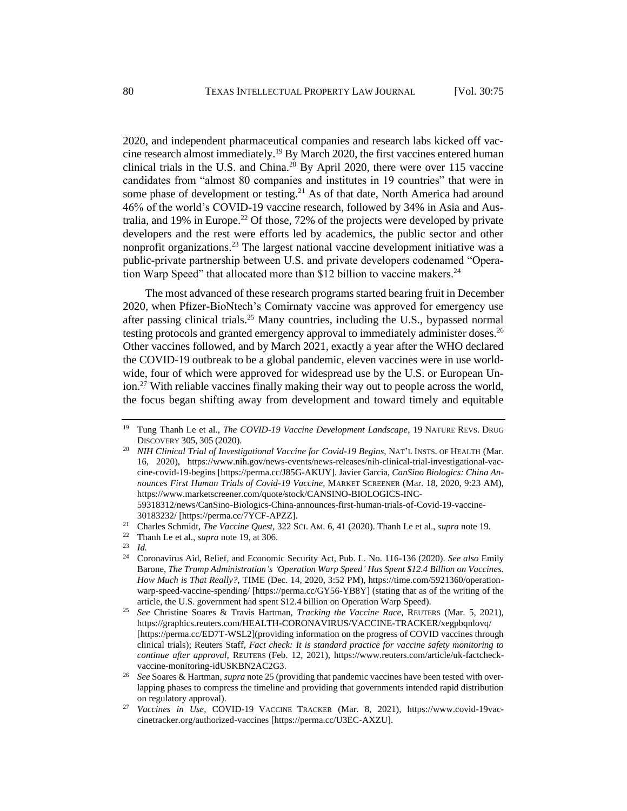<span id="page-6-0"></span>2020, and independent pharmaceutical companies and research labs kicked off vaccine research almost immediately.<sup>19</sup> By March 2020, the first vaccines entered human clinical trials in the U.S. and China.<sup>20</sup> By April 2020, there were over 115 vaccine candidates from "almost 80 companies and institutes in 19 countries" that were in some phase of development or testing.<sup>21</sup> As of that date, North America had around 46% of the world's COVID-19 vaccine research, followed by 34% in Asia and Australia, and 19% in Europe.<sup>22</sup> Of those, 72% of the projects were developed by private developers and the rest were efforts led by academics, the public sector and other nonprofit organizations.<sup>23</sup> The largest national vaccine development initiative was a public-private partnership between U.S. and private developers codenamed "Operation Warp Speed" that allocated more than \$12 billion to vaccine makers.<sup>24</sup>

The most advanced of these research programs started bearing fruit in December 2020, when Pfizer-BioNtech's Comirnaty vaccine was approved for emergency use after passing clinical trials.<sup>25</sup> Many countries, including the U.S., bypassed normal testing protocols and granted emergency approval to immediately administer doses.<sup>26</sup> Other vaccines followed, and by March 2021, exactly a year after the WHO declared the COVID-19 outbreak to be a global pandemic, eleven vaccines were in use worldwide, four of which were approved for widespread use by the U.S. or European Union.<sup>27</sup> With reliable vaccines finally making their way out to people across the world, the focus began shifting away from development and toward timely and equitable

<sup>20</sup> *NIH Clinical Trial of Investigational Vaccine for Covid-19 Begins*, NAT'L INSTS. OF HEALTH (Mar. 16, 2020), https://www.nih.gov/news-events/news-releases/nih-clinical-trial-investigational-vaccine-covid-19-begins [https://perma.cc/J85G-AKUY]. Javier Garcia, *CanSino Biologics: China Announces First Human Trials of Covid-19 Vaccine*, MARKET SCREENER (Mar. 18, 2020, 9:23 AM), https://www.marketscreener.com/quote/stock/CANSINO-BIOLOGICS-INC-59318312/news/CanSino-Biologics-China-announces-first-human-trials-of-Covid-19-vaccine-

<sup>22</sup> Thanh Le et al., *supra* not[e 19,](#page-6-0) at 306.

<sup>19</sup> Tung Thanh Le et al., *The COVID-19 Vaccine Development Landscape*, 19 NATURE REVS. DRUG DISCOVERY 305, 305 (2020).

<sup>30183232/ [</sup>https://perma.cc/7YCF-APZZ].

<sup>21</sup> Charles Schmidt, *The Vaccine Quest*, 322 SCI. AM. 6, 41 (2020). Thanh Le et al., *supra* not[e 19.](#page-6-0)

 $\frac{23}{24}$  *Id.* 

<sup>24</sup> Coronavirus Aid, Relief, and Economic Security Act, Pub. L. No. 116-136 (2020). *See also* Emily Barone, *The Trump Administration's 'Operation Warp Speed' Has Spent \$12.4 Billion on Vaccines. How Much is That Really?*, TIME (Dec. 14, 2020, 3:52 PM), https://time.com/5921360/operationwarp-speed-vaccine-spending/ [https://perma.cc/GY56-YB8Y] (stating that as of the writing of the article, the U.S. government had spent \$12.4 billion on Operation Warp Speed).

<sup>25</sup> *See* Christine Soares & Travis Hartman, *Tracking the Vaccine Race*, REUTERS (Mar. 5, 2021), https://graphics.reuters.com/HEALTH-CORONAVIRUS/VACCINE-TRACKER/xegpbqnlovq/ [https://perma.cc/ED7T-WSL2](providing information on the progress of COVID vaccines through clinical trials); Reuters Staff, *Fact check: It is standard practice for vaccine safety monitoring to continue after approval,* REUTERS (Feb. 12, 2021), https://www.reuters.com/article/uk-factcheckvaccine-monitoring-idUSKBN2AC2G3.

<sup>26</sup> *See* Soares & Hartman, *supra* note 25 (providing that pandemic vaccines have been tested with overlapping phases to compress the timeline and providing that governments intended rapid distribution on regulatory approval)*.* 

<sup>27</sup> *Vaccines in Use*, COVID-19 VACCINE TRACKER (Mar. 8, 2021), https://www.covid-19vaccinetracker.org/authorized-vaccines [https://perma.cc/U3EC-AXZU].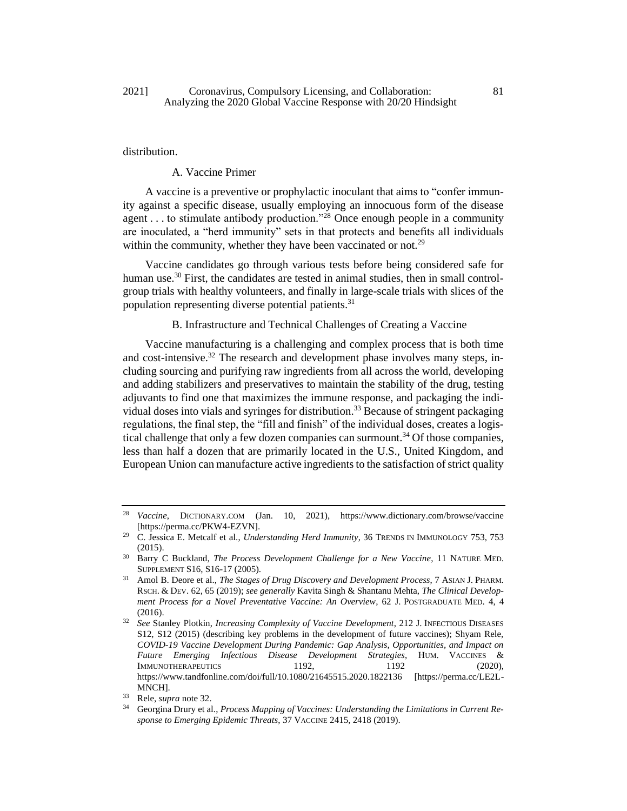## 2021] Coronavirus, Compulsory Licensing, and Collaboration: 81 Analyzing the 2020 Global Vaccine Response with 20/20 Hindsight

## distribution.

#### A. Vaccine Primer

A vaccine is a preventive or prophylactic inoculant that aims to "confer immunity against a specific disease, usually employing an innocuous form of the disease agent . . . to stimulate antibody production."<sup>28</sup> Once enough people in a community are inoculated, a "herd immunity" sets in that protects and benefits all individuals within the community, whether they have been vaccinated or not.<sup>29</sup>

Vaccine candidates go through various tests before being considered safe for human use.<sup>30</sup> First, the candidates are tested in animal studies, then in small controlgroup trials with healthy volunteers, and finally in large-scale trials with slices of the population representing diverse potential patients.<sup>31</sup>

## <span id="page-7-0"></span>B. Infrastructure and Technical Challenges of Creating a Vaccine

Vaccine manufacturing is a challenging and complex process that is both time and cost-intensive.<sup>32</sup> The research and development phase involves many steps, including sourcing and purifying raw ingredients from all across the world, developing and adding stabilizers and preservatives to maintain the stability of the drug, testing adjuvants to find one that maximizes the immune response, and packaging the individual doses into vials and syringes for distribution.<sup>33</sup> Because of stringent packaging regulations, the final step, the "fill and finish" of the individual doses, creates a logistical challenge that only a few dozen companies can surmount.<sup>34</sup> Of those companies, less than half a dozen that are primarily located in the U.S., United Kingdom, and European Union can manufacture active ingredients to the satisfaction of strict quality

<sup>28</sup> *Vaccine*, DICTIONARY.COM (Jan. 10, 2021), https://www.dictionary.com/browse/vaccine [https://perma.cc/PKW4-EZVN].

<sup>29</sup> C. Jessica E. Metcalf et al., *Understanding Herd Immunity*, 36 TRENDS IN IMMUNOLOGY 753, 753 (2015).

<sup>30</sup> Barry C Buckland, *The Process Development Challenge for a New Vaccine*, 11 NATURE MED. SUPPLEMENT S16, S16-17 (2005).

<sup>31</sup> Amol B. Deore et al., *The Stages of Drug Discovery and Development Process*, 7 ASIAN J. PHARM. RSCH. & DEV. 62, 65 (2019); *see generally* Kavita Singh & Shantanu Mehta, *The Clinical Development Process for a Novel Preventative Vaccine: An Overview*, 62 J. POSTGRADUATE MED. 4, 4 (2016).

<sup>32</sup> *See* Stanley Plotkin, *Increasing Complexity of Vaccine Development*, 212 J. INFECTIOUS DISEASES S12, S12 (2015) (describing key problems in the development of future vaccines); Shyam Rele, *COVID-19 Vaccine Development During Pandemic: Gap Analysis, Opportunities, and Impact on Future Emerging Infectious Disease Development Strategies*, HUM. VACCINES & IMMUNOTHERAPEUTICS 1192, 1192 (2020), https://www.tandfonline.com/doi/full/10.1080/21645515.2020.1822136 [https://perma.cc/LE2L-MNCH].

<sup>33</sup> Rele, *supra* note 32.

Georgina Drury et al., *Process Mapping of Vaccines: Understanding the Limitations in Current Response to Emerging Epidemic Threats*, 37 VACCINE 2415, 2418 (2019).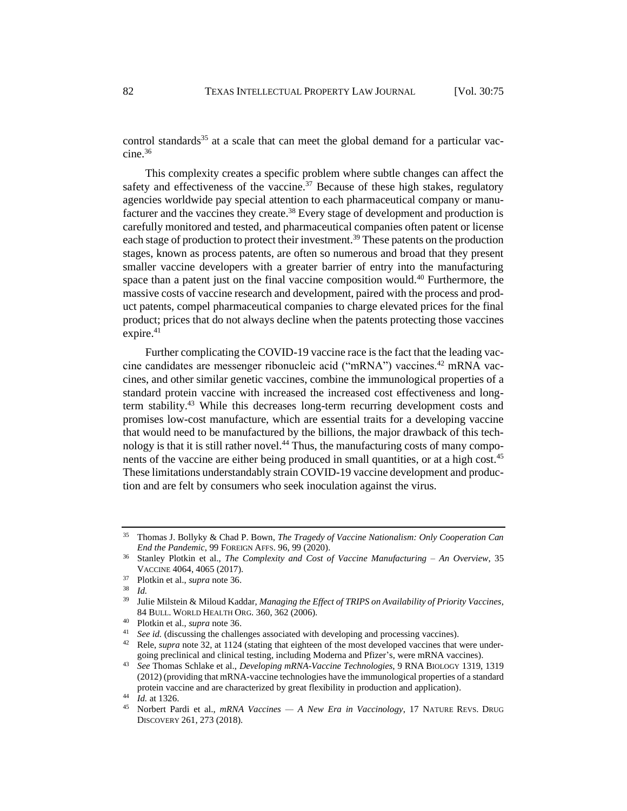<span id="page-8-1"></span><span id="page-8-0"></span>control standards<sup>35</sup> at a scale that can meet the global demand for a particular vac $cine.<sup>36</sup>$ 

This complexity creates a specific problem where subtle changes can affect the safety and effectiveness of the vaccine.<sup>37</sup> Because of these high stakes, regulatory agencies worldwide pay special attention to each pharmaceutical company or manufacturer and the vaccines they create.<sup>38</sup> Every stage of development and production is carefully monitored and tested, and pharmaceutical companies often patent or license each stage of production to protect their investment.<sup>39</sup> These patents on the production stages, known as process patents, are often so numerous and broad that they present smaller vaccine developers with a greater barrier of entry into the manufacturing space than a patent just on the final vaccine composition would.<sup>40</sup> Furthermore, the massive costs of vaccine research and development, paired with the process and product patents, compel pharmaceutical companies to charge elevated prices for the final product; prices that do not always decline when the patents protecting those vaccines expire.<sup>41</sup>

Further complicating the COVID-19 vaccine race is the fact that the leading vaccine candidates are messenger ribonucleic acid ("mRNA") vaccines.<sup>42</sup> mRNA vaccines, and other similar genetic vaccines, combine the immunological properties of a standard protein vaccine with increased the increased cost effectiveness and longterm stability.<sup>43</sup> While this decreases long-term recurring development costs and promises low-cost manufacture, which are essential traits for a developing vaccine that would need to be manufactured by the billions, the major drawback of this technology is that it is still rather novel.<sup>44</sup> Thus, the manufacturing costs of many components of the vaccine are either being produced in small quantities, or at a high cost.<sup>45</sup> These limitations understandably strain COVID-19 vaccine development and production and are felt by consumers who seek inoculation against the virus.

<sup>35</sup> Thomas J. Bollyky & Chad P. Bown, *The Tragedy of Vaccine Nationalism: Only Cooperation Can End the Pandemic*, 99 FOREIGN AFFS. 96, 99 (2020).

<sup>36</sup> Stanley Plotkin et al., *The Complexity and Cost of Vaccine Manufacturing – An Overview*, 35 VACCINE 4064, 4065 (2017).

<sup>37</sup> Plotkin et al., *supra* not[e 36.](#page-8-0)

<sup>38</sup> *Id.*

<sup>39</sup> Julie Milstein & Miloud Kaddar, *Managing the Effect of TRIPS on Availability of Priority Vaccines*, 84 BULL. WORLD HEALTH ORG. 360, 362 (2006).

<sup>40</sup> Plotkin et al., *supra* not[e 36.](#page-8-0)

<sup>41</sup> *See id.* (discussing the challenges associated with developing and processing vaccines)*.* 

<sup>42</sup> Rele, *supra* note 32, at 1124 (stating that eighteen of the most developed vaccines that were undergoing preclinical and clinical testing, including Moderna and Pfizer's, were mRNA vaccines).

<sup>43</sup> *See* Thomas Schlake et al., *Developing mRNA-Vaccine Technologies*, 9 RNA BIOLOGY 1319, 1319 (2012) (providing that mRNA-vaccine technologies have the immunological properties of a standard protein vaccine and are characterized by great flexibility in production and application).

<sup>&</sup>lt;sup>44</sup> *Id.* at 1326.

<sup>45</sup> Norbert Pardi et al., *mRNA Vaccines — A New Era in Vaccinology*, 17 NATURE REVS. DRUG DISCOVERY 261, 273 (2018).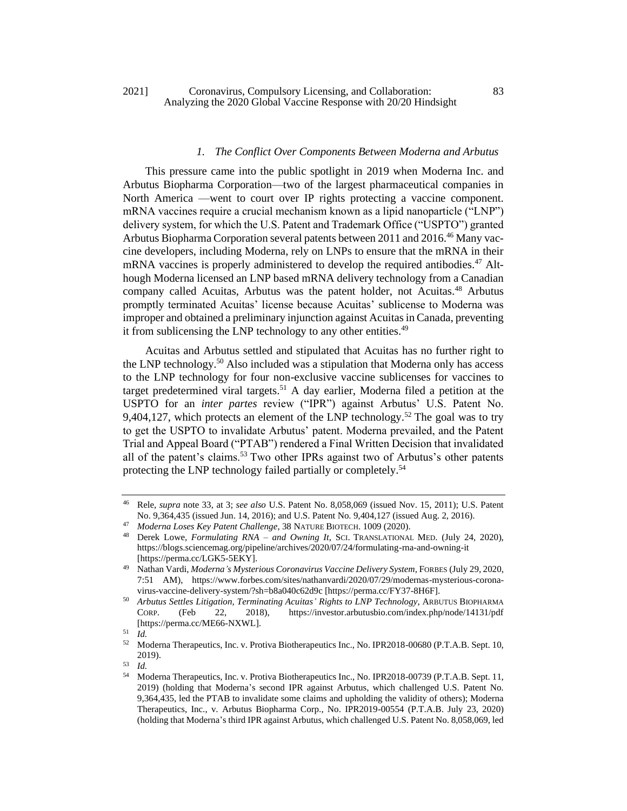# *1. The Conflict Over Components Between Moderna and Arbutus*

This pressure came into the public spotlight in 2019 when Moderna Inc. and Arbutus Biopharma Corporation—two of the largest pharmaceutical companies in North America —went to court over IP rights protecting a vaccine component. mRNA vaccines require a crucial mechanism known as a lipid nanoparticle ("LNP") delivery system, for which the U.S. Patent and Trademark Office ("USPTO") granted Arbutus Biopharma Corporation several patents between 2011 and 2016.<sup>46</sup> Many vaccine developers, including Moderna, rely on LNPs to ensure that the mRNA in their mRNA vaccines is properly administered to develop the required antibodies.<sup>47</sup> Although Moderna licensed an LNP based mRNA delivery technology from a Canadian company called Acuitas, Arbutus was the patent holder, not Acuitas.<sup>48</sup> Arbutus promptly terminated Acuitas' license because Acuitas' sublicense to Moderna was improper and obtained a preliminary injunction against Acuitas in Canada, preventing it from sublicensing the LNP technology to any other entities.<sup>49</sup>

Acuitas and Arbutus settled and stipulated that Acuitas has no further right to the LNP technology.<sup>50</sup> Also included was a stipulation that Moderna only has access to the LNP technology for four non-exclusive vaccine sublicenses for vaccines to target predetermined viral targets.<sup>51</sup> A day earlier, Moderna filed a petition at the USPTO for an *inter partes* review ("IPR") against Arbutus' U.S. Patent No. 9,404,127, which protects an element of the LNP technology.<sup>52</sup> The goal was to try to get the USPTO to invalidate Arbutus' patent. Moderna prevailed, and the Patent Trial and Appeal Board ("PTAB") rendered a Final Written Decision that invalidated all of the patent's claims.<sup>53</sup> Two other IPRs against two of Arbutus's other patents protecting the LNP technology failed partially or completely.<sup>54</sup>

<sup>46</sup> Rele, *supra* note [33,](#page-7-0) at 3; *see also* U.S. Patent No. 8,058,069 (issued Nov. 15, 2011); U.S. Patent No. 9,364,435 (issued Jun. 14, 2016); and U.S. Patent No. 9,404,127 (issued Aug. 2, 2016).

<sup>47</sup> *Moderna Loses Key Patent Challenge*, 38 NATURE BIOTECH. 1009 (2020).

<sup>48</sup> Derek Lowe, *Formulating RNA – and Owning It*, SCI. TRANSLATIONAL MED. (July 24, 2020), https://blogs.sciencemag.org/pipeline/archives/2020/07/24/formulating-rna-and-owning-it [https://perma.cc/LGK5-5EKY].

<sup>49</sup> Nathan Vardi, *Moderna's Mysterious Coronavirus Vaccine Delivery System*, FORBES (July 29, 2020, 7:51 AM), https://www.forbes.com/sites/nathanvardi/2020/07/29/modernas-mysterious-coronavirus-vaccine-delivery-system/?sh=b8a040c62d9c [https://perma.cc/FY37-8H6F].

<sup>50</sup> *Arbutus Settles Litigation, Terminating Acuitas' Rights to LNP Technology*, ARBUTUS BIOPHARMA CORP. (Feb 22, 2018), https://investor.arbutusbio.com/index.php/node/14131/pdf [https://perma.cc/ME66-NXWL].

 $\frac{51}{52}$  *Id.* 

<sup>52</sup> Moderna Therapeutics, Inc. v. Protiva Biotherapeutics Inc., No. IPR2018-00680 (P.T.A.B. Sept. 10, 2019).

 $\frac{53}{54}$  *Id.* 

<sup>54</sup> Moderna Therapeutics, Inc. v. Protiva Biotherapeutics Inc., No. IPR2018-00739 (P.T.A.B. Sept. 11, 2019) (holding that Moderna's second IPR against Arbutus, which challenged U.S. Patent No. 9,364,435, led the PTAB to invalidate some claims and upholding the validity of others); Moderna Therapeutics, Inc., v. Arbutus Biopharma Corp., No. IPR2019-00554 (P.T.A.B. July 23, 2020) (holding that Moderna's third IPR against Arbutus, which challenged U.S. Patent No. 8,058,069, led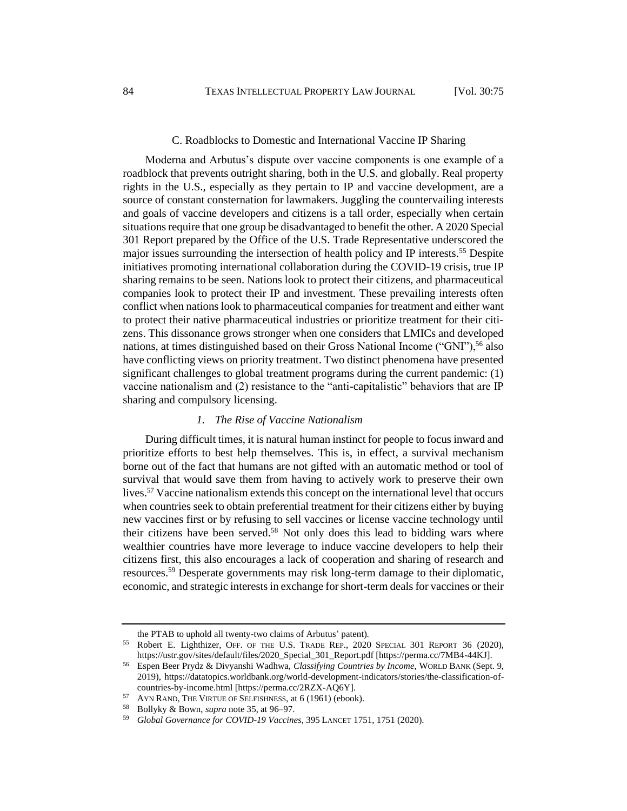## <span id="page-10-0"></span>C. Roadblocks to Domestic and International Vaccine IP Sharing

Moderna and Arbutus's dispute over vaccine components is one example of a roadblock that prevents outright sharing, both in the U.S. and globally. Real property rights in the U.S., especially as they pertain to IP and vaccine development, are a source of constant consternation for lawmakers. Juggling the countervailing interests and goals of vaccine developers and citizens is a tall order, especially when certain situations require that one group be disadvantaged to benefit the other. A 2020 Special 301 Report prepared by the Office of the U.S. Trade Representative underscored the major issues surrounding the intersection of health policy and IP interests.<sup>55</sup> Despite initiatives promoting international collaboration during the COVID-19 crisis, true IP sharing remains to be seen. Nations look to protect their citizens, and pharmaceutical companies look to protect their IP and investment. These prevailing interests often conflict when nations look to pharmaceutical companies for treatment and either want to protect their native pharmaceutical industries or prioritize treatment for their citizens. This dissonance grows stronger when one considers that LMICs and developed nations, at times distinguished based on their Gross National Income ("GNI"),<sup>56</sup> also have conflicting views on priority treatment. Two distinct phenomena have presented significant challenges to global treatment programs during the current pandemic: (1) vaccine nationalism and (2) resistance to the "anti-capitalistic" behaviors that are IP sharing and compulsory licensing.

## *1. The Rise of Vaccine Nationalism*

During difficult times, it is natural human instinct for people to focus inward and prioritize efforts to best help themselves. This is, in effect, a survival mechanism borne out of the fact that humans are not gifted with an automatic method or tool of survival that would save them from having to actively work to preserve their own lives.<sup>57</sup> Vaccine nationalism extends this concept on the international level that occurs when countries seek to obtain preferential treatment for their citizens either by buying new vaccines first or by refusing to sell vaccines or license vaccine technology until their citizens have been served.<sup>58</sup> Not only does this lead to bidding wars where wealthier countries have more leverage to induce vaccine developers to help their citizens first, this also encourages a lack of cooperation and sharing of research and resources.<sup>59</sup> Desperate governments may risk long-term damage to their diplomatic, economic, and strategic interests in exchange for short-term deals for vaccines or their

the PTAB to uphold all twenty-two claims of Arbutus' patent).

<sup>&</sup>lt;sup>55</sup> Robert E. Lighthizer, OFF. OF THE U.S. TRADE REP., 2020 SPECIAL 301 REPORT 36 (2020), https://ustr.gov/sites/default/files/2020\_Special\_301\_Report.pdf [https://perma.cc/7MB4-44KJ].

<sup>56</sup> Espen Beer Prydz & Divyanshi Wadhwa, *Classifying Countries by Income*, WORLD BANK (Sept. 9, 2019), https://datatopics.worldbank.org/world-development-indicators/stories/the-classification-ofcountries-by-income.html [https://perma.cc/2RZX-AQ6Y].

<sup>&</sup>lt;sup>57</sup> AYN RAND, THE VIRTUE OF SELFISHNESS, at 6 (1961) (ebook).

<sup>58</sup> Bollyky & Bown, *supra* note [35,](#page-8-1) at 96–97.

<sup>59</sup> *Global Governance for COVID-19 Vaccines*, 395 LANCET 1751, 1751 (2020).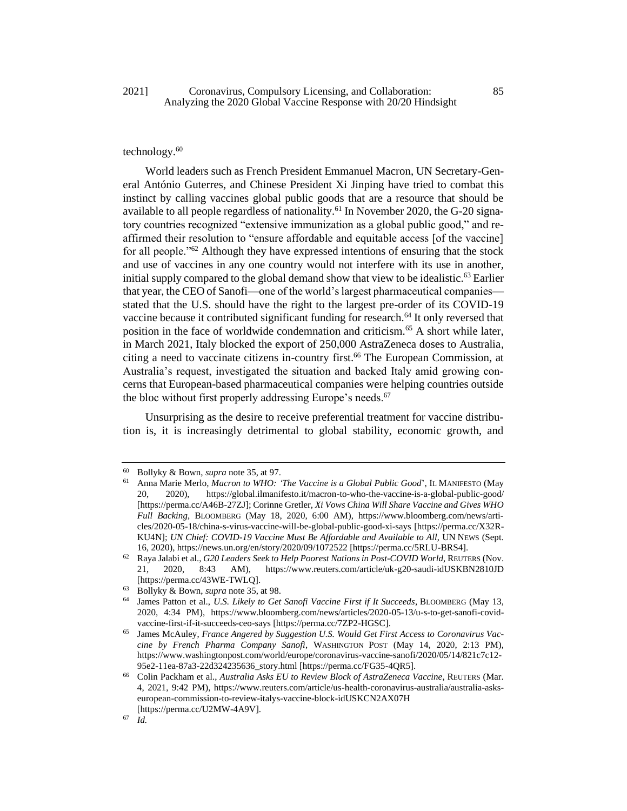## 2021] Coronavirus, Compulsory Licensing, and Collaboration: 85 Analyzing the 2020 Global Vaccine Response with 20/20 Hindsight

# technology.<sup>60</sup>

World leaders such as French President Emmanuel Macron, UN Secretary-General António Guterres, and Chinese President Xi Jinping have tried to combat this instinct by calling vaccines global public goods that are a resource that should be available to all people regardless of nationality.<sup>61</sup> In November 2020, the G-20 signatory countries recognized "extensive immunization as a global public good," and reaffirmed their resolution to "ensure affordable and equitable access [of the vaccine] for all people."<sup>62</sup> Although they have expressed intentions of ensuring that the stock and use of vaccines in any one country would not interfere with its use in another, initial supply compared to the global demand show that view to be idealistic.<sup>63</sup> Earlier that year, the CEO of Sanofi—one of the world's largest pharmaceutical companies stated that the U.S. should have the right to the largest pre-order of its COVID-19 vaccine because it contributed significant funding for research.<sup>64</sup> It only reversed that position in the face of worldwide condemnation and criticism.<sup>65</sup> A short while later, in March 2021, Italy blocked the export of 250,000 AstraZeneca doses to Australia, citing a need to vaccinate citizens in-country first.<sup>66</sup> The European Commission, at Australia's request, investigated the situation and backed Italy amid growing concerns that European-based pharmaceutical companies were helping countries outside the bloc without first properly addressing Europe's needs.<sup>67</sup>

Unsurprising as the desire to receive preferential treatment for vaccine distribution is, it is increasingly detrimental to global stability, economic growth, and

<sup>60</sup> Bollyky & Bown, *supra* note [35,](#page-8-1) at 97.

<sup>61</sup> Anna Marie Merlo, *Macron to WHO: 'The Vaccine is a Global Public Good*', IL MANIFESTO (May 20, 2020), https://global.ilmanifesto.it/macron-to-who-the-vaccine-is-a-global-public-good/ [https://perma.cc/A46B-27ZJ]; Corinne Gretler, *Xi Vows China Will Share Vaccine and Gives WHO Full Backing*, BLOOMBERG (May 18, 2020, 6:00 AM), https://www.bloomberg.com/news/articles/2020-05-18/china-s-virus-vaccine-will-be-global-public-good-xi-says [https://perma.cc/X32R-KU4N]; *UN Chief: COVID-19 Vaccine Must Be Affordable and Available to All*, UN NEws (Sept. 16, 2020), https://news.un.org/en/story/2020/09/1072522 [https://perma.cc/5RLU-BRS4].

<sup>62</sup> Raya Jalabi et al., *G20 Leaders Seek to Help Poorest Nations in Post-COVID World*, REUTERS (Nov. 21, 2020, 8:43 AM), https://www.reuters.com/article/uk-g20-saudi-idUSKBN2810JD [https://perma.cc/43WE-TWLQ].

<sup>63</sup> Bollyky & Bown, *supra* note [35,](#page-8-1) at 98.

<sup>64</sup> James Patton et al., *U.S. Likely to Get Sanofi Vaccine First if It Succeeds*, BLOOMBERG (May 13, 2020, 4:34 PM), https://www.bloomberg.com/news/articles/2020-05-13/u-s-to-get-sanofi-covidvaccine-first-if-it-succeeds-ceo-says [https://perma.cc/7ZP2-HGSC].

<sup>65</sup> James McAuley, *France Angered by Suggestion U.S. Would Get First Access to Coronavirus Vaccine by French Pharma Company Sanofi*, WASHINGTON POST (May 14, 2020, 2:13 PM), https://www.washingtonpost.com/world/europe/coronavirus-vaccine-sanofi/2020/05/14/821c7c12- 95e2-11ea-87a3-22d324235636\_story.html [https://perma.cc/FG35-4QR5].

<sup>66</sup> Colin Packham et al., *Australia Asks EU to Review Block of AstraZeneca Vaccine*, REUTERS (Mar. 4, 2021, 9:42 PM), https://www.reuters.com/article/us-health-coronavirus-australia/australia-askseuropean-commission-to-review-italys-vaccine-block-idUSKCN2AX07H [https://perma.cc/U2MW-4A9V].

 $67$  *Id.*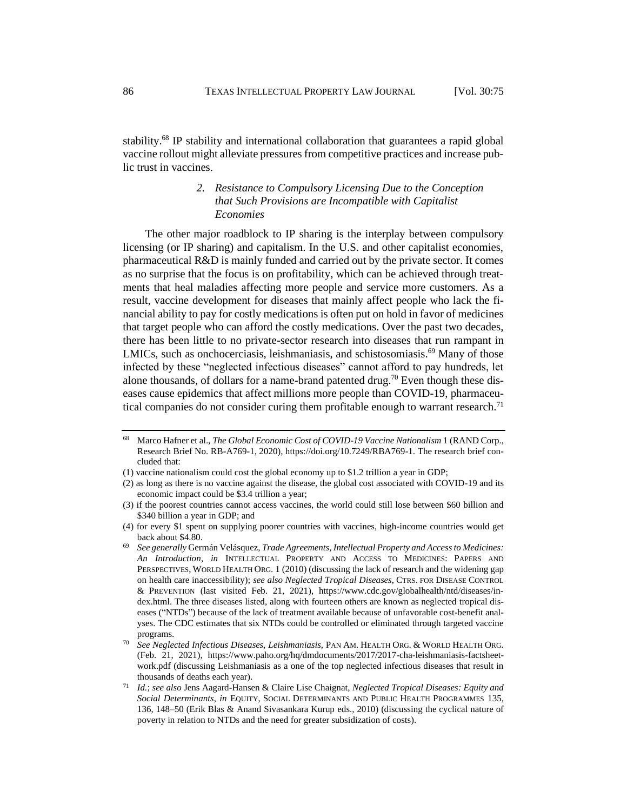stability.<sup>68</sup> IP stability and international collaboration that guarantees a rapid global vaccine rollout might alleviate pressures from competitive practices and increase public trust in vaccines.

# <span id="page-12-0"></span>*2. Resistance to Compulsory Licensing Due to the Conception that Such Provisions are Incompatible with Capitalist Economies*

The other major roadblock to IP sharing is the interplay between compulsory licensing (or IP sharing) and capitalism. In the U.S. and other capitalist economies, pharmaceutical R&D is mainly funded and carried out by the private sector. It comes as no surprise that the focus is on profitability, which can be achieved through treatments that heal maladies affecting more people and service more customers. As a result, vaccine development for diseases that mainly affect people who lack the financial ability to pay for costly medications is often put on hold in favor of medicines that target people who can afford the costly medications. Over the past two decades, there has been little to no private-sector research into diseases that run rampant in LMICs, such as onchocerciasis, leishmaniasis, and schistosomiasis.<sup>69</sup> Many of those infected by these "neglected infectious diseases" cannot afford to pay hundreds, let alone thousands, of dollars for a name-brand patented drug.<sup>70</sup> Even though these diseases cause epidemics that affect millions more people than COVID-19, pharmaceutical companies do not consider curing them profitable enough to warrant research.<sup>71</sup>

<sup>68</sup> Marco Hafner et al., *The Global Economic Cost of COVID-19 Vaccine Nationalism* 1 (RAND Corp., Research Brief No. RB-A769-1, 2020), https://doi.org/10.7249/RBA769-1. The research brief concluded that:

<sup>(1)</sup> vaccine nationalism could cost the global economy up to \$1.2 trillion a year in GDP;

<sup>(2)</sup> as long as there is no vaccine against the disease, the global cost associated with COVID-19 and its economic impact could be \$3.4 trillion a year;

<sup>(3)</sup> if the poorest countries cannot access vaccines, the world could still lose between \$60 billion and \$340 billion a year in GDP; and

<sup>(4)</sup> for every \$1 spent on supplying poorer countries with vaccines, high-income countries would get back about \$4.80.

<sup>69</sup> *See generally* Germán Velásquez, *Trade Agreements, Intellectual Property and Access to Medicines: An Introduction*, *in* INTELLECTUAL PROPERTY AND ACCESS TO MEDICINES: PAPERS AND PERSPECTIVES, WORLD HEALTH ORG. 1 (2010) (discussing the lack of research and the widening gap on health care inaccessibility); *see also Neglected Tropical Diseases*, CTRS. FOR DISEASE CONTROL & PREVENTION (last visited Feb. 21, 2021), https://www.cdc.gov/globalhealth/ntd/diseases/index.html. The three diseases listed, along with fourteen others are known as neglected tropical diseases ("NTDs") because of the lack of treatment available because of unfavorable cost-benefit analyses. The CDC estimates that six NTDs could be controlled or eliminated through targeted vaccine programs.

<sup>70</sup> *See Neglected Infectious Diseases, Leishmaniasis*, PAN AM. HEALTH ORG. & WORLD HEALTH ORG. (Feb. 21, 2021), https://www.paho.org/hq/dmdocuments/2017/2017-cha-leishmaniasis-factsheetwork.pdf (discussing Leishmaniasis as a one of the top neglected infectious diseases that result in thousands of deaths each year).

<sup>71</sup> *Id.*; *see also* Jens Aagard-Hansen & Claire Lise Chaignat, *Neglected Tropical Diseases: Equity and Social Determinants*, *in* EQUITY, SOCIAL DETERMINANTS AND PUBLIC HEALTH PROGRAMMES 135, 136, 148–50 (Erik Blas & Anand Sivasankara Kurup eds., 2010) (discussing the cyclical nature of poverty in relation to NTDs and the need for greater subsidization of costs).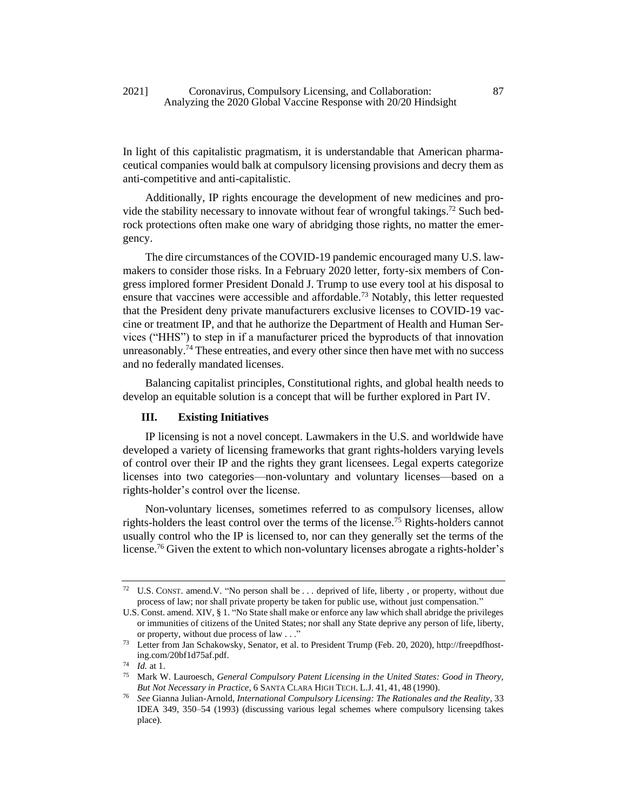In light of this capitalistic pragmatism, it is understandable that American pharmaceutical companies would balk at compulsory licensing provisions and decry them as anti-competitive and anti-capitalistic.

Additionally, IP rights encourage the development of new medicines and provide the stability necessary to innovate without fear of wrongful takings.<sup>72</sup> Such bedrock protections often make one wary of abridging those rights, no matter the emergency.

The dire circumstances of the COVID-19 pandemic encouraged many U.S. lawmakers to consider those risks. In a February 2020 letter, forty-six members of Congress implored former President Donald J. Trump to use every tool at his disposal to ensure that vaccines were accessible and affordable.<sup>73</sup> Notably, this letter requested that the President deny private manufacturers exclusive licenses to COVID-19 vaccine or treatment IP, and that he authorize the Department of Health and Human Services ("HHS") to step in if a manufacturer priced the byproducts of that innovation unreasonably.<sup>74</sup> These entreaties, and every other since then have met with no success and no federally mandated licenses.

Balancing capitalist principles, Constitutional rights, and global health needs to develop an equitable solution is a concept that will be further explored in Part IV.

## **III. Existing Initiatives**

IP licensing is not a novel concept. Lawmakers in the U.S. and worldwide have developed a variety of licensing frameworks that grant rights-holders varying levels of control over their IP and the rights they grant licensees. Legal experts categorize licenses into two categories—non-voluntary and voluntary licenses—based on a rights-holder's control over the license.

<span id="page-13-0"></span>Non-voluntary licenses, sometimes referred to as compulsory licenses, allow rights-holders the least control over the terms of the license.<sup>75</sup> Rights-holders cannot usually control who the IP is licensed to, nor can they generally set the terms of the license.<sup>76</sup> Given the extent to which non-voluntary licenses abrogate a rights-holder's

<sup>72</sup> U.S. CONST. amend.V. "No person shall be . . . deprived of life, liberty , or property, without due process of law; nor shall private property be taken for public use, without just compensation."

U.S. Const. amend. XIV, § 1. "No State shall make or enforce any law which shall abridge the privileges or immunities of citizens of the United States; nor shall any State deprive any person of life, liberty, or property, without due process of law . . ."

<sup>73</sup> Letter from Jan Schakowsky, Senator, et al. to President Trump (Feb. 20, 2020), http://freepdfhosting.com/20bf1d75af.pdf.

<sup>74</sup> *Id.* at 1.

<sup>75</sup> Mark W. Lauroesch, *General Compulsory Patent Licensing in the United States: Good in Theory, But Not Necessary in Practice*, 6 SANTA CLARA HIGH TECH. L.J. 41, 41, 48 (1990).

<sup>76</sup> *See* Gianna Julian-Arnold, *International Compulsory Licensing: The Rationales and the Reality*, 33 IDEA 349, 350–54 (1993) (discussing various legal schemes where compulsory licensing takes place).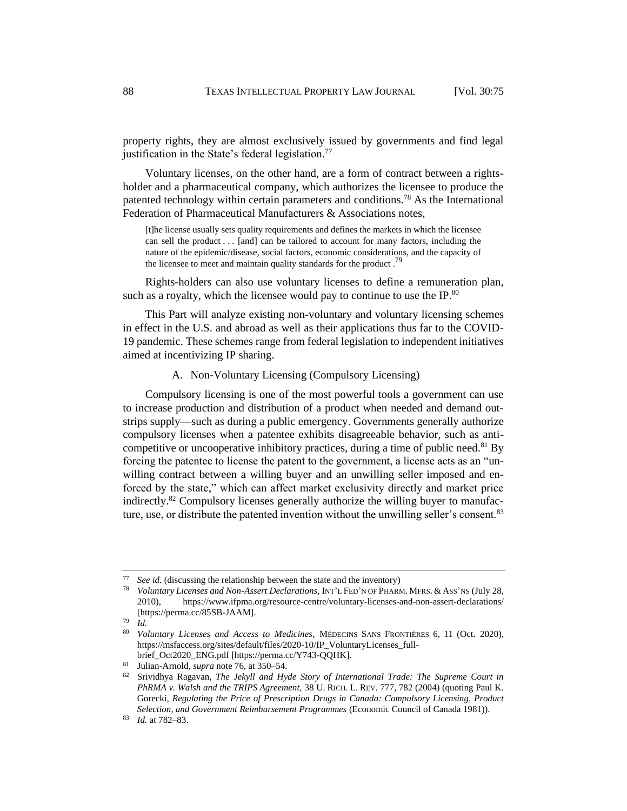property rights, they are almost exclusively issued by governments and find legal justification in the State's federal legislation.<sup>77</sup>

Voluntary licenses, on the other hand, are a form of contract between a rightsholder and a pharmaceutical company, which authorizes the licensee to produce the patented technology within certain parameters and conditions.<sup>78</sup> As the International Federation of Pharmaceutical Manufacturers & Associations notes,

[t]he license usually sets quality requirements and defines the markets in which the licensee can sell the product . . . [and] can be tailored to account for many factors, including the nature of the epidemic/disease, social factors, economic considerations, and the capacity of the licensee to meet and maintain quality standards for the product.<sup>79</sup>

Rights-holders can also use voluntary licenses to define a remuneration plan, such as a royalty, which the licensee would pay to continue to use the IP. $80$ 

This Part will analyze existing non-voluntary and voluntary licensing schemes in effect in the U.S. and abroad as well as their applications thus far to the COVID-19 pandemic. These schemes range from federal legislation to independent initiatives aimed at incentivizing IP sharing.

## A. Non-Voluntary Licensing (Compulsory Licensing)

Compulsory licensing is one of the most powerful tools a government can use to increase production and distribution of a product when needed and demand outstrips supply—such as during a public emergency. Governments generally authorize compulsory licenses when a patentee exhibits disagreeable behavior, such as anticompetitive or uncooperative inhibitory practices, during a time of public need.<sup>81</sup> By forcing the patentee to license the patent to the government, a license acts as an "unwilling contract between a willing buyer and an unwilling seller imposed and enforced by the state," which can affect market exclusivity directly and market price indirectly.<sup>82</sup> Compulsory licenses generally authorize the willing buyer to manufacture, use, or distribute the patented invention without the unwilling seller's consent.<sup>83</sup>

*See id.* (discussing the relationship between the state and the inventory)

<sup>78</sup> *Voluntary Licenses and Non-Assert Declarations*, INT'L FED'N OF PHARM. MFRS. & ASS'NS (July 28, 2010), https://www.ifpma.org/resource-centre/voluntary-licenses-and-non-assert-declarations/ [https://perma.cc/85SB-JAAM].

 $79$  *Id.* 

<sup>80</sup> *Voluntary Licenses and Access to Medicines*, MÉDECINS SANS FRONTIÈRES 6, 11 (Oct. 2020), https://msfaccess.org/sites/default/files/2020-10/IP\_VoluntaryLicenses\_fullbrief\_Oct2020\_ENG.pdf [https://perma.cc/Y743-QQHK].

<sup>81</sup> Julian-Arnold, *supra* note [76,](#page-13-0) at 350–54.

<sup>82</sup> Srividhya Ragavan, *The Jekyll and Hyde Story of International Trade: The Supreme Court in PhRMA v. Walsh and the TRIPS Agreement,* 38 U. RICH. L. REV. 777, 782 (2004) (quoting Paul K. Gorecki, *Regulating the Price of Prescription Drugs in Canada: Compulsory Licensing, Product Selection, and Government Reimbursement Programmes* (Economic Council of Canada 1981)).

<sup>83</sup> *Id.* at 782–83.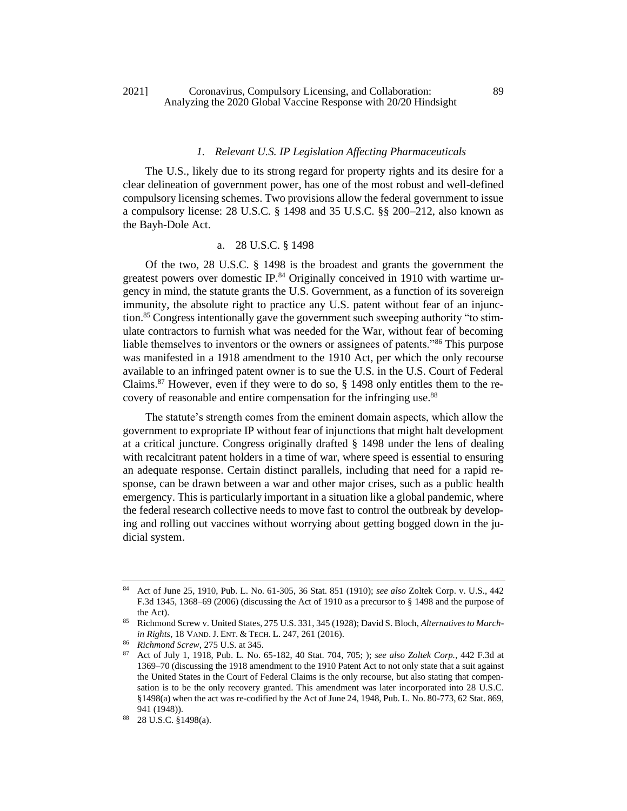## 2021] Coronavirus, Compulsory Licensing, and Collaboration: 89 Analyzing the 2020 Global Vaccine Response with 20/20 Hindsight

## *1. Relevant U.S. IP Legislation Affecting Pharmaceuticals*

The U.S., likely due to its strong regard for property rights and its desire for a clear delineation of government power, has one of the most robust and well-defined compulsory licensing schemes. Two provisions allow the federal government to issue a compulsory license: 28 U.S.C. § 1498 and 35 U.S.C. §§ 200–212, also known as the Bayh-Dole Act.

## a. 28 U.S.C. § 1498

<span id="page-15-0"></span>Of the two, 28 U.S.C. § 1498 is the broadest and grants the government the greatest powers over domestic IP. $84$  Originally conceived in 1910 with wartime urgency in mind, the statute grants the U.S. Government, as a function of its sovereign immunity, the absolute right to practice any U.S. patent without fear of an injunction.<sup>85</sup> Congress intentionally gave the government such sweeping authority "to stimulate contractors to furnish what was needed for the War, without fear of becoming liable themselves to inventors or the owners or assignees of patents."<sup>86</sup> This purpose was manifested in a 1918 amendment to the 1910 Act, per which the only recourse available to an infringed patent owner is to sue the U.S. in the U.S. Court of Federal Claims.<sup>87</sup> However, even if they were to do so,  $\S$  1498 only entitles them to the recovery of reasonable and entire compensation for the infringing use.<sup>88</sup>

The statute's strength comes from the eminent domain aspects, which allow the government to expropriate IP without fear of injunctions that might halt development at a critical juncture. Congress originally drafted § 1498 under the lens of dealing with recalcitrant patent holders in a time of war, where speed is essential to ensuring an adequate response. Certain distinct parallels, including that need for a rapid response, can be drawn between a war and other major crises, such as a public health emergency. This is particularly important in a situation like a global pandemic, where the federal research collective needs to move fast to control the outbreak by developing and rolling out vaccines without worrying about getting bogged down in the judicial system.

<sup>84</sup> Act of June 25, 1910, Pub. L. No. 61-305, 36 Stat. 851 (1910); *see also* Zoltek Corp. v. U.S., 442 F.3d 1345, 1368–69 (2006) (discussing the Act of 1910 as a precursor to § 1498 and the purpose of the Act).

<sup>85</sup> Richmond Screw v. United States, 275 U.S. 331, 345 (1928); David S. Bloch, *Alternatives to Marchin Rights*, 18 VAND. J. ENT. & TECH. L. 247, 261 (2016).

<sup>86</sup> *Richmond Screw*, 275 U.S. at 345.<br>87 Act of July 1, 1018 Pub J. No.

<sup>87</sup> Act of July 1, 1918, Pub. L. No. 65-182, 40 Stat. 704, 705; ); *see also Zoltek Corp.*, 442 F.3d at 1369–70 (discussing the 1918 amendment to the 1910 Patent Act to not only state that a suit against the United States in the Court of Federal Claims is the only recourse, but also stating that compensation is to be the only recovery granted. This amendment was later incorporated into 28 U.S.C. §1498(a) when the act was re-codified by the Act of June 24, 1948, Pub. L. No. 80-773, 62 Stat. 869, 941 (1948)).

<sup>88</sup> 28 U.S.C. §1498(a).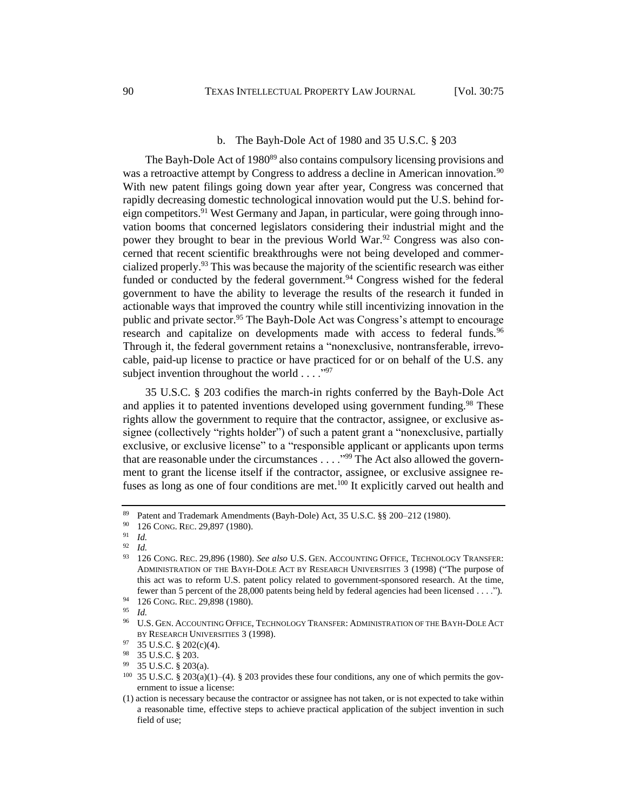#### b. The Bayh-Dole Act of 1980 and 35 U.S.C. § 203

The Bayh-Dole Act of 1980<sup>89</sup> also contains compulsory licensing provisions and was a retroactive attempt by Congress to address a decline in American innovation.<sup>90</sup> With new patent filings going down year after year, Congress was concerned that rapidly decreasing domestic technological innovation would put the U.S. behind foreign competitors.<sup>91</sup> West Germany and Japan, in particular, were going through innovation booms that concerned legislators considering their industrial might and the power they brought to bear in the previous World War.<sup>92</sup> Congress was also concerned that recent scientific breakthroughs were not being developed and commercialized properly.<sup>93</sup> This was because the majority of the scientific research was either funded or conducted by the federal government.<sup>94</sup> Congress wished for the federal government to have the ability to leverage the results of the research it funded in actionable ways that improved the country while still incentivizing innovation in the public and private sector.<sup>95</sup> The Bayh-Dole Act was Congress's attempt to encourage research and capitalize on developments made with access to federal funds.<sup>96</sup> Through it, the federal government retains a "nonexclusive, nontransferable, irrevocable, paid-up license to practice or have practiced for or on behalf of the U.S. any subject invention throughout the world  $\dots$ ."<sup>97</sup>

35 U.S.C. § 203 codifies the march-in rights conferred by the Bayh-Dole Act and applies it to patented inventions developed using government funding.<sup>98</sup> These rights allow the government to require that the contractor, assignee, or exclusive assignee (collectively "rights holder") of such a patent grant a "nonexclusive, partially exclusive, or exclusive license" to a "responsible applicant or applicants upon terms that are reasonable under the circumstances  $\dots$   $\cdot$   $\cdot$ <sup>99</sup>. The Act also allowed the government to grant the license itself if the contractor, assignee, or exclusive assignee refuses as long as one of four conditions are met.<sup>100</sup> It explicitly carved out health and

<sup>89</sup> Patent and Trademark Amendments (Bayh-Dole) Act, 35 U.S.C.  $\S$  200–212 (1980).<br>90 126 CoNG REG 29 897 (1980).

 $^{90}$  126 Cong. Rec. 29,897 (1980).

 $\frac{91}{92}$  *Id.* 

 $\frac{92}{93}$  *Id.* 

<sup>93</sup> 126 CONG. REC. 29,896 (1980). *See also* U.S. GEN. ACCOUNTING OFFICE, TECHNOLOGY TRANSFER: ADMINISTRATION OF THE BAYH-DOLE ACT BY RESEARCH UNIVERSITIES 3 (1998) ("The purpose of this act was to reform U.S. patent policy related to government-sponsored research. At the time, fewer than 5 percent of the 28,000 patents being held by federal agencies had been licensed . . . .").

<sup>&</sup>lt;sup>94</sup> 126 CONG. REC. 29,898 (1980).

<sup>95</sup> *Id.* 

<sup>96</sup> U.S. GEN. ACCOUNTING OFFICE, TECHNOLOGY TRANSFER: ADMINISTRATION OF THE BAYH-DOLE ACT BY RESEARCH UNIVERSITIES 3 (1998).

 $^{97}$  35 U.S.C. § 202(c)(4).<br>  $^{98}$  35 U.S.C. § 203

 $^{98}$  35 U.S.C. § 203.

<sup>99</sup> 35 U.S.C. § 203(a).

<sup>100</sup> 35 U.S.C. § 203(a)(1)–(4). § 203 provides these four conditions, any one of which permits the government to issue a license:

<sup>(1)</sup> action is necessary because the contractor or assignee has not taken, or is not expected to take within a reasonable time, effective steps to achieve practical application of the subject invention in such field of use;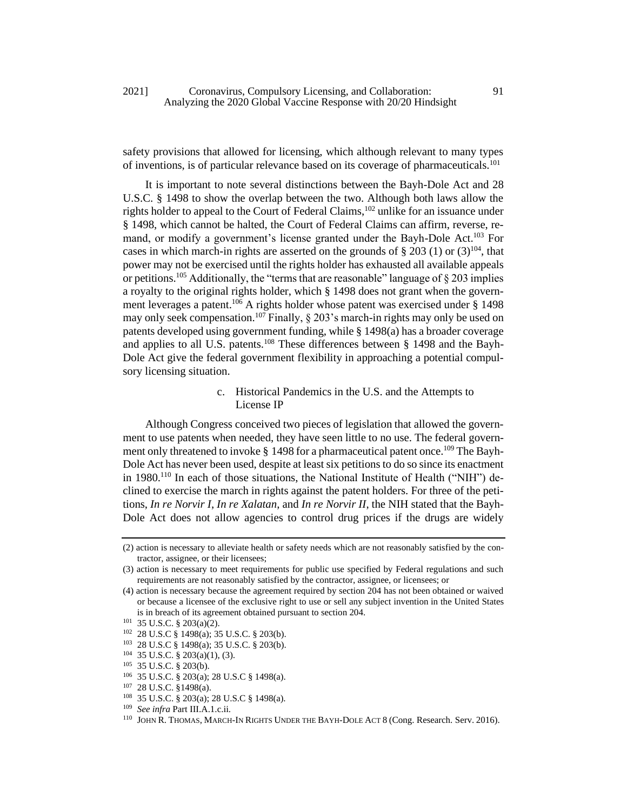safety provisions that allowed for licensing, which although relevant to many types of inventions, is of particular relevance based on its coverage of pharmaceuticals.<sup>101</sup>

It is important to note several distinctions between the Bayh-Dole Act and 28 U.S.C. § 1498 to show the overlap between the two. Although both laws allow the rights holder to appeal to the Court of Federal Claims,<sup>102</sup> unlike for an issuance under § 1498, which cannot be halted, the Court of Federal Claims can affirm, reverse, remand, or modify a government's license granted under the Bayh-Dole Act.<sup>103</sup> For cases in which march-in rights are asserted on the grounds of  $\S 203 (1)$  or  $(3)^{104}$ , that power may not be exercised until the rights holder has exhausted all available appeals or petitions.<sup>105</sup> Additionally, the "terms that are reasonable" language of  $\S 203$  implies a royalty to the original rights holder, which § 1498 does not grant when the government leverages a patent.<sup>106</sup> A rights holder whose patent was exercised under  $\S$  1498 may only seek compensation.<sup>107</sup> Finally,  $\S 203$ 's march-in rights may only be used on patents developed using government funding, while § 1498(a) has a broader coverage and applies to all U.S. patents.<sup>108</sup> These differences between  $\S$  1498 and the Bayh-Dole Act give the federal government flexibility in approaching a potential compulsory licensing situation.

# c. Historical Pandemics in the U.S. and the Attempts to License IP

Although Congress conceived two pieces of legislation that allowed the government to use patents when needed, they have seen little to no use. The federal government only threatened to invoke § 1498 for a pharmaceutical patent once.<sup>109</sup> The Bayh-Dole Act has never been used, despite at least six petitions to do so since its enactment in 1980.<sup>110</sup> In each of those situations, the National Institute of Health ("NIH") declined to exercise the march in rights against the patent holders. For three of the petitions, *In re Norvir I*, *In re Xalatan*, and *In re Norvir II*, the NIH stated that the Bayh-Dole Act does not allow agencies to control drug prices if the drugs are widely

<sup>(2)</sup> action is necessary to alleviate health or safety needs which are not reasonably satisfied by the contractor, assignee, or their licensees;

<sup>(3)</sup> action is necessary to meet requirements for public use specified by Federal regulations and such requirements are not reasonably satisfied by the contractor, assignee, or licensees; or

<sup>(4)</sup> action is necessary because the agreement required by section 204 has not been obtained or waived or because a licensee of the exclusive right to use or sell any subject invention in the United States is in breach of its agreement obtained pursuant to section 204.

<sup>101</sup> 35 U.S.C. § 203(a)(2).

<sup>102</sup> 28 U.S.C § 1498(a); 35 U.S.C. § 203(b).

<sup>103</sup> 28 U.S.C § 1498(a); 35 U.S.C. § 203(b).

<sup>104</sup> 35 U.S.C. § 203(a)(1), (3).

<sup>105</sup> 35 U.S.C. § 203(b).

<sup>106</sup> 35 U.S.C. § 203(a); 28 U.S.C § 1498(a).

<sup>107</sup> 28 U.S.C. §1498(a).

<sup>108</sup> 35 U.S.C. § 203(a); 28 U.S.C § 1498(a).

<sup>109</sup> *See infra* Part III.A.1.c.ii.

<sup>110</sup> JOHN R. THOMAS, MARCH-IN RIGHTS UNDER THE BAYH-DOLE ACT 8 (Cong. Research. Serv. 2016).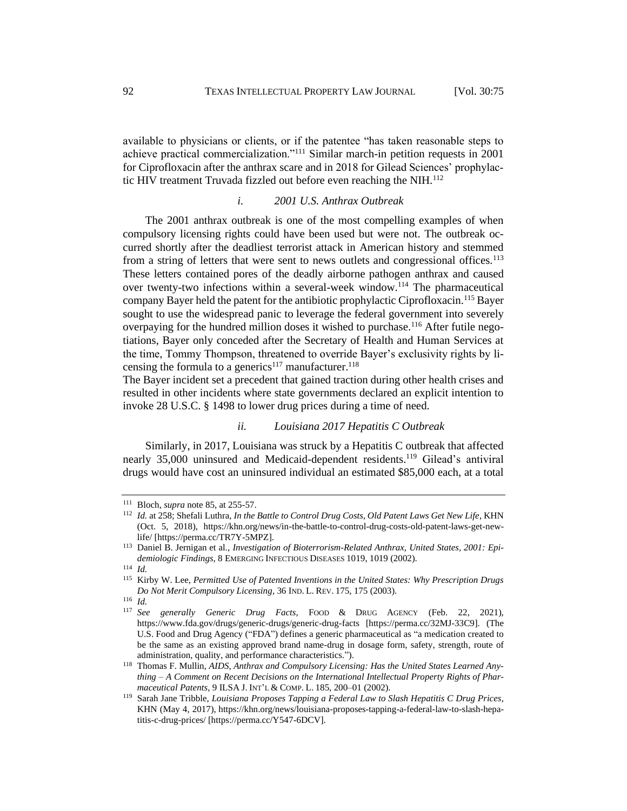available to physicians or clients, or if the patentee "has taken reasonable steps to achieve practical commercialization."<sup>111</sup> Similar march-in petition requests in 2001 for Ciprofloxacin after the anthrax scare and in 2018 for Gilead Sciences' prophylactic HIV treatment Truvada fizzled out before even reaching the NIH.<sup>112</sup>

## *i. 2001 U.S. Anthrax Outbreak*

The 2001 anthrax outbreak is one of the most compelling examples of when compulsory licensing rights could have been used but were not. The outbreak occurred shortly after the deadliest terrorist attack in American history and stemmed from a string of letters that were sent to news outlets and congressional offices.<sup>113</sup> These letters contained pores of the deadly airborne pathogen anthrax and caused over twenty-two infections within a several-week window.<sup>114</sup> The pharmaceutical company Bayer held the patent for the antibiotic prophylactic Ciprofloxacin.<sup>115</sup> Bayer sought to use the widespread panic to leverage the federal government into severely overpaying for the hundred million doses it wished to purchase.<sup>116</sup> After futile negotiations, Bayer only conceded after the Secretary of Health and Human Services at the time, Tommy Thompson, threatened to override Bayer's exclusivity rights by licensing the formula to a generics<sup>117</sup> manufacturer.<sup>118</sup>

The Bayer incident set a precedent that gained traction during other health crises and resulted in other incidents where state governments declared an explicit intention to invoke 28 U.S.C. § 1498 to lower drug prices during a time of need.

#### <span id="page-18-0"></span>*ii. Louisiana 2017 Hepatitis C Outbreak*

Similarly, in 2017, Louisiana was struck by a Hepatitis C outbreak that affected nearly 35,000 uninsured and Medicaid-dependent residents.<sup>119</sup> Gilead's antiviral drugs would have cost an uninsured individual an estimated \$85,000 each, at a total

<sup>111</sup> Bloch, *supra* not[e 85,](#page-15-0) at 255-57.

<sup>112</sup> *Id.* at 258; Shefali Luthra, *In the Battle to Control Drug Costs, Old Patent Laws Get New Life*, KHN (Oct. 5, 2018), https://khn.org/news/in-the-battle-to-control-drug-costs-old-patent-laws-get-newlife/ [https://perma.cc/TR7Y-5MPZ].

<sup>113</sup> Daniel B. Jernigan et al., *Investigation of Bioterrorism-Related Anthrax, United States, 2001: Epidemiologic Findings*, 8 EMERGING INFECTIOUS DISEASES 1019, 1019 (2002).

<sup>114</sup> *Id.* 

<sup>115</sup> Kirby W. Lee, *Permitted Use of Patented Inventions in the United States: Why Prescription Drugs Do Not Merit Compulsory Licensing*, 36 IND. L. REV. 175, 175 (2003).

<sup>116</sup> *Id.* 

<sup>117</sup> *See generally Generic Drug Facts*, FOOD & DRUG AGENCY (Feb. 22, 2021), https://www.fda.gov/drugs/generic-drugs/generic-drug-facts [https://perma.cc/32MJ-33C9]. (The U.S. Food and Drug Agency ("FDA") defines a generic pharmaceutical as "a medication created to be the same as an existing approved brand name-drug in dosage form, safety, strength, route of administration, quality, and performance characteristics.").

<sup>118</sup> Thomas F. Mullin, *AIDS, Anthrax and Compulsory Licensing: Has the United States Learned Anything – A Comment on Recent Decisions on the International Intellectual Property Rights of Pharmaceutical Patents*, 9 ILSA J. INT'L & COMP. L. 185, 200–01 (2002).

<sup>119</sup> Sarah Jane Tribble, *Louisiana Proposes Tapping a Federal Law to Slash Hepatitis C Drug Prices*, KHN (May 4, 2017), https://khn.org/news/louisiana-proposes-tapping-a-federal-law-to-slash-hepatitis-c-drug-prices/ [https://perma.cc/Y547-6DCV].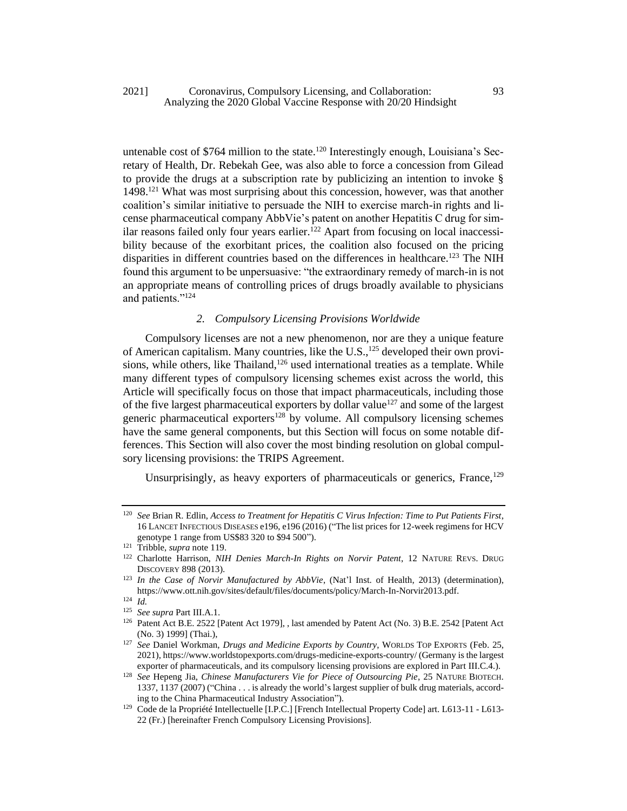## 2021] Coronavirus, Compulsory Licensing, and Collaboration: 93 Analyzing the 2020 Global Vaccine Response with 20/20 Hindsight

untenable cost of \$764 million to the state.<sup>120</sup> Interestingly enough, Louisiana's Secretary of Health, Dr. Rebekah Gee, was also able to force a concession from Gilead to provide the drugs at a subscription rate by publicizing an intention to invoke § 1498.<sup>121</sup> What was most surprising about this concession, however, was that another coalition's similar initiative to persuade the NIH to exercise march-in rights and license pharmaceutical company AbbVie's patent on another Hepatitis C drug for similar reasons failed only four years earlier.<sup> $122$ </sup> Apart from focusing on local inaccessibility because of the exorbitant prices, the coalition also focused on the pricing disparities in different countries based on the differences in healthcare.<sup>123</sup> The NIH found this argument to be unpersuasive: "the extraordinary remedy of march-in is not an appropriate means of controlling prices of drugs broadly available to physicians and patients."<sup>124</sup>

# <span id="page-19-0"></span>*2. Compulsory Licensing Provisions Worldwide*

Compulsory licenses are not a new phenomenon, nor are they a unique feature of American capitalism. Many countries, like the U.S.,<sup>125</sup> developed their own provisions, while others, like Thailand,<sup>126</sup> used international treaties as a template. While many different types of compulsory licensing schemes exist across the world, this Article will specifically focus on those that impact pharmaceuticals, including those of the five largest pharmaceutical exporters by dollar value<sup>127</sup> and some of the largest generic pharmaceutical exporters<sup>128</sup> by volume. All compulsory licensing schemes have the same general components, but this Section will focus on some notable differences. This Section will also cover the most binding resolution on global compulsory licensing provisions: the TRIPS Agreement.

Unsurprisingly, as heavy exporters of pharmaceuticals or generics, France,<sup>129</sup>

<sup>120</sup> *See* Brian R. Edlin, *Access to Treatment for Hepatitis C Virus Infection: Time to Put Patients First*, 16 LANCET INFECTIOUS DISEASES e196, e196 (2016) ("The list prices for 12-week regimens for HCV genotype 1 range from US\$83 320 to \$94 500").

<sup>121</sup> Tribble, *supra* not[e 119.](#page-18-0)

<sup>&</sup>lt;sup>122</sup> Charlotte Harrison, *NIH Denies March-In Rights on Norvir Patent*, 12 NATURE REVS. DRUG DISCOVERY 898 (2013).

<sup>123</sup> *In the Case of Norvir Manufactured by AbbVie*, (Nat'l Inst. of Health, 2013) (determination), https://www.ott.nih.gov/sites/default/files/documents/policy/March-In-Norvir2013.pdf.

<sup>124</sup> *Id.* 

<sup>125</sup> *See supra* Part III.A.1.

<sup>126</sup> Patent Act B.E. 2522 [Patent Act 1979], , last amended by Patent Act (No. 3) B.E. 2542 [Patent Act (No. 3) 1999] (Thai.),

<sup>127</sup> *See* Daniel Workman, *Drugs and Medicine Exports by Country*, WORLDS TOP EXPORTS (Feb. 25, 2021)[, https://www.worldstopexports.com/drugs-medicine-exports-country/](https://www.worldstopexports.com/drugs-medicine-exports-country/) (Germany is the largest exporter of pharmaceuticals, and its compulsory licensing provisions are explored in Part III.C.4.).

<sup>128</sup> *See* Hepeng Jia, *Chinese Manufacturers Vie for Piece of Outsourcing Pie*, 25 NATURE BIOTECH. 1337, 1137 (2007) ("China . . . is already the world's largest supplier of bulk drug materials, according to the China Pharmaceutical Industry Association").

<sup>&</sup>lt;sup>129</sup> Code de la Propriété Intellectuelle [I.P.C.] [French Intellectual Property Code] art. L613-11 - L613-22 (Fr.) [hereinafter French Compulsory Licensing Provisions].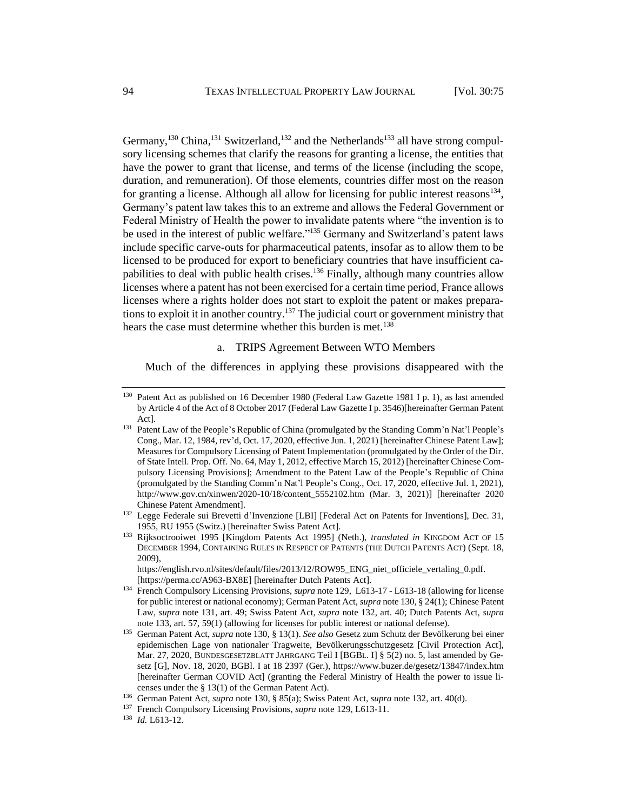<span id="page-20-3"></span><span id="page-20-2"></span><span id="page-20-1"></span><span id="page-20-0"></span>Germany,<sup>130</sup> China,<sup>131</sup> Switzerland,<sup>132</sup> and the Netherlands<sup>133</sup> all have strong compulsory licensing schemes that clarify the reasons for granting a license, the entities that have the power to grant that license, and terms of the license (including the scope, duration, and remuneration). Of those elements, countries differ most on the reason for granting a license. Although all allow for licensing for public interest reasons $^{134}$ , Germany's patent law takes this to an extreme and allows the Federal Government or Federal Ministry of Health the power to invalidate patents where "the invention is to be used in the interest of public welfare."<sup>135</sup> Germany and Switzerland's patent laws include specific carve-outs for pharmaceutical patents, insofar as to allow them to be licensed to be produced for export to beneficiary countries that have insufficient capabilities to deal with public health crises.<sup>136</sup> Finally, although many countries allow licenses where a patent has not been exercised for a certain time period, France allows licenses where a rights holder does not start to exploit the patent or makes preparations to exploit it in another country.<sup>137</sup> The judicial court or government ministry that hears the case must determine whether this burden is met.<sup>138</sup>

#### <span id="page-20-4"></span>a. TRIPS Agreement Between WTO Members

Much of the differences in applying these provisions disappeared with the

https://english.rvo.nl/sites/default/files/2013/12/ROW95\_ENG\_niet\_officiele\_vertaling\_0.pdf. [https://perma.cc/A963-BX8E] [hereinafter Dutch Patents Act].

<sup>&</sup>lt;sup>130</sup> Patent Act as published on 16 December 1980 (Federal Law Gazette 1981 I p. 1), as last amended by Article 4 of the Act of 8 October 2017 (Federal Law Gazette I p. 3546)[hereinafter German Patent Act].

<sup>&</sup>lt;sup>131</sup> Patent Law of the People's Republic of China (promulgated by the Standing Comm'n Nat'l People's Cong., Mar. 12, 1984, rev'd, Oct. 17, 2020, effective Jun. 1, 2021) [hereinafter Chinese Patent Law]; Measures for Compulsory Licensing of Patent Implementation (promulgated by the Order of the Dir. of State Intell. Prop. Off. No. 64, May 1, 2012, effective March 15, 2012) [hereinafter Chinese Compulsory Licensing Provisions]; Amendment to the Patent Law of the People's Republic of China (promulgated by the Standing Comm'n Nat'l People's Cong., Oct. 17, 2020, effective Jul. 1, 2021), http://www.gov.cn/xinwen/2020-10/18/content\_5552102.htm (Mar. 3, 2021)] [hereinafter 2020 Chinese Patent Amendment].

<sup>&</sup>lt;sup>132</sup> Legge Federale sui Brevetti d'Invenzione [LBI] [Federal Act on Patents for Inventions], Dec. 31, 1955, RU 1955 (Switz.) [hereinafter Swiss Patent Act].

<sup>133</sup> Rijksoctrooiwet 1995 [Kingdom Patents Act 1995] (Neth.), *translated in* KINGDOM ACT OF 15 DECEMBER 1994, CONTAINING RULES IN RESPECT OF PATENTS (THE DUTCH PATENTS ACT) (Sept. 18, 2009),

<sup>134</sup> French Compulsory Licensing Provisions, *supra* not[e 129,](#page-19-0) L613-17 - L613-18 (allowing for license for public interest or national economy); German Patent Act, *supra* not[e 130,](#page-20-0) § 24(1); Chinese Patent Law, *supra* note [131,](#page-20-1) art. 49; Swiss Patent Act, *supra* note [132,](#page-20-2) art. 40; Dutch Patents Act, *supra* note [133,](#page-20-3) art. 57, 59(1) (allowing for licenses for public interest or national defense).

<sup>135</sup> German Patent Act, *supra* not[e 130,](#page-20-0) § 13(1). *See also* Gesetz zum Schutz der Bevölkerung bei einer epidemischen Lage von nationaler Tragweite, Bevölkerungsschutzgesetz [Civil Protection Act], Mar. 27, 2020, BUNDESGESETZBLATT JAHRGANG Teil I [BGBL. I] § 5(2) no. 5, last amended by Gesetz [G], Nov. 18, 2020, BGBl. I at 18 2397 (Ger.), https://www.buzer.de/gesetz/13847/index.htm [hereinafter German COVID Act] (granting the Federal Ministry of Health the power to issue licenses under the § 13(1) of the German Patent Act).

<sup>136</sup> German Patent Act, *supra* note [130,](#page-20-0) § 85(a); Swiss Patent Act, *supra* not[e 132,](#page-20-2) art. 40(d).

<sup>137</sup> French Compulsory Licensing Provisions, *supra* not[e 129,](#page-19-0) L613-11.

<sup>138</sup> *Id.* L613-12.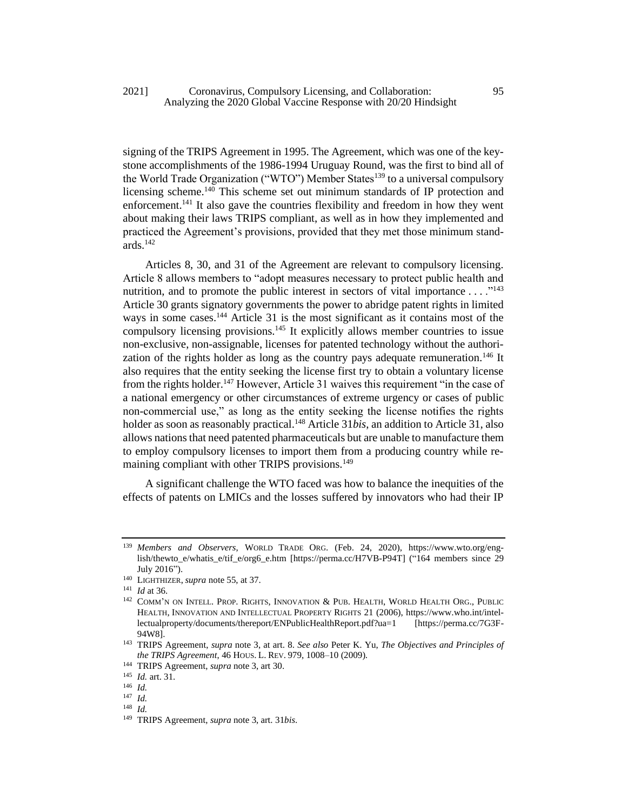## 2021] Coronavirus, Compulsory Licensing, and Collaboration: 95 Analyzing the 2020 Global Vaccine Response with 20/20 Hindsight

signing of the TRIPS Agreement in 1995. The Agreement, which was one of the keystone accomplishments of the 1986-1994 Uruguay Round, was the first to bind all of the World Trade Organization ("WTO") Member States<sup>139</sup> to a universal compulsory licensing scheme.<sup>140</sup> This scheme set out minimum standards of IP protection and enforcement.<sup>141</sup> It also gave the countries flexibility and freedom in how they went about making their laws TRIPS compliant, as well as in how they implemented and practiced the Agreement's provisions, provided that they met those minimum standards.<sup>142</sup>

<span id="page-21-0"></span>Articles 8, 30, and 31 of the Agreement are relevant to compulsory licensing. Article 8 allows members to "adopt measures necessary to protect public health and nutrition, and to promote the public interest in sectors of vital importance  $\dots$ ."<sup>143</sup> Article 30 grants signatory governments the power to abridge patent rights in limited ways in some cases.<sup>144</sup> Article 31 is the most significant as it contains most of the compulsory licensing provisions.<sup>145</sup> It explicitly allows member countries to issue non-exclusive, non-assignable, licenses for patented technology without the authorization of the rights holder as long as the country pays adequate remuneration.<sup>146</sup> It also requires that the entity seeking the license first try to obtain a voluntary license from the rights holder.<sup>147</sup> However, Article 31 waives this requirement "in the case of a national emergency or other circumstances of extreme urgency or cases of public non-commercial use," as long as the entity seeking the license notifies the rights holder as soon as reasonably practical.<sup>148</sup> Article 31*bis*, an addition to Article 31, also allows nations that need patented pharmaceuticals but are unable to manufacture them to employ compulsory licenses to import them from a producing country while remaining compliant with other TRIPS provisions.<sup>149</sup>

A significant challenge the WTO faced was how to balance the inequities of the effects of patents on LMICs and the losses suffered by innovators who had their IP

<sup>139</sup> *Members and Observers*, WORLD TRADE ORG. (Feb. 24, 2020), https://www.wto.org/english/thewto\_e/whatis\_e/tif\_e/org6\_e.htm [https://perma.cc/H7VB-P94T] ("164 members since 29 July 2016").

<sup>140</sup> LIGHTHIZER, *supra* not[e 55,](#page-10-0) at 37.

<sup>141</sup> *Id* at 36.

<sup>&</sup>lt;sup>142</sup> COMM'N ON INTELL. PROP. RIGHTS, INNOVATION & PUB. HEALTH, WORLD HEALTH ORG., PUBLIC HEALTH, INNOVATION AND INTELLECTUAL PROPERTY RIGHTS 21 (2006), https://www.who.int/intellectualproperty/documents/thereport/ENPublicHealthReport.pdf?ua=1 [https://perma.cc/7G3F-94W8].

<sup>143</sup> TRIPS Agreement, *supra* note 3, at art. 8. *See also* Peter K. Yu, *The Objectives and Principles of the TRIPS Agreement*, 46 HOUS. L. REV. 979, 1008–10 (2009).

<sup>144</sup> TRIPS Agreement, *supra* note 3, art 30.

<sup>145</sup> *Id.* art. 31.

<sup>146</sup> *Id.*

<sup>147</sup> *Id.* 

<sup>148</sup> *Id.*

<sup>149</sup> TRIPS Agreement, *supra* not[e 3,](#page-3-1) art. 31*bis*.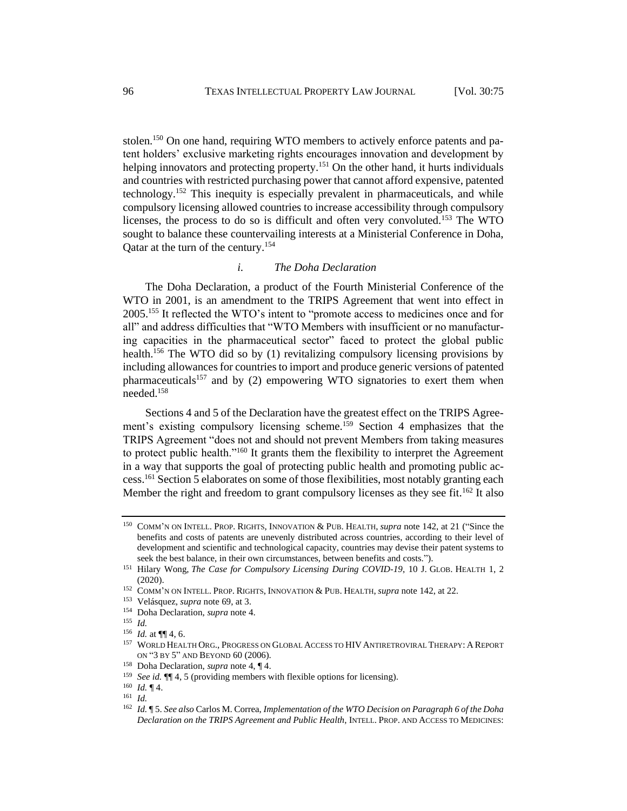stolen.<sup>150</sup> On one hand, requiring WTO members to actively enforce patents and patent holders' exclusive marketing rights encourages innovation and development by helping innovators and protecting property.<sup>151</sup> On the other hand, it hurts individuals and countries with restricted purchasing power that cannot afford expensive, patented technology.<sup>152</sup> This inequity is especially prevalent in pharmaceuticals, and while compulsory licensing allowed countries to increase accessibility through compulsory licenses, the process to do so is difficult and often very convoluted.<sup>153</sup> The WTO sought to balance these countervailing interests at a Ministerial Conference in Doha, Qatar at the turn of the century.<sup>154</sup>

### *i. The Doha Declaration*

The Doha Declaration, a product of the Fourth Ministerial Conference of the WTO in 2001, is an amendment to the TRIPS Agreement that went into effect in 2005.<sup>155</sup> It reflected the WTO's intent to "promote access to medicines once and for all" and address difficulties that "WTO Members with insufficient or no manufacturing capacities in the pharmaceutical sector" faced to protect the global public health.<sup>156</sup> The WTO did so by (1) revitalizing compulsory licensing provisions by including allowances for countries to import and produce generic versions of patented pharmaceuticals<sup>157</sup> and by (2) empowering WTO signatories to exert them when needed.<sup>158</sup>

Sections 4 and 5 of the Declaration have the greatest effect on the TRIPS Agreement's existing compulsory licensing scheme.<sup>159</sup> Section 4 emphasizes that the TRIPS Agreement "does not and should not prevent Members from taking measures to protect public health."<sup>160</sup> It grants them the flexibility to interpret the Agreement in a way that supports the goal of protecting public health and promoting public access.<sup>161</sup> Section 5 elaborates on some of those flexibilities, most notably granting each Member the right and freedom to grant compulsory licenses as they see fit.<sup>162</sup> It also

<sup>150</sup> COMM'N ON INTELL. PROP. RIGHTS, INNOVATION & PUB. HEALTH, *supra* not[e 142,](#page-21-0) at 21 ("Since the benefits and costs of patents are unevenly distributed across countries, according to their level of development and scientific and technological capacity, countries may devise their patent systems to seek the best balance, in their own circumstances, between benefits and costs.").

<sup>151</sup> Hilary Wong, *The Case for Compulsory Licensing During COVID-19*, 10 J. GLOB. HEALTH 1, 2 (2020).

<sup>152</sup> COMM'N ON INTELL. PROP. RIGHTS, INNOVATION & PUB. HEALTH, *supra* not[e 142,](#page-21-0) at 22.

<sup>153</sup> Velásquez, *supra* not[e 69,](#page-12-0) at 3.

<sup>154</sup> Doha Declaration, *supra* not[e 4.](#page-3-2)

<sup>155</sup> *Id.* 

<sup>156</sup> *Id.* at ¶¶ 4, 6.

<sup>157</sup> WORLD HEALTH ORG., PROGRESS ON GLOBAL ACCESS TO HIV ANTIRETROVIRAL THERAPY: A REPORT ON "3 BY 5" AND BEYOND 60 (2006).

<sup>158</sup> Doha Declaration, *supra* note 4, ¶ 4.

<sup>159</sup> *See id.* ¶¶ 4, 5 (providing members with flexible options for licensing).

<sup>160</sup> *Id.* ¶ 4.

<sup>161</sup> *Id.*

<sup>162</sup> *Id.* ¶ 5. *See also* Carlos M. Correa, *Implementation of the WTO Decision on Paragraph 6 of the Doha Declaration on the TRIPS Agreement and Public Health*, INTELL. PROP. AND ACCESS TO MEDICINES: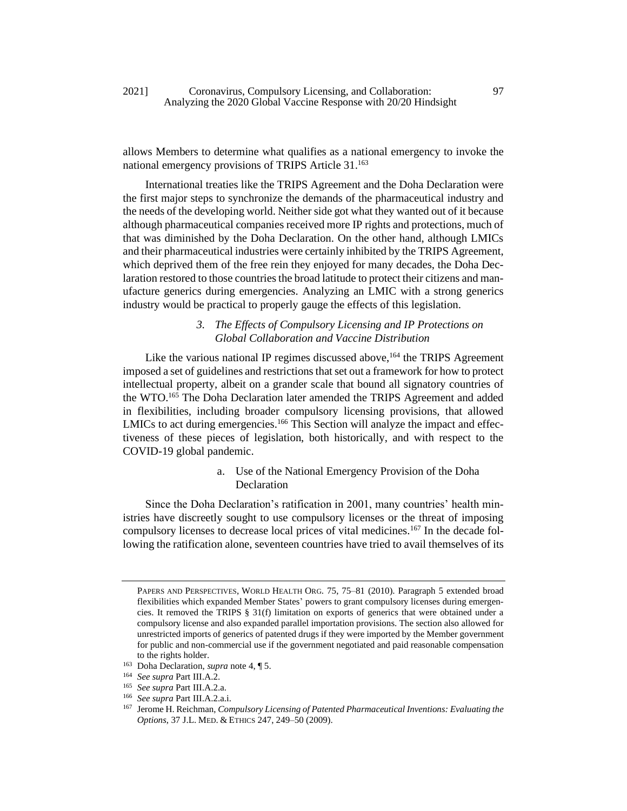allows Members to determine what qualifies as a national emergency to invoke the national emergency provisions of TRIPS Article 31.<sup>163</sup>

International treaties like the TRIPS Agreement and the Doha Declaration were the first major steps to synchronize the demands of the pharmaceutical industry and the needs of the developing world. Neither side got what they wanted out of it because although pharmaceutical companies received more IP rights and protections, much of that was diminished by the Doha Declaration. On the other hand, although LMICs and their pharmaceutical industries were certainly inhibited by the TRIPS Agreement, which deprived them of the free rein they enjoyed for many decades, the Doha Declaration restored to those countries the broad latitude to protect their citizens and manufacture generics during emergencies. Analyzing an LMIC with a strong generics industry would be practical to properly gauge the effects of this legislation.

# *3. The Effects of Compulsory Licensing and IP Protections on Global Collaboration and Vaccine Distribution*

Like the various national IP regimes discussed above,<sup>164</sup> the TRIPS Agreement imposed a set of guidelines and restrictions that set out a framework for how to protect intellectual property, albeit on a grander scale that bound all signatory countries of the WTO.<sup>165</sup> The Doha Declaration later amended the TRIPS Agreement and added in flexibilities, including broader compulsory licensing provisions, that allowed LMICs to act during emergencies.<sup>166</sup> This Section will analyze the impact and effectiveness of these pieces of legislation, both historically, and with respect to the COVID-19 global pandemic.

# a. Use of the National Emergency Provision of the Doha Declaration

Since the Doha Declaration's ratification in 2001, many countries' health ministries have discreetly sought to use compulsory licenses or the threat of imposing compulsory licenses to decrease local prices of vital medicines.<sup>167</sup> In the decade following the ratification alone, seventeen countries have tried to avail themselves of its

PAPERS AND PERSPECTIVES, WORLD HEALTH ORG. 75, 75–81 (2010). Paragraph 5 extended broad flexibilities which expanded Member States' powers to grant compulsory licenses during emergencies. It removed the TRIPS § 31(f) limitation on exports of generics that were obtained under a compulsory license and also expanded parallel importation provisions. The section also allowed for unrestricted imports of generics of patented drugs if they were imported by the Member government for public and non-commercial use if the government negotiated and paid reasonable compensation to the rights holder.

<sup>163</sup> Doha Declaration, *supra* not[e 4,](#page-3-2) ¶ 5.

<sup>164</sup> *See supra* Part III.A.2.

<sup>165</sup> *See supra* Part III.A.2.a.

<sup>166</sup> *See supra* Part III.A.2.a.i.

<sup>167</sup> Jerome H. Reichman, *Compulsory Licensing of Patented Pharmaceutical Inventions: Evaluating the Options*, 37 J.L. MED. & ETHICS 247, 249–50 (2009).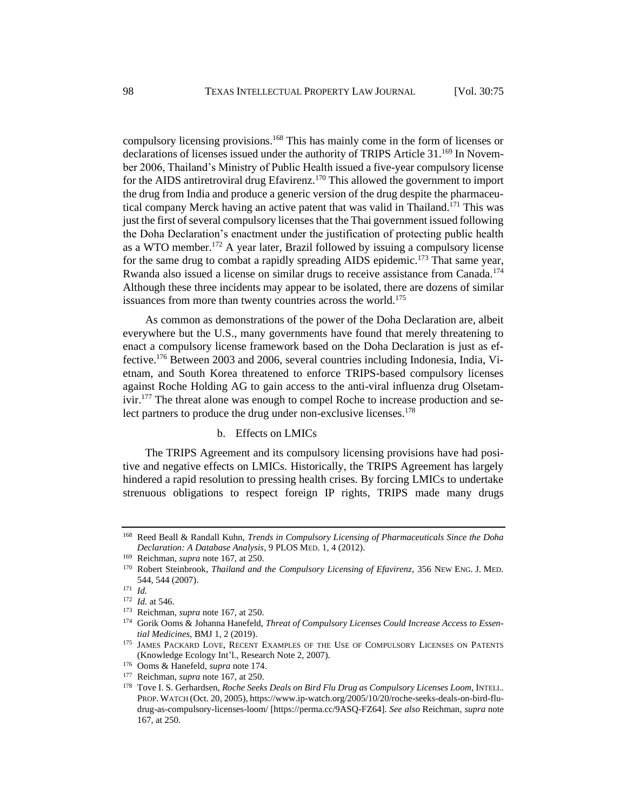compulsory licensing provisions.<sup>168</sup> This has mainly come in the form of licenses or declarations of licenses issued under the authority of TRIPS Article 31.<sup>169</sup> In November 2006, Thailand's Ministry of Public Health issued a five-year compulsory license for the AIDS antiretroviral drug Efavirenz.<sup>170</sup> This allowed the government to import the drug from India and produce a generic version of the drug despite the pharmaceutical company Merck having an active patent that was valid in Thailand.<sup>171</sup> This was just the first of several compulsory licenses that the Thai government issued following the Doha Declaration's enactment under the justification of protecting public health as a WTO member.<sup>172</sup> A year later, Brazil followed by issuing a compulsory license for the same drug to combat a rapidly spreading AIDS epidemic.<sup>173</sup> That same year, Rwanda also issued a license on similar drugs to receive assistance from Canada.<sup>174</sup> Although these three incidents may appear to be isolated, there are dozens of similar issuances from more than twenty countries across the world.<sup>175</sup>

As common as demonstrations of the power of the Doha Declaration are, albeit everywhere but the U.S., many governments have found that merely threatening to enact a compulsory license framework based on the Doha Declaration is just as effective.<sup>176</sup> Between 2003 and 2006, several countries including Indonesia, India, Vietnam, and South Korea threatened to enforce TRIPS-based compulsory licenses against Roche Holding AG to gain access to the anti-viral influenza drug Olsetamivir.<sup>177</sup> The threat alone was enough to compel Roche to increase production and select partners to produce the drug under non-exclusive licenses.<sup>178</sup>

# b. Effects on LMICs

The TRIPS Agreement and its compulsory licensing provisions have had positive and negative effects on LMICs. Historically, the TRIPS Agreement has largely hindered a rapid resolution to pressing health crises. By forcing LMICs to undertake strenuous obligations to respect foreign IP rights, TRIPS made many drugs

<sup>168</sup> Reed Beall & Randall Kuhn, *Trends in Compulsory Licensing of Pharmaceuticals Since the Doha Declaration: A Database Analysis*, 9 PLOS MED. 1, 4 (2012).

<sup>169</sup> Reichman, *supra* note 167, at 250.

<sup>170</sup> Robert Steinbrook, *Thailand and the Compulsory Licensing of Efavirenz*, 356 NEW ENG. J. MED. 544, 544 (2007).

<sup>171</sup> *Id.*

<sup>172</sup> *Id.* at 546.

<sup>173</sup> Reichman, *supra* note 167, at 250.

<sup>174</sup> Gorik Ooms & Johanna Hanefeld, *Threat of Compulsory Licenses Could Increase Access to Essential Medicines*, BMJ 1, 2 (2019).

<sup>175</sup> JAMES PACKARD LOVE, RECENT EXAMPLES OF THE USE OF COMPULSORY LICENSES ON PATENTS (Knowledge Ecology Int'l., Research Note 2, 2007).

<sup>176</sup> Ooms & Hanefeld, *supra* note 174.

<sup>177</sup> Reichman, *supra* note 167, at 250.

<sup>178</sup> Tove I. S. Gerhardsen, *Roche Seeks Deals on Bird Flu Drug as Compulsory Licenses Loom*, INTELL. PROP. WATCH (Oct. 20, 2005), https://www.ip-watch.org/2005/10/20/roche-seeks-deals-on-bird-fludrug-as-compulsory-licenses-loom/ [https://perma.cc/9ASQ-FZ64]. *See also* Reichman, *supra* note 167, at 250.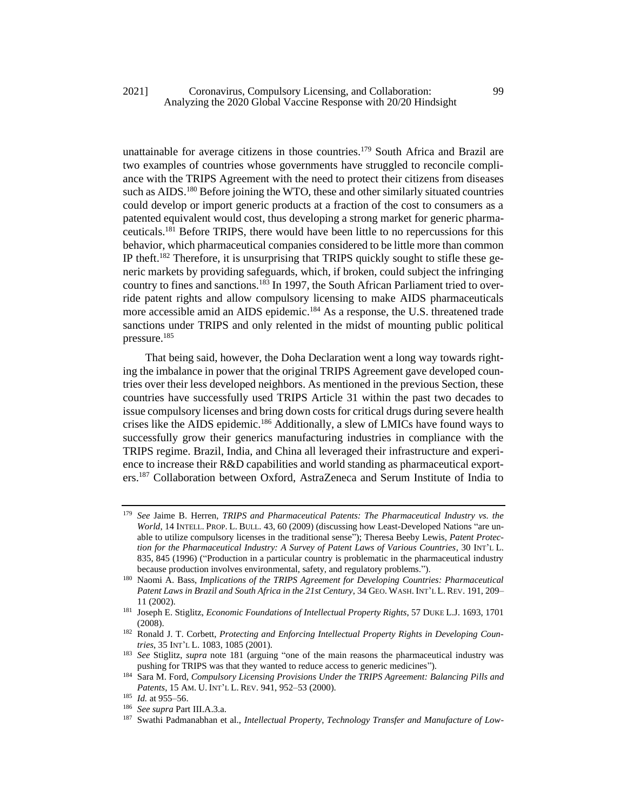## 2021] Coronavirus, Compulsory Licensing, and Collaboration: 99 Analyzing the 2020 Global Vaccine Response with 20/20 Hindsight

unattainable for average citizens in those countries.<sup>179</sup> South Africa and Brazil are two examples of countries whose governments have struggled to reconcile compliance with the TRIPS Agreement with the need to protect their citizens from diseases such as AIDS.<sup>180</sup> Before joining the WTO, these and other similarly situated countries could develop or import generic products at a fraction of the cost to consumers as a patented equivalent would cost, thus developing a strong market for generic pharmaceuticals.<sup>181</sup> Before TRIPS, there would have been little to no repercussions for this behavior, which pharmaceutical companies considered to be little more than common IP theft.<sup>182</sup> Therefore, it is unsurprising that TRIPS quickly sought to stifle these generic markets by providing safeguards, which, if broken, could subject the infringing country to fines and sanctions.<sup>183</sup> In 1997, the South African Parliament tried to override patent rights and allow compulsory licensing to make AIDS pharmaceuticals more accessible amid an AIDS epidemic.<sup>184</sup> As a response, the U.S. threatened trade sanctions under TRIPS and only relented in the midst of mounting public political pressure.<sup>185</sup>

That being said, however, the Doha Declaration went a long way towards righting the imbalance in power that the original TRIPS Agreement gave developed countries over their less developed neighbors. As mentioned in the previous Section, these countries have successfully used TRIPS Article 31 within the past two decades to issue compulsory licenses and bring down costs for critical drugs during severe health crises like the AIDS epidemic.<sup>186</sup> Additionally, a slew of LMICs have found ways to successfully grow their generics manufacturing industries in compliance with the TRIPS regime. Brazil, India, and China all leveraged their infrastructure and experience to increase their R&D capabilities and world standing as pharmaceutical exporters.<sup>187</sup> Collaboration between Oxford, AstraZeneca and Serum Institute of India to

<sup>179</sup> *See* Jaime B. Herren, *TRIPS and Pharmaceutical Patents: The Pharmaceutical Industry vs. the World*, 14 INTELL. PROP. L. BULL. 43, 60 (2009) (discussing how Least-Developed Nations "are unable to utilize compulsory licenses in the traditional sense"); Theresa Beeby Lewis, *Patent Protection for the Pharmaceutical Industry: A Survey of Patent Laws of Various Countries*, 30 INT'L L. 835, 845 (1996) ("Production in a particular country is problematic in the pharmaceutical industry because production involves environmental, safety, and regulatory problems.").

<sup>180</sup> Naomi A. Bass, *Implications of the TRIPS Agreement for Developing Countries: Pharmaceutical Patent Laws in Brazil and South Africa in the 21st Century*, 34 GEO. WASH. INT'L L. REV. 191, 209– 11 (2002).

<sup>181</sup> Joseph E. Stiglitz, *Economic Foundations of Intellectual Property Rights*, 57 DUKE L.J. 1693, 1701 (2008).

<sup>&</sup>lt;sup>182</sup> Ronald J. T. Corbett, *Protecting and Enforcing Intellectual Property Rights in Developing Countries*, 35 INT'L L. 1083, 1085 (2001).

<sup>183</sup> *See* Stiglitz, *supra* note 181 (arguing "one of the main reasons the pharmaceutical industry was pushing for TRIPS was that they wanted to reduce access to generic medicines").

<sup>184</sup> Sara M. Ford, *Compulsory Licensing Provisions Under the TRIPS Agreement: Balancing Pills and Patents*, 15 AM. U. INT'L L. REV. 941, 952–53 (2000).

<sup>185</sup> *Id.* at 955–56.

<sup>186</sup> *See supra* Part III.A.3.a.

<sup>187</sup> Swathi Padmanabhan et al., *Intellectual Property, Technology Transfer and Manufacture of Low-*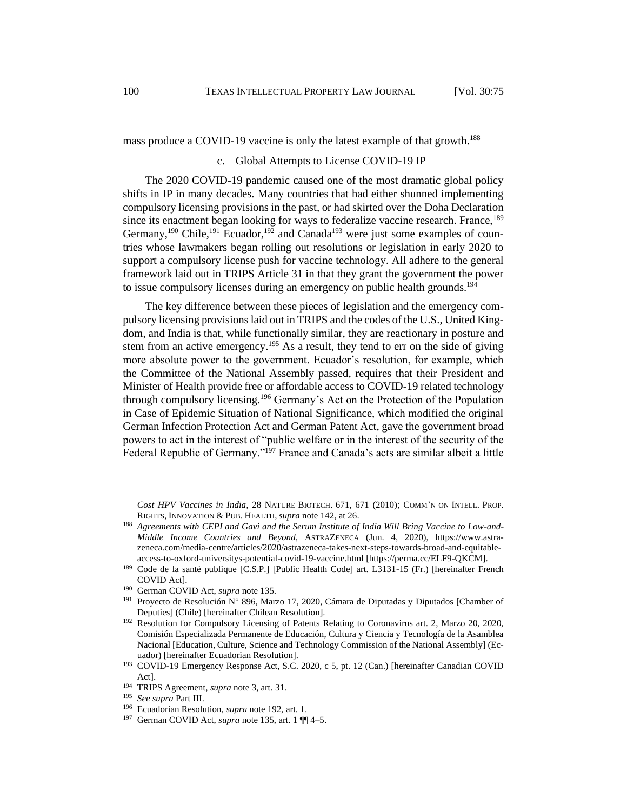mass produce a COVID-19 vaccine is only the latest example of that growth.<sup>188</sup>

## <span id="page-26-0"></span>c. Global Attempts to License COVID-19 IP

The 2020 COVID-19 pandemic caused one of the most dramatic global policy shifts in IP in many decades. Many countries that had either shunned implementing compulsory licensing provisions in the past, or had skirted over the Doha Declaration since its enactment began looking for ways to federalize vaccine research. France,<sup>189</sup> Germany,<sup>190</sup> Chile,<sup>191</sup> Ecuador,<sup>192</sup> and Canada<sup>193</sup> were just some examples of countries whose lawmakers began rolling out resolutions or legislation in early 2020 to support a compulsory license push for vaccine technology. All adhere to the general framework laid out in TRIPS Article 31 in that they grant the government the power to issue compulsory licenses during an emergency on public health grounds.<sup>194</sup>

The key difference between these pieces of legislation and the emergency compulsory licensing provisions laid out in TRIPS and the codes of the U.S., United Kingdom, and India is that, while functionally similar, they are reactionary in posture and stem from an active emergency.<sup>195</sup> As a result, they tend to err on the side of giving more absolute power to the government. Ecuador's resolution, for example, which the Committee of the National Assembly passed, requires that their President and Minister of Health provide free or affordable access to COVID-19 related technology through compulsory licensing.<sup>196</sup> Germany's Act on the Protection of the Population in Case of Epidemic Situation of National Significance, which modified the original German Infection Protection Act and German Patent Act, gave the government broad powers to act in the interest of "public welfare or in the interest of the security of the Federal Republic of Germany."<sup>197</sup> France and Canada's acts are similar albeit a little

*Cost HPV Vaccines in India*, 28 NATURE BIOTECH. 671, 671 (2010); COMM'N ON INTELL. PROP. RIGHTS, INNOVATION & PUB. HEALTH, *supra* note [142,](#page-21-0) at 26.

<sup>188</sup> *Agreements with CEPI and Gavi and the Serum Institute of India Will Bring Vaccine to Low-and-Middle Income Countries and Beyond*, ASTRAZENECA (Jun. 4, 2020), https://www.astrazeneca.com/media-centre/articles/2020/astrazeneca-takes-next-steps-towards-broad-and-equitableaccess-to-oxford-universitys-potential-covid-19-vaccine.html [https://perma.cc/ELF9-QKCM].

<sup>&</sup>lt;sup>189</sup> Code de la santé publique [C.S.P.] [Public Health Code] art. L3131-15 (Fr.) [hereinafter French COVID Act].

<sup>190</sup> German COVID Act, *supra* note [135.](#page-20-4)

<sup>&</sup>lt;sup>191</sup> Proyecto de Resolución N° 896, Marzo 17, 2020, Cámara de Diputadas y Diputados [Chamber of Deputies] (Chile) [hereinafter Chilean Resolution].

<sup>&</sup>lt;sup>192</sup> Resolution for Compulsory Licensing of Patents Relating to Coronavirus art. 2, Marzo 20, 2020, Comisión Especializada Permanente de Educación, Cultura y Ciencia y Tecnología de la Asamblea Nacional [Education, Culture, Science and Technology Commission of the National Assembly] (Ecuador) [hereinafter Ecuadorian Resolution].

<sup>193</sup> COVID-19 Emergency Response Act, S.C. 2020, c 5, pt. 12 (Can.) [hereinafter Canadian COVID Act].

<sup>194</sup> TRIPS Agreement, *supra* not[e 3,](#page-3-1) art. 31.

<sup>195</sup> *See supra* Part III.

<sup>196</sup> Ecuadorian Resolution, *supra* note 192, art. 1.

<sup>197</sup> German COVID Act, *supra* note [135,](#page-20-4) art. 1 ¶¶ 4–5.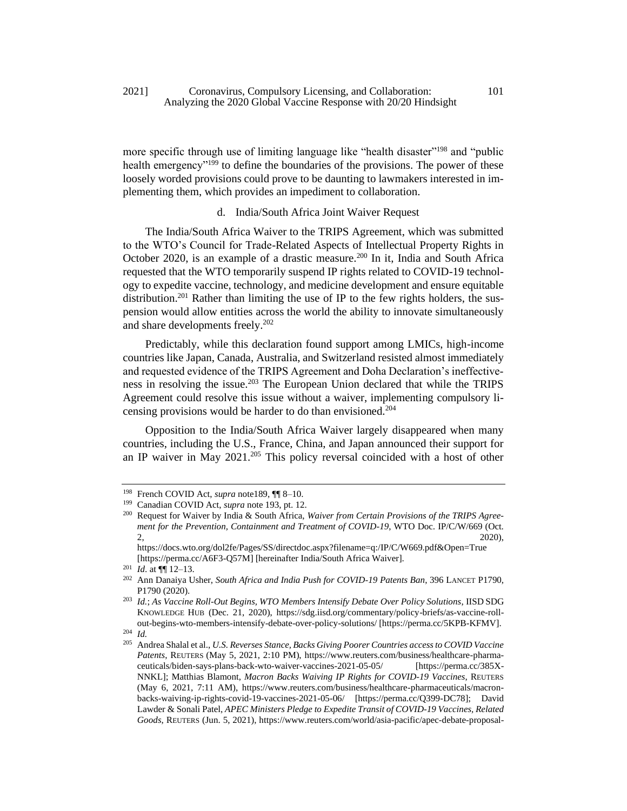more specific through use of limiting language like "health disaster"<sup>198</sup> and "public health emergency<sup>"199</sup> to define the boundaries of the provisions. The power of these loosely worded provisions could prove to be daunting to lawmakers interested in implementing them, which provides an impediment to collaboration.

d. India/South Africa Joint Waiver Request

The India/South Africa Waiver to the TRIPS Agreement, which was submitted to the WTO's Council for Trade-Related Aspects of Intellectual Property Rights in October 2020, is an example of a drastic measure.<sup>200</sup> In it, India and South Africa requested that the WTO temporarily suspend IP rights related to COVID-19 technology to expedite vaccine, technology, and medicine development and ensure equitable distribution.<sup>201</sup> Rather than limiting the use of IP to the few rights holders, the suspension would allow entities across the world the ability to innovate simultaneously and share developments freely.<sup>202</sup>

Predictably, while this declaration found support among LMICs, high-income countries like Japan, Canada, Australia, and Switzerland resisted almost immediately and requested evidence of the TRIPS Agreement and Doha Declaration's ineffectiveness in resolving the issue.<sup>203</sup> The European Union declared that while the TRIPS Agreement could resolve this issue without a waiver, implementing compulsory licensing provisions would be harder to do than envisioned.<sup>204</sup>

Opposition to the India/South Africa Waiver largely disappeared when many countries, including the U.S., France, China, and Japan announced their support for an IP waiver in May 2021.<sup>205</sup> This policy reversal coincided with a host of other

<sup>198</sup> French COVID Act, *supra* note189, ¶¶ 8–10.

<sup>199</sup> Canadian COVID Act, *supra* note 193, pt. 12.

<sup>200</sup> Request for Waiver by India & South Africa, *Waiver from Certain Provisions of the TRIPS Agreement for the Prevention, Containment and Treatment of COVID-19*, WTO Doc. IP/C/W/669 (Oct.  $2, 2, 2$ 

https://docs.wto.org/dol2fe/Pages/SS/directdoc.aspx?filename=q:/IP/C/W669.pdf&Open=True [https://perma.cc/A6F3-Q57M] [hereinafter India/South Africa Waiver].

<sup>201</sup> *Id*. at ¶¶ 12–13.

<sup>202</sup> Ann Danaiya Usher, *South Africa and India Push for COVID-19 Patents Ban*, 396 LANCET P1790, P1790 (2020).

<sup>203</sup> *Id.*; *As Vaccine Roll-Out Begins, WTO Members Intensify Debate Over Policy Solutions*, IISD SDG KNOWLEDGE HUB (Dec. 21, 2020), https://sdg.iisd.org/commentary/policy-briefs/as-vaccine-rollout-begins-wto-members-intensify-debate-over-policy-solutions/ [https://perma.cc/5KPB-KFMV]. <sup>204</sup> *Id.* 

<sup>205</sup> Andrea Shalal et al., *U.S. Reverses Stance, Backs Giving Poorer Countries access to COVID Vaccine Patents*, REUTERS (May 5, 2021, 2:10 PM), https://www.reuters.com/business/healthcare-pharmaceuticals/biden-says-plans-back-wto-waiver-vaccines-2021-05-05/ [https://perma.cc/385X-NNKL]; Matthias Blamont, *Macron Backs Waiving IP Rights for COVID-19 Vaccines*, REUTERS (May 6, 2021, 7:11 AM), https://www.reuters.com/business/healthcare-pharmaceuticals/macronbacks-waiving-ip-rights-covid-19-vaccines-2021-05-06/ [https://perma.cc/Q399-DC78]; David Lawder & Sonali Patel, *APEC Ministers Pledge to Expedite Transit of COVID-19 Vaccines, Related Goods*, REUTERS (Jun. 5, 2021), https://www.reuters.com/world/asia-pacific/apec-debate-proposal-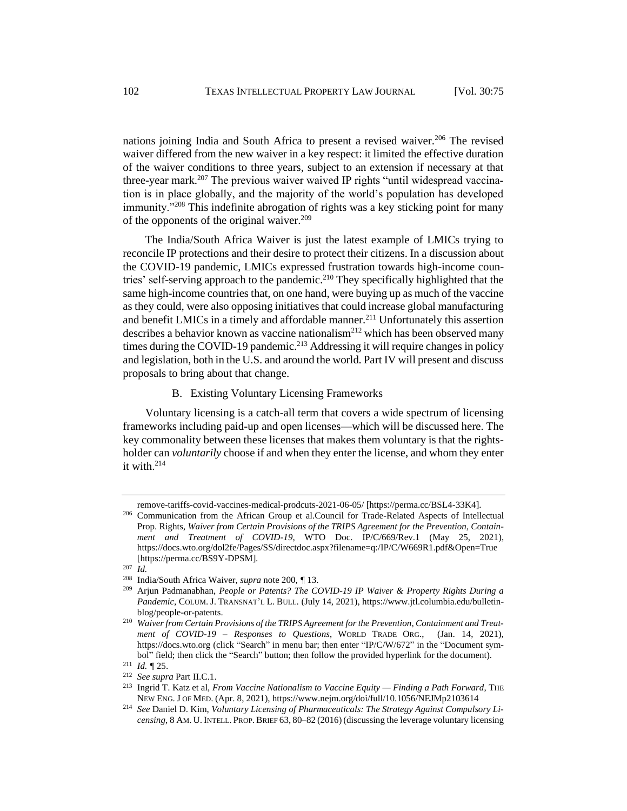nations joining India and South Africa to present a revised waiver.<sup>206</sup> The revised waiver differed from the new waiver in a key respect: it limited the effective duration of the waiver conditions to three years, subject to an extension if necessary at that three-year mark.<sup>207</sup> The previous waiver waived IP rights "until widespread vaccination is in place globally, and the majority of the world's population has developed immunity."<sup>208</sup> This indefinite abrogation of rights was a key sticking point for many of the opponents of the original waiver.<sup>209</sup>

The India/South Africa Waiver is just the latest example of LMICs trying to reconcile IP protections and their desire to protect their citizens. In a discussion about the COVID-19 pandemic, LMICs expressed frustration towards high-income countries' self-serving approach to the pandemic.<sup>210</sup> They specifically highlighted that the same high-income countries that, on one hand, were buying up as much of the vaccine as they could, were also opposing initiatives that could increase global manufacturing and benefit LMICs in a timely and affordable manner.<sup>211</sup> Unfortunately this assertion describes a behavior known as vaccine nationalism<sup>212</sup> which has been observed many times during the COVID-19 pandemic.<sup>213</sup> Addressing it will require changes in policy and legislation, both in the U.S. and around the world. Part IV will present and discuss proposals to bring about that change.

## B. Existing Voluntary Licensing Frameworks

Voluntary licensing is a catch-all term that covers a wide spectrum of licensing frameworks including paid-up and open licenses—which will be discussed here. The key commonality between these licenses that makes them voluntary is that the rightsholder can *voluntarily* choose if and when they enter the license, and whom they enter it with.<sup>214</sup>

remove-tariffs-covid-vaccines-medical-prodcuts-2021-06-05/ [https://perma.cc/BSL4-33K4].

<sup>206</sup> Communication from the African Group et al.Council for Trade-Related Aspects of Intellectual Prop. Rights, *Waiver from Certain Provisions of the TRIPS Agreement for the Prevention, Containment and Treatment of COVID-19*, WTO Doc. IP/C/669/Rev.1 (May 25, 2021), https://docs.wto.org/dol2fe/Pages/SS/directdoc.aspx?filename=q:/IP/C/W669R1.pdf&Open=True [https://perma.cc/BS9Y-DPSM].

<sup>207</sup> *Id.* 

<sup>208</sup> India/South Africa Waiver, *supra* note 200, *¶* 13.

<sup>209</sup> Arjun Padmanabhan, *People or Patents? The COVID-19 IP Waiver & Property Rights During a Pandemic*, COLUM. J. TRANSNAT'L L. BULL. (July 14, 2021), [https://www.jtl.columbia.edu/bulletin](https://www.jtl.columbia.edu/bulletin-blog/people-or-patents)[blog/people-or-patents.](https://www.jtl.columbia.edu/bulletin-blog/people-or-patents)

<sup>210</sup> *Waiver from Certain Provisions of the TRIPS Agreement for the Prevention, Containment and Treatment of COVID-19 – Responses to Questions*, WORLD TRADE ORG., (Jan. 14, 2021), [https://docs.wto.org](https://docs.wto.org/) (click "Search" in menu bar; then enter "IP/C/W/672" in the "Document symbol" field; then click the "Search" button; then follow the provided hyperlink for the document).

<sup>211</sup> *Id. ¶* 25.

<sup>212</sup> *See supra* Part II.C.1.

<sup>213</sup> Ingrid T. Katz et al, *From Vaccine Nationalism to Vaccine Equity — Finding a Path Forward*, THE NEW ENG. J OF MED. (Apr. 8, 2021), https://www.nejm.org/doi/full/10.1056/NEJMp2103614

<sup>214</sup> *See* Daniel D. Kim, *Voluntary Licensing of Pharmaceuticals: The Strategy Against Compulsory Licensing*, 8 AM. U. INTELL. PROP. BRIEF 63, 80–82 (2016)(discussing the leverage voluntary licensing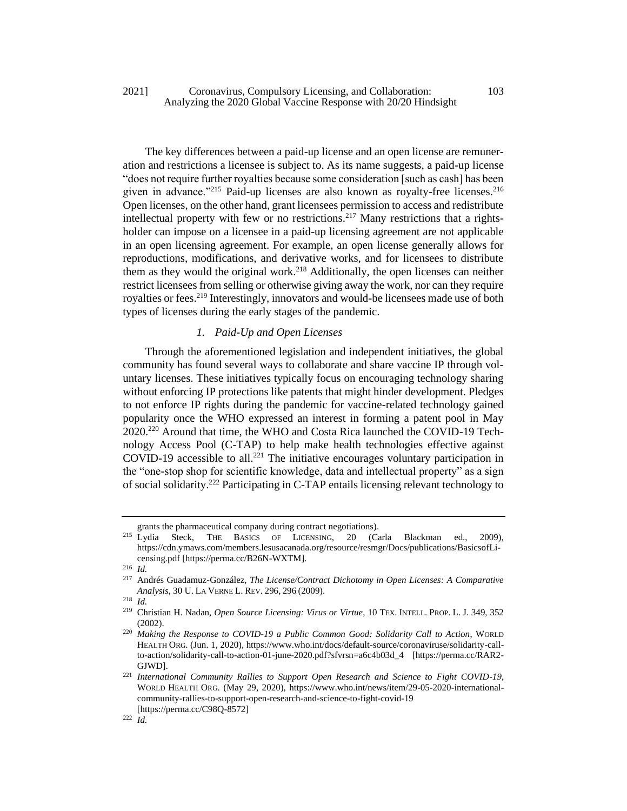## 2021] Coronavirus, Compulsory Licensing, and Collaboration: 103 Analyzing the 2020 Global Vaccine Response with 20/20 Hindsight

The key differences between a paid-up license and an open license are remuneration and restrictions a licensee is subject to. As its name suggests, a paid-up license "does not require further royalties because some consideration [such as cash] has been given in advance."<sup>215</sup> Paid-up licenses are also known as royalty-free licenses.<sup>216</sup> Open licenses, on the other hand, grant licensees permission to access and redistribute intellectual property with few or no restrictions.<sup>217</sup> Many restrictions that a rightsholder can impose on a licensee in a paid-up licensing agreement are not applicable in an open licensing agreement. For example, an open license generally allows for reproductions, modifications, and derivative works, and for licensees to distribute them as they would the original work.<sup>218</sup> Additionally, the open licenses can neither restrict licensees from selling or otherwise giving away the work, nor can they require royalties or fees.<sup>219</sup> Interestingly, innovators and would-be licensees made use of both types of licenses during the early stages of the pandemic.

# *1. Paid-Up and Open Licenses*

Through the aforementioned legislation and independent initiatives, the global community has found several ways to collaborate and share vaccine IP through voluntary licenses. These initiatives typically focus on encouraging technology sharing without enforcing IP protections like patents that might hinder development. Pledges to not enforce IP rights during the pandemic for vaccine-related technology gained popularity once the WHO expressed an interest in forming a patent pool in May 2020.<sup>220</sup> Around that time, the WHO and Costa Rica launched the COVID-19 Technology Access Pool (C-TAP) to help make health technologies effective against COVID-19 accessible to all.<sup>221</sup> The initiative encourages voluntary participation in the "one-stop shop for scientific knowledge, data and intellectual property" as a sign of social solidarity.<sup>222</sup> Participating in C-TAP entails licensing relevant technology to

<span id="page-29-0"></span>

grants the pharmaceutical company during contract negotiations).<br><sup>215</sup> Lvdia Steck, THE BASICS OF LICENSING, 20 (Ca THE BASICS OF LICENSING, 20 (Carla Blackman ed., 2009), https://cdn.ymaws.com/members.lesusacanada.org/resource/resmgr/Docs/publications/BasicsofLicensing.pdf [https://perma.cc/B26N-WXTM].

 $\frac{216}{217}$  *Id.* 

<sup>217</sup> Andrés Guadamuz-González, *The License/Contract Dichotomy in Open Licenses: A Comparative Analysis*, 30 U. LA VERNE L. REV. 296, 296 (2009).

<sup>218</sup> *Id.* 

<sup>219</sup> Christian H. Nadan, *Open Source Licensing: Virus or Virtue*, 10 TEX. INTELL. PROP. L. J. 349, 352 (2002).

<sup>220</sup> *Making the Response to COVID-19 a Public Common Good: Solidarity Call to Action*, WORLD HEALTH ORG. (Jun. 1, 2020), https://www.who.int/docs/default-source/coronaviruse/solidarity-callto-action/solidarity-call-to-action-01-june-2020.pdf?sfvrsn=a6c4b03d\_4 [https://perma.cc/RAR2- GJWD].

<sup>221</sup> *International Community Rallies to Support Open Research and Science to Fight COVID-19*, WORLD HEALTH ORG. (May 29, 2020), https://www.who.int/news/item/29-05-2020-internationalcommunity-rallies-to-support-open-research-and-science-to-fight-covid-19 [https://perma.cc/C98Q-8572]

<sup>222</sup> *Id.*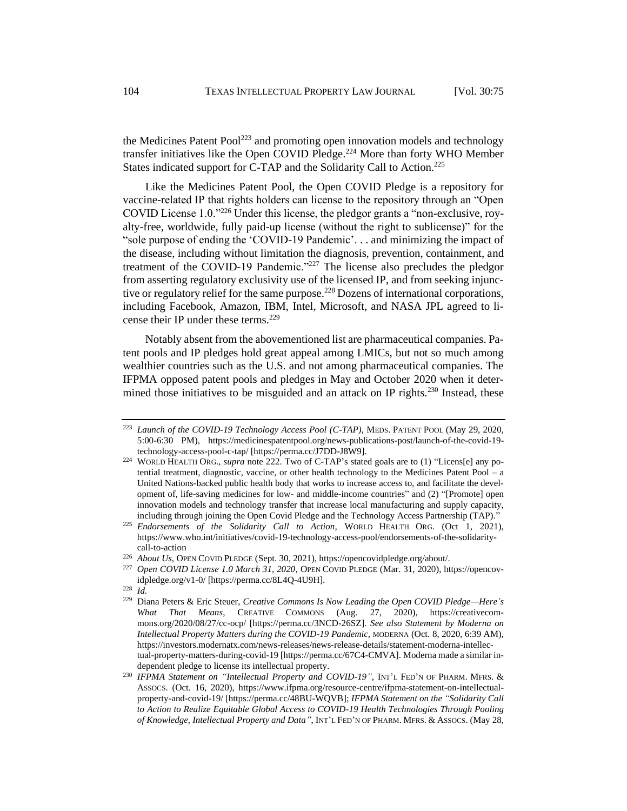the Medicines Patent Pool<sup>223</sup> and promoting open innovation models and technology transfer initiatives like the Open COVID Pledge.<sup>224</sup> More than forty WHO Member States indicated support for C-TAP and the Solidarity Call to Action.<sup>225</sup>

Like the Medicines Patent Pool, the Open COVID Pledge is a repository for vaccine-related IP that rights holders can license to the repository through an "Open COVID License 1.0."<sup>226</sup> Under this license, the pledgor grants a "non-exclusive, royalty-free, worldwide, fully paid-up license (without the right to sublicense)" for the "sole purpose of ending the 'COVID-19 Pandemic'. . . and minimizing the impact of the disease, including without limitation the diagnosis, prevention, containment, and treatment of the COVID-19 Pandemic."<sup>227</sup> The license also precludes the pledgor from asserting regulatory exclusivity use of the licensed IP, and from seeking injunctive or regulatory relief for the same purpose.<sup>228</sup> Dozens of international corporations, including Facebook, Amazon, IBM, Intel, Microsoft, and NASA JPL agreed to license their IP under these terms.<sup>229</sup>

Notably absent from the abovementioned list are pharmaceutical companies. Patent pools and IP pledges hold great appeal among LMICs, but not so much among wealthier countries such as the U.S. and not among pharmaceutical companies. The IFPMA opposed patent pools and pledges in May and October 2020 when it determined those initiatives to be misguided and an attack on IP rights.<sup>230</sup> Instead, these

<sup>228</sup> *Id.* 

<sup>223</sup> *Launch of the COVID-19 Technology Access Pool (C-TAP)*, MEDS. PATENT POOL (May 29, 2020, 5:00-6:30 PM), https://medicinespatentpool.org/news-publications-post/launch-of-the-covid-19 technology-access-pool-c-tap/ [https://perma.cc/J7DD-J8W9].

<sup>&</sup>lt;sup>224</sup> WORLD HEALTH ORG., *supra* not[e 222.](#page-29-0) Two of C-TAP's stated goals are to (1) "Licens[e] any potential treatment, diagnostic, vaccine, or other health technology to the Medicines Patent Pool – a United Nations-backed public health body that works to increase access to, and facilitate the development of, life-saving medicines for low- and middle-income countries" and (2) "[Promote] open innovation models and technology transfer that increase local manufacturing and supply capacity, including through joining the Open Covid Pledge and the Technology Access Partnership (TAP)."

<sup>225</sup> *Endorsements of the Solidarity Call to Action,* WORLD HEALTH ORG. (Oct 1, 2021), https://www.who.int/initiatives/covid-19-technology-access-pool/endorsements-of-the-solidaritycall-to-action

<sup>226</sup> *About Us*, OPEN COVID PLEDGE (Sept. 30, 2021), https://opencovidpledge.org/about/.

<sup>227</sup> *Open COVID License 1.0 March 31, 2020*, OPEN COVID PLEDGE (Mar. 31, 2020), https://opencovidpledge.org/v1-0/ [https://perma.cc/8L4Q-4U9H].

<sup>229</sup> Diana Peters & Eric Steuer, *Creative Commons Is Now Leading the Open COVID Pledge—Here's What That Means*, CREATIVE COMMONS (Aug. 27, 2020), https://creativecommons.org/2020/08/27/cc-ocp/ [https://perma.cc/3NCD-26SZ]. *See also Statement by Moderna on Intellectual Property Matters during the COVID-19 Pandemic, MODERNA (Oct. 8, 2020, 6:39 AM),* https://investors.modernatx.com/news-releases/news-release-details/statement-moderna-intellectual-property-matters-during-covid-19 [https://perma.cc/67C4-CMVA]. Moderna made a similar independent pledge to license its intellectual property.

<sup>230</sup> *IFPMA Statement on "Intellectual Property and COVID-19"*, INT'L FED'N OF PHARM. MFRS. & ASSOCS. (Oct. 16, 2020), https://www.ifpma.org/resource-centre/ifpma-statement-on-intellectualproperty-and-covid-19/ [https://perma.cc/48BU-WQVB]; *IFPMA Statement on the "Solidarity Call to Action to Realize Equitable Global Access to COVID-19 Health Technologies Through Pooling of Knowledge, Intellectual Property and Data"*, INT'L FED'N OF PHARM. MFRS. & ASSOCS. (May 28,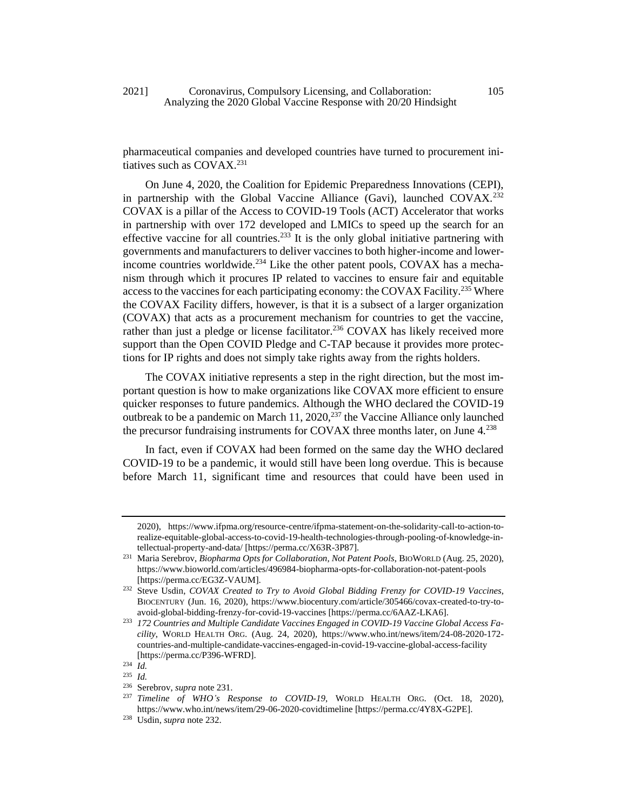<span id="page-31-0"></span>pharmaceutical companies and developed countries have turned to procurement initiatives such as  $COVAX.<sup>231</sup>$ 

<span id="page-31-1"></span>On June 4, 2020, the Coalition for Epidemic Preparedness Innovations (CEPI), in partnership with the Global Vaccine Alliance (Gavi), launched COVAX.<sup>232</sup> COVAX is a pillar of the Access to COVID-19 Tools (ACT) Accelerator that works in partnership with over 172 developed and LMICs to speed up the search for an effective vaccine for all countries.<sup>233</sup> It is the only global initiative partnering with governments and manufacturers to deliver vaccines to both higher-income and lowerincome countries worldwide.<sup>234</sup> Like the other patent pools, COVAX has a mechanism through which it procures IP related to vaccines to ensure fair and equitable access to the vaccines for each participating economy: the COVAX Facility.<sup>235</sup> Where the COVAX Facility differs, however, is that it is a subsect of a larger organization (COVAX) that acts as a procurement mechanism for countries to get the vaccine, rather than just a pledge or license facilitator.<sup>236</sup> COVAX has likely received more support than the Open COVID Pledge and C-TAP because it provides more protections for IP rights and does not simply take rights away from the rights holders.

The COVAX initiative represents a step in the right direction, but the most important question is how to make organizations like COVAX more efficient to ensure quicker responses to future pandemics. Although the WHO declared the COVID-19 outbreak to be a pandemic on March 11, 2020,<sup>237</sup> the Vaccine Alliance only launched the precursor fundraising instruments for COVAX three months later, on June  $4^{238}$ 

In fact, even if COVAX had been formed on the same day the WHO declared COVID-19 to be a pandemic, it would still have been long overdue. This is because before March 11, significant time and resources that could have been used in

<sup>2020),</sup> https://www.ifpma.org/resource-centre/ifpma-statement-on-the-solidarity-call-to-action-torealize-equitable-global-access-to-covid-19-health-technologies-through-pooling-of-knowledge-intellectual-property-and-data/ [https://perma.cc/X63R-3P87].

<sup>231</sup> Maria Serebrov, *Biopharma Opts for Collaboration, Not Patent Pools*, BIOWORLD (Aug. 25, 2020), https://www.bioworld.com/articles/496984-biopharma-opts-for-collaboration-not-patent-pools [https://perma.cc/EG3Z-VAUM].

<sup>232</sup> Steve Usdin, *COVAX Created to Try to Avoid Global Bidding Frenzy for COVID-19 Vaccines*, BIOCENTURY (Jun. 16, 2020), https://www.biocentury.com/article/305466/covax-created-to-try-toavoid-global-bidding-frenzy-for-covid-19-vaccines [https://perma.cc/6AAZ-LKA6].

<sup>233</sup> *172 Countries and Multiple Candidate Vaccines Engaged in COVID-19 Vaccine Global Access Facility*, WORLD HEALTH ORG. (Aug. 24, 2020), https://www.who.int/news/item/24-08-2020-172 countries-and-multiple-candidate-vaccines-engaged-in-covid-19-vaccine-global-access-facility [https://perma.cc/P396-WFRD].

<sup>234</sup> *Id.* 

<sup>235</sup> *Id.*

<sup>&</sup>lt;sup>236</sup> Serebrov, *supra* not[e 231.](#page-31-0)<br><sup>237</sup> Timeline of WHO's **P**.

<sup>237</sup> *Timeline of WHO's Response to COVID-19*, WORLD HEALTH ORG. (Oct. 18, 2020), https://www.who.int/news/item/29-06-2020-covidtimeline [https://perma.cc/4Y8X-G2PE].

<sup>238</sup> Usdin, *supra* not[e 232.](#page-31-1)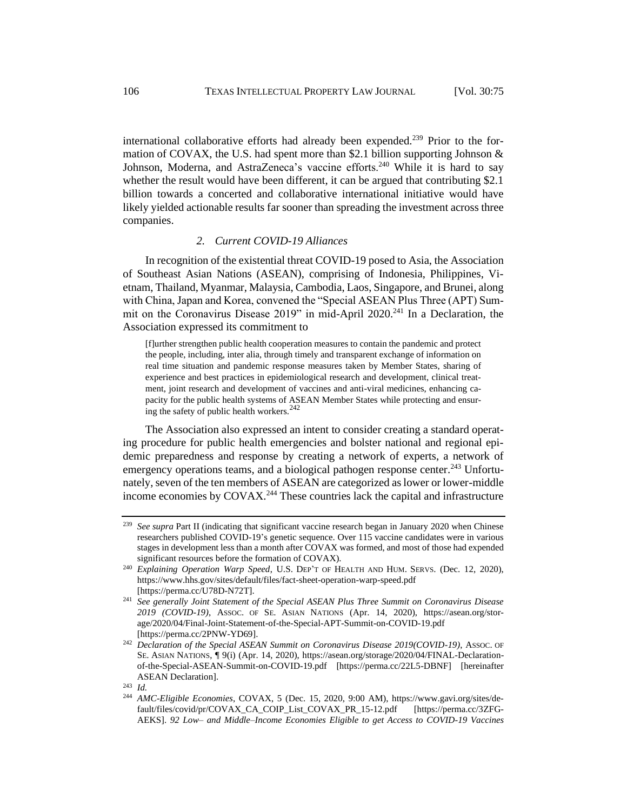international collaborative efforts had already been expended.<sup>239</sup> Prior to the formation of COVAX, the U.S. had spent more than \$2.1 billion supporting Johnson  $\&$ Johnson, Moderna, and AstraZeneca's vaccine efforts.<sup>240</sup> While it is hard to say whether the result would have been different, it can be argued that contributing \$2.1 billion towards a concerted and collaborative international initiative would have likely yielded actionable results far sooner than spreading the investment across three companies.

#### *2. Current COVID-19 Alliances*

In recognition of the existential threat COVID-19 posed to Asia, the Association of Southeast Asian Nations (ASEAN), comprising of Indonesia, Philippines, Vietnam, Thailand, Myanmar, Malaysia, Cambodia, Laos, Singapore, and Brunei, along with China, Japan and Korea, convened the "Special ASEAN Plus Three (APT) Summit on the Coronavirus Disease 2019" in mid-April 2020.<sup>241</sup> In a Declaration, the Association expressed its commitment to

<span id="page-32-0"></span>[f]urther strengthen public health cooperation measures to contain the pandemic and protect the people, including, inter alia, through timely and transparent exchange of information on real time situation and pandemic response measures taken by Member States, sharing of experience and best practices in epidemiological research and development, clinical treatment, joint research and development of vaccines and anti-viral medicines, enhancing capacity for the public health systems of ASEAN Member States while protecting and ensuring the safety of public health workers.<sup>242</sup>

The Association also expressed an intent to consider creating a standard operating procedure for public health emergencies and bolster national and regional epidemic preparedness and response by creating a network of experts, a network of emergency operations teams, and a biological pathogen response center.<sup>243</sup> Unfortunately, seven of the ten members of ASEAN are categorized as lower or lower-middle income economies by COVAX.<sup>244</sup> These countries lack the capital and infrastructure

<sup>239</sup> *See supra* Part II (indicating that significant vaccine research began in January 2020 when Chinese researchers published COVID-19's genetic sequence. Over 115 vaccine candidates were in various stages in development less than a month after COVAX was formed, and most of those had expended significant resources before the formation of COVAX).

<sup>240</sup> *Explaining Operation Warp Speed*, U.S. DEP'T OF HEALTH AND HUM. SERVS. (Dec. 12, 2020), https://www.hhs.gov/sites/default/files/fact-sheet-operation-warp-speed.pdf [https://perma.cc/U78D-N72T].

<sup>241</sup> *See generally Joint Statement of the Special ASEAN Plus Three Summit on Coronavirus Disease 2019 (COVID-19)*, ASSOC. OF SE. ASIAN NATIONS (Apr. 14, 2020), https://asean.org/storage/2020/04/Final-Joint-Statement-of-the-Special-APT-Summit-on-COVID-19.pdf [https://perma.cc/2PNW-YD69].

<sup>&</sup>lt;sup>242</sup> *Declaration of the Special ASEAN Summit on Coronavirus Disease 2019(COVID-19)*, Assoc. OF SE. ASIAN NATIONS, ¶ 9(i) (Apr. 14, 2020), https://asean.org/storage/2020/04/FINAL-Declarationof-the-Special-ASEAN-Summit-on-COVID-19.pdf [https://perma.cc/22L5-DBNF] [hereinafter ASEAN Declaration].

<sup>243</sup> *Id.* 

<sup>244</sup> *AMC-Eligible Economies*, COVAX, 5 (Dec. 15, 2020, 9:00 AM), https://www.gavi.org/sites/default/files/covid/pr/COVAX\_CA\_COIP\_List\_COVAX\_PR\_15-12.pdf [https://perma.cc/3ZFG-AEKS]. *92 Low– and Middle–Income Economies Eligible to get Access to COVID-19 Vaccines*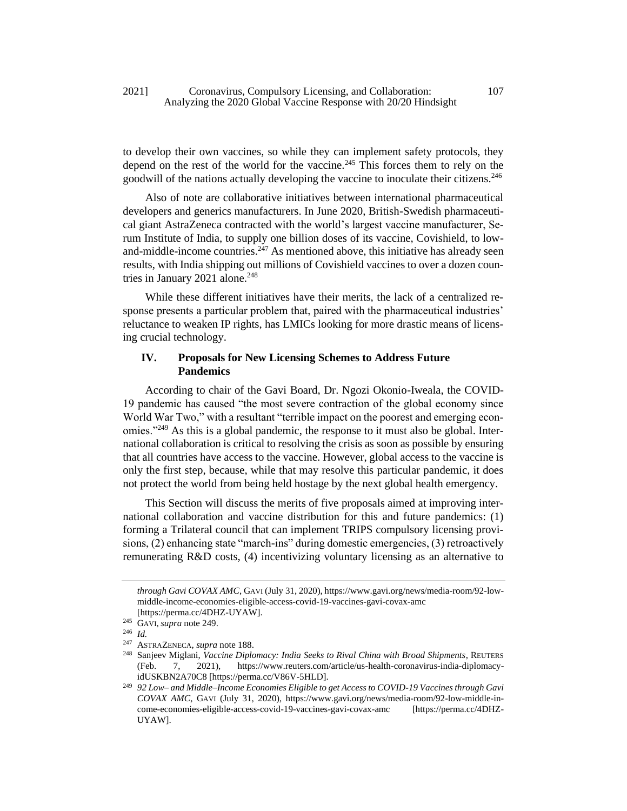to develop their own vaccines, so while they can implement safety protocols, they depend on the rest of the world for the vaccine.<sup>245</sup> This forces them to rely on the goodwill of the nations actually developing the vaccine to inoculate their citizens.<sup>246</sup>

Also of note are collaborative initiatives between international pharmaceutical developers and generics manufacturers. In June 2020, British-Swedish pharmaceutical giant AstraZeneca contracted with the world's largest vaccine manufacturer, Serum Institute of India, to supply one billion doses of its vaccine, Covishield, to lowand-middle-income countries. $247$  As mentioned above, this initiative has already seen results, with India shipping out millions of Covishield vaccines to over a dozen countries in January 2021 alone. $248$ 

While these different initiatives have their merits, the lack of a centralized response presents a particular problem that, paired with the pharmaceutical industries' reluctance to weaken IP rights, has LMICs looking for more drastic means of licensing crucial technology.

# **IV. Proposals for New Licensing Schemes to Address Future Pandemics**

<span id="page-33-0"></span>According to chair of the Gavi Board, Dr. Ngozi Okonio-Iweala, the COVID-19 pandemic has caused "the most severe contraction of the global economy since World War Two," with a resultant "terrible impact on the poorest and emerging economies."<sup>249</sup> As this is a global pandemic, the response to it must also be global. International collaboration is critical to resolving the crisis as soon as possible by ensuring that all countries have access to the vaccine. However, global access to the vaccine is only the first step, because, while that may resolve this particular pandemic, it does not protect the world from being held hostage by the next global health emergency.

This Section will discuss the merits of five proposals aimed at improving international collaboration and vaccine distribution for this and future pandemics: (1) forming a Trilateral council that can implement TRIPS compulsory licensing provisions, (2) enhancing state "march-ins" during domestic emergencies, (3) retroactively remunerating R&D costs, (4) incentivizing voluntary licensing as an alternative to

*through Gavi COVAX AMC*, GAVI (July 31, 2020), https://www.gavi.org/news/media-room/92-lowmiddle-income-economies-eligible-access-covid-19-vaccines-gavi-covax-amc

<sup>[</sup>https://perma.cc/4DHZ-UYAW].

<sup>245</sup> GAVI, *supra* not[e 249.](#page-33-0) <sup>246</sup> *Id.* 

<sup>247</sup> ASTRAZENECA, *supra* not[e 188.](#page-26-0)

<sup>248</sup> Sanjeev Miglani, *Vaccine Diplomacy: India Seeks to Rival China with Broad Shipments*, REUTERS (Feb. 7, 2021), https://www.reuters.com/article/us-health-coronavirus-india-diplomacyidUSKBN2A70C8 [https://perma.cc/V86V-5HLD].

<sup>249</sup> *92 Low– and Middle–Income Economies Eligible to get Access to COVID-19 Vaccines through Gavi COVAX AMC*, GAVI (July 31, 2020), https://www.gavi.org/news/media-room/92-low-middle-income-economies-eligible-access-covid-19-vaccines-gavi-covax-amc [https://perma.cc/4DHZ-UYAW].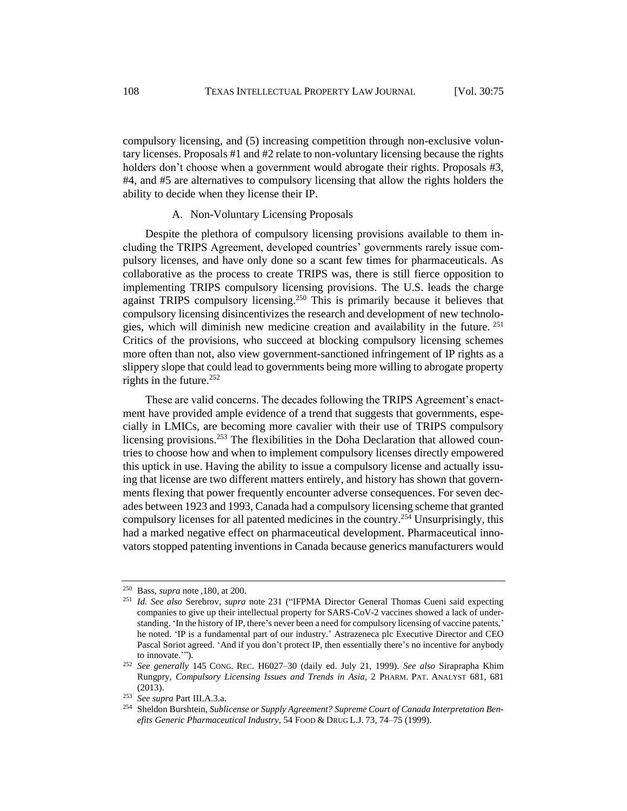compulsory licensing, and (5) increasing competition through non-exclusive voluntary licenses. Proposals #1 and #2 relate to non-voluntary licensing because the rights holders don't choose when a government would abrogate their rights. Proposals #3, #4, and #5 are alternatives to compulsory licensing that allow the rights holders the ability to decide when they license their IP.

## A. Non-Voluntary Licensing Proposals

Despite the plethora of compulsory licensing provisions available to them including the TRIPS Agreement, developed countries' governments rarely issue compulsory licenses, and have only done so a scant few times for pharmaceuticals. As collaborative as the process to create TRIPS was, there is still fierce opposition to implementing TRIPS compulsory licensing provisions. The U.S. leads the charge against TRIPS compulsory licensing.<sup>250</sup> This is primarily because it believes that compulsory licensing disincentivizes the research and development of new technologies, which will diminish new medicine creation and availability in the future. <sup>251</sup> Critics of the provisions, who succeed at blocking compulsory licensing schemes more often than not, also view government-sanctioned infringement of IP rights as a slippery slope that could lead to governments being more willing to abrogate property rights in the future. $252$ 

These are valid concerns. The decades following the TRIPS Agreement's enactment have provided ample evidence of a trend that suggests that governments, especially in LMICs, are becoming more cavalier with their use of TRIPS compulsory licensing provisions.<sup>253</sup> The flexibilities in the Doha Declaration that allowed countries to choose how and when to implement compulsory licenses directly empowered this uptick in use. Having the ability to issue a compulsory license and actually issuing that license are two different matters entirely, and history has shown that governments flexing that power frequently encounter adverse consequences. For seven decades between 1923 and 1993, Canada had a compulsory licensing scheme that granted compulsory licenses for all patented medicines in the country.<sup>254</sup> Unsurprisingly, this had a marked negative effect on pharmaceutical development. Pharmaceutical innovators stopped patenting inventions in Canada because generics manufacturers would

<sup>250</sup> Bass, *supra* note ,180, at 200.

<sup>251</sup> *Id. See also* Serebrov, *supra* note [231](#page-31-0) ("IFPMA Director General Thomas Cueni said expecting companies to give up their intellectual property for SARS-CoV-2 vaccines showed a lack of understanding. 'In the history of IP, there's never been a need for compulsory licensing of vaccine patents,' he noted. 'IP is a fundamental part of our industry.' Astrazeneca plc Executive Director and CEO Pascal Soriot agreed. 'And if you don't protect IP, then essentially there's no incentive for anybody to innovate.'").

<sup>252</sup> *See generally* 145 CONG. REC. H6027–30 (daily ed. July 21, 1999). *See also* Siraprapha Khim Rungpry, *Compulsory Licensing Issues and Trends in Asia*, 2 PHARM. PAT. ANALYST 681, 681 (2013).

<sup>253</sup> *See supra* Part III.A.3.a.

<sup>254</sup> Sheldon Burshtein, *Sublicense or Supply Agreement? Supreme Court of Canada Interpretation Benefits Generic Pharmaceutical Industry*, 54 FOOD & DRUG L.J. 73, 74–75 (1999).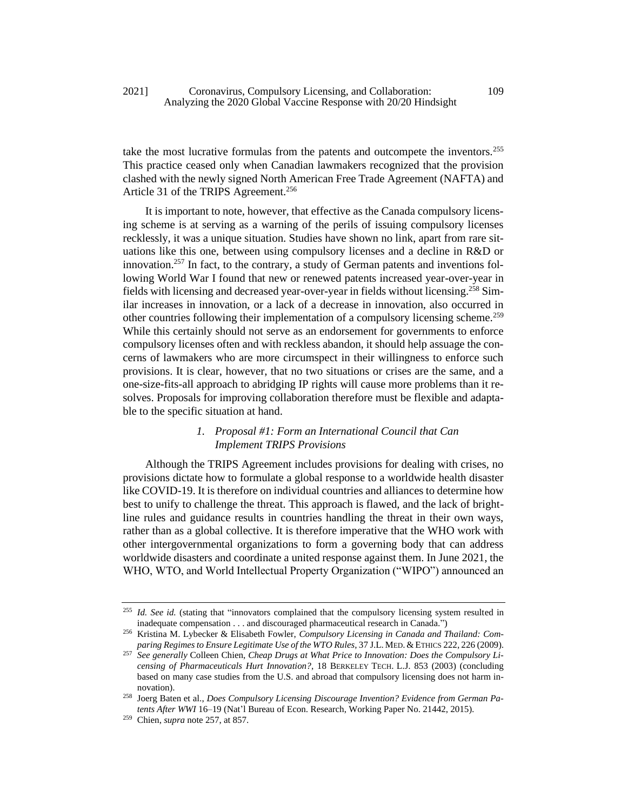take the most lucrative formulas from the patents and outcompete the inventors.<sup>255</sup> This practice ceased only when Canadian lawmakers recognized that the provision clashed with the newly signed North American Free Trade Agreement (NAFTA) and Article 31 of the TRIPS Agreement.<sup>256</sup>

<span id="page-35-0"></span>It is important to note, however, that effective as the Canada compulsory licensing scheme is at serving as a warning of the perils of issuing compulsory licenses recklessly, it was a unique situation. Studies have shown no link, apart from rare situations like this one, between using compulsory licenses and a decline in R&D or innovation.<sup>257</sup> In fact, to the contrary, a study of German patents and inventions following World War I found that new or renewed patents increased year-over-year in fields with licensing and decreased year-over-year in fields without licensing.<sup>258</sup> Similar increases in innovation, or a lack of a decrease in innovation, also occurred in other countries following their implementation of a compulsory licensing scheme.<sup>259</sup> While this certainly should not serve as an endorsement for governments to enforce compulsory licenses often and with reckless abandon, it should help assuage the concerns of lawmakers who are more circumspect in their willingness to enforce such provisions. It is clear, however, that no two situations or crises are the same, and a one-size-fits-all approach to abridging IP rights will cause more problems than it resolves. Proposals for improving collaboration therefore must be flexible and adaptable to the specific situation at hand.

## *1. Proposal #1: Form an International Council that Can Implement TRIPS Provisions*

Although the TRIPS Agreement includes provisions for dealing with crises, no provisions dictate how to formulate a global response to a worldwide health disaster like COVID-19. It is therefore on individual countries and alliances to determine how best to unify to challenge the threat. This approach is flawed, and the lack of brightline rules and guidance results in countries handling the threat in their own ways, rather than as a global collective. It is therefore imperative that the WHO work with other intergovernmental organizations to form a governing body that can address worldwide disasters and coordinate a united response against them. In June 2021, the WHO, WTO, and World Intellectual Property Organization ("WIPO") announced an

<sup>&</sup>lt;sup>255</sup> Id. See id. (stating that "innovators complained that the compulsory licensing system resulted in inadequate compensation . . . and discouraged pharmaceutical research in Canada.")

<sup>256</sup> Kristina M. Lybecker & Elisabeth Fowler, *Compulsory Licensing in Canada and Thailand: Com*paring Regimes to Ensure Legitimate Use of the WTO Rules, 37 J.L. MED. & ETHICS 222, 226 (2009).

<sup>257</sup> *See generally* Colleen Chien, *Cheap Drugs at What Price to Innovation: Does the Compulsory Licensing of Pharmaceuticals Hurt Innovation?*, 18 BERKELEY TECH. L.J. 853 (2003) (concluding based on many case studies from the U.S. and abroad that compulsory licensing does not harm innovation).

<sup>258</sup> Joerg Baten et al., *Does Compulsory Licensing Discourage Invention? Evidence from German Patents After WWI* 16–19 (Nat'l Bureau of Econ. Research, Working Paper No. 21442, 2015).

<sup>259</sup> Chien, *supra* not[e 257,](#page-35-0) at 857.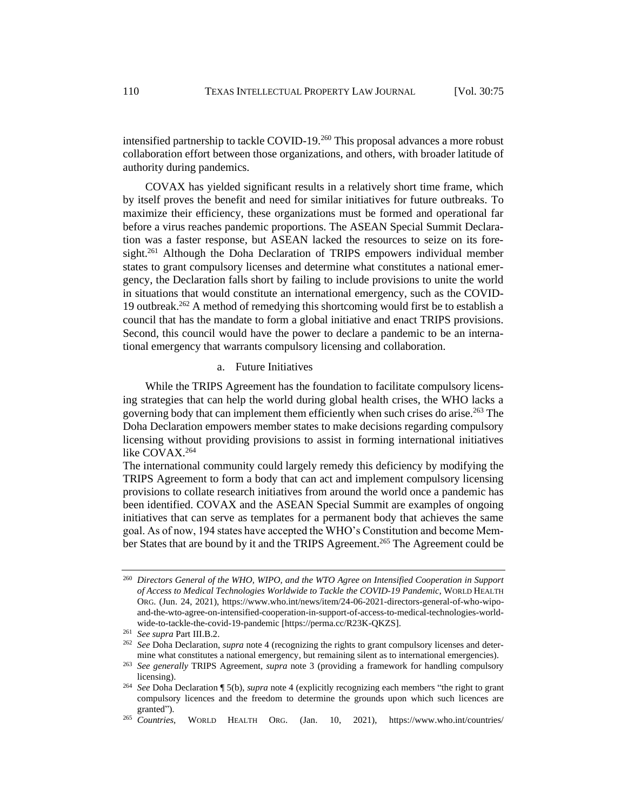intensified partnership to tackle COVID-19.<sup>260</sup> This proposal advances a more robust collaboration effort between those organizations, and others, with broader latitude of authority during pandemics.

COVAX has yielded significant results in a relatively short time frame, which by itself proves the benefit and need for similar initiatives for future outbreaks. To maximize their efficiency, these organizations must be formed and operational far before a virus reaches pandemic proportions. The ASEAN Special Summit Declaration was a faster response, but ASEAN lacked the resources to seize on its foresight.<sup>261</sup> Although the Doha Declaration of TRIPS empowers individual member states to grant compulsory licenses and determine what constitutes a national emergency, the Declaration falls short by failing to include provisions to unite the world in situations that would constitute an international emergency, such as the COVID-19 outbreak.<sup>262</sup> A method of remedying this shortcoming would first be to establish a council that has the mandate to form a global initiative and enact TRIPS provisions. Second, this council would have the power to declare a pandemic to be an international emergency that warrants compulsory licensing and collaboration.

#### a. Future Initiatives

While the TRIPS Agreement has the foundation to facilitate compulsory licensing strategies that can help the world during global health crises, the WHO lacks a governing body that can implement them efficiently when such crises do arise.<sup>263</sup> The Doha Declaration empowers member states to make decisions regarding compulsory licensing without providing provisions to assist in forming international initiatives like COVAX.<sup>264</sup>

The international community could largely remedy this deficiency by modifying the TRIPS Agreement to form a body that can act and implement compulsory licensing provisions to collate research initiatives from around the world once a pandemic has been identified. COVAX and the ASEAN Special Summit are examples of ongoing initiatives that can serve as templates for a permanent body that achieves the same goal. As of now, 194 states have accepted the WHO's Constitution and become Member States that are bound by it and the TRIPS Agreement.<sup>265</sup> The Agreement could be

<sup>260</sup> *Directors General of the WHO, WIPO, and the WTO Agree on Intensified Cooperation in Support of Access to Medical Technologies Worldwide to Tackle the COVID-19 Pandemic*, WORLD HEALTH ORG. (Jun. 24, 2021), https://www.who.int/news/item/24-06-2021-directors-general-of-who-wipoand-the-wto-agree-on-intensified-cooperation-in-support-of-access-to-medical-technologies-worldwide-to-tackle-the-covid-19-pandemic [https://perma.cc/R23K-QKZS].

<sup>261</sup> *See supra* Part III.B.2.

<sup>262</sup> *See* Doha Declaration, *supra* not[e 4](#page-3-2) (recognizing the rights to grant compulsory licenses and determine what constitutes a national emergency, but remaining silent as to international emergencies).

<sup>263</sup> *See generally* TRIPS Agreement, *supra* note [3](#page-3-1) (providing a framework for handling compulsory licensing).

<sup>264</sup> *See* Doha Declaration ¶ 5(b), *supra* note [4](#page-3-2) (explicitly recognizing each members "the right to grant compulsory licences and the freedom to determine the grounds upon which such licences are granted").<br><sup>265</sup> Countries,

<sup>265</sup> *Countries*, WORLD HEALTH ORG. (Jan. 10, 2021), https://www.who.int/countries/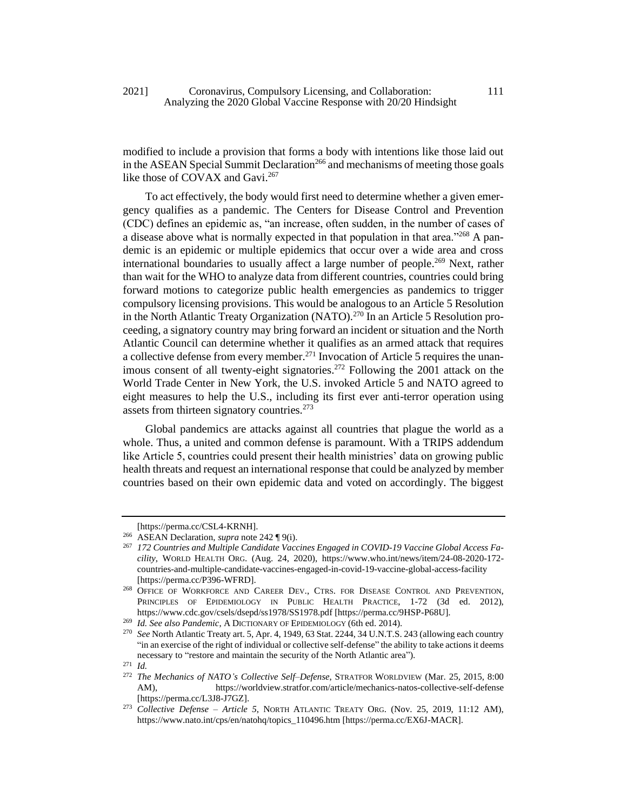modified to include a provision that forms a body with intentions like those laid out in the ASEAN Special Summit Declaration<sup>266</sup> and mechanisms of meeting those goals like those of COVAX and Gavi.<sup>267</sup>

To act effectively, the body would first need to determine whether a given emergency qualifies as a pandemic. The Centers for Disease Control and Prevention (CDC) defines an epidemic as, "an increase, often sudden, in the number of cases of a disease above what is normally expected in that population in that area."<sup>268</sup> A pandemic is an epidemic or multiple epidemics that occur over a wide area and cross international boundaries to usually affect a large number of people.<sup>269</sup> Next, rather than wait for the WHO to analyze data from different countries, countries could bring forward motions to categorize public health emergencies as pandemics to trigger compulsory licensing provisions. This would be analogous to an Article 5 Resolution in the North Atlantic Treaty Organization (NATO).<sup>270</sup> In an Article 5 Resolution proceeding, a signatory country may bring forward an incident or situation and the North Atlantic Council can determine whether it qualifies as an armed attack that requires a collective defense from every member.<sup>271</sup> Invocation of Article 5 requires the unanimous consent of all twenty-eight signatories.<sup>272</sup> Following the  $2001$  attack on the World Trade Center in New York, the U.S. invoked Article 5 and NATO agreed to eight measures to help the U.S., including its first ever anti-terror operation using assets from thirteen signatory countries.<sup>273</sup>

Global pandemics are attacks against all countries that plague the world as a whole. Thus, a united and common defense is paramount. With a TRIPS addendum like Article 5, countries could present their health ministries' data on growing public health threats and request an international response that could be analyzed by member countries based on their own epidemic data and voted on accordingly. The biggest

<sup>[</sup>https://perma.cc/CSL4-KRNH].

<sup>266</sup> ASEAN Declaration, *supra* not[e 242](#page-32-0) ¶ 9(i).

<sup>267</sup> *172 Countries and Multiple Candidate Vaccines Engaged in COVID-19 Vaccine Global Access Facility*, WORLD HEALTH ORG. (Aug. 24, 2020), https://www.who.int/news/item/24-08-2020-172 countries-and-multiple-candidate-vaccines-engaged-in-covid-19-vaccine-global-access-facility [https://perma.cc/P396-WFRD].

<sup>&</sup>lt;sup>268</sup> OFFICE OF WORKFORCE AND CAREER DEV., CTRS. FOR DISEASE CONTROL AND PREVENTION, PRINCIPLES OF EPIDEMIOLOGY IN PUBLIC HEALTH PRACTICE, 1-72 (3d ed. 2012), https://www.cdc.gov/csels/dsepd/ss1978/SS1978.pdf [https://perma.cc/9HSP-P68U].

<sup>269</sup> *Id. See also Pandemic*, A DICTIONARY OF EPIDEMIOLOGY (6th ed. 2014).

<sup>270</sup> *See* North Atlantic Treaty art. 5, Apr. 4, 1949, 63 Stat. 2244, 34 U.N.T.S. 243 (allowing each country "in an exercise of the right of individual or collective self-defense" the ability to take actions it deems necessary to "restore and maintain the security of the North Atlantic area").

<sup>271</sup> *Id.* 

<sup>272</sup> *The Mechanics of NATO's Collective Self–Defense*, STRATFOR WORLDVIEW (Mar. 25, 2015, 8:00 AM), https://worldview.stratfor.com/article/mechanics-natos-collective-self-defense [https://perma.cc/L3J8-J7GZ].

<sup>273</sup> *Collective Defense – Article 5*, NORTH ATLANTIC TREATY ORG. (Nov. 25, 2019, 11:12 AM), https://www.nato.int/cps/en/natohq/topics\_110496.htm [https://perma.cc/EX6J-MACR].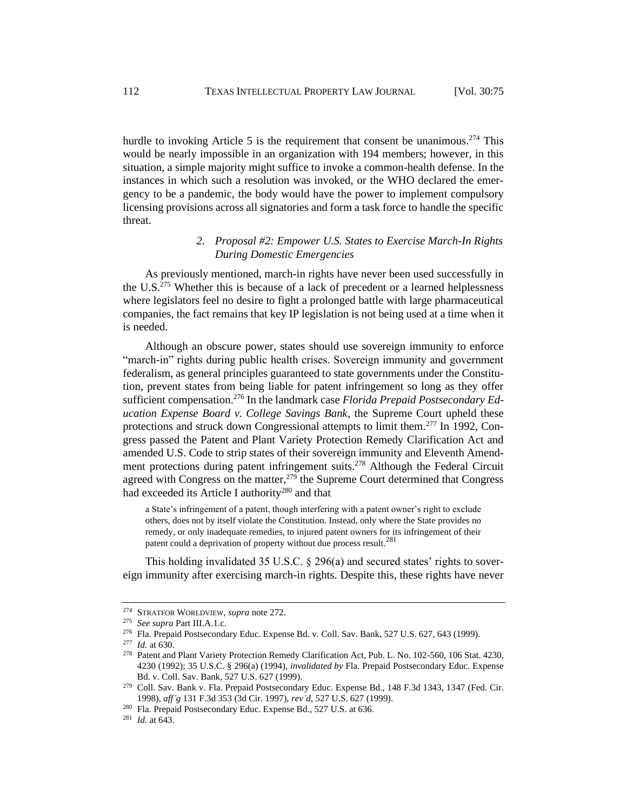hurdle to invoking Article 5 is the requirement that consent be unanimous.<sup>274</sup> This would be nearly impossible in an organization with 194 members; however, in this situation, a simple majority might suffice to invoke a common-health defense. In the instances in which such a resolution was invoked, or the WHO declared the emergency to be a pandemic, the body would have the power to implement compulsory licensing provisions across all signatories and form a task force to handle the specific threat.

# *2. Proposal #2: Empower U.S. States to Exercise March-In Rights During Domestic Emergencies*

As previously mentioned, march-in rights have never been used successfully in the U.S.<sup>275</sup> Whether this is because of a lack of precedent or a learned helplessness where legislators feel no desire to fight a prolonged battle with large pharmaceutical companies, the fact remains that key IP legislation is not being used at a time when it is needed.

Although an obscure power, states should use sovereign immunity to enforce "march-in" rights during public health crises. Sovereign immunity and government federalism, as general principles guaranteed to state governments under the Constitution, prevent states from being liable for patent infringement so long as they offer sufficient compensation.<sup>276</sup> In the landmark case *Florida Prepaid Postsecondary Education Expense Board v. College Savings Bank*, the Supreme Court upheld these protections and struck down Congressional attempts to limit them.<sup>277</sup> In 1992, Congress passed the Patent and Plant Variety Protection Remedy Clarification Act and amended U.S. Code to strip states of their sovereign immunity and Eleventh Amendment protections during patent infringement suits.<sup>278</sup> Although the Federal Circuit agreed with Congress on the matter,  $279$  the Supreme Court determined that Congress had exceeded its Article I authority<sup>280</sup> and that

a State's infringement of a patent, though interfering with a patent owner's right to exclude others, does not by itself violate the Constitution. Instead, only where the State provides no remedy, or only inadequate remedies, to injured patent owners for its infringement of their patent could a deprivation of property without due process result.<sup>281</sup>

This holding invalidated 35 U.S.C. § 296(a) and secured states' rights to sovereign immunity after exercising march-in rights. Despite this, these rights have never

<sup>274</sup> STRATFOR WORLDVIEW, *supra* note 272.

<sup>275</sup> *See supra* Part III.A.1.c.

<sup>276</sup> Fla. Prepaid Postsecondary Educ. Expense Bd. v. Coll. Sav. Bank, 527 U.S. 627, 643 (1999).

<sup>277</sup> *Id.* at 630.

<sup>278</sup> Patent and Plant Variety Protection Remedy Clarification Act, Pub. L. No. 102-560, 106 Stat. 4230, 4230 (1992); 35 U.S.C. § 296(a) (1994), *invalidated by* Fla. Prepaid Postsecondary Educ. Expense Bd. v. Coll. Sav. Bank, 527 U.S. 627 (1999).

<sup>279</sup> Coll. Sav. Bank v. Fla. Prepaid Postsecondary Educ. Expense Bd., 148 F.3d 1343, 1347 (Fed. Cir. 1998), *aff'g* 131 F.3d 353 (3d Cir. 1997), *rev'd*, 527 U.S. 627 (1999).

<sup>280</sup> Fla. Prepaid Postsecondary Educ. Expense Bd., 527 U.S. at 636.

<sup>281</sup> *Id.* at 643.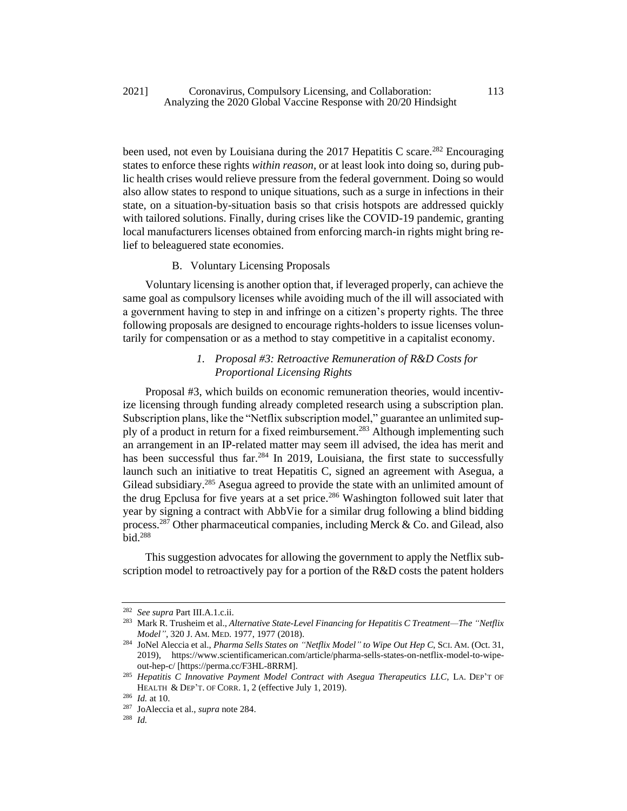been used, not even by Louisiana during the  $2017$  Hepatitis C scare.<sup>282</sup> Encouraging states to enforce these rights *within reason*, or at least look into doing so, during public health crises would relieve pressure from the federal government. Doing so would also allow states to respond to unique situations, such as a surge in infections in their state, on a situation-by-situation basis so that crisis hotspots are addressed quickly with tailored solutions. Finally, during crises like the COVID-19 pandemic, granting local manufacturers licenses obtained from enforcing march-in rights might bring relief to beleaguered state economies.

## B. Voluntary Licensing Proposals

Voluntary licensing is another option that, if leveraged properly, can achieve the same goal as compulsory licenses while avoiding much of the ill will associated with a government having to step in and infringe on a citizen's property rights. The three following proposals are designed to encourage rights-holders to issue licenses voluntarily for compensation or as a method to stay competitive in a capitalist economy.

# *1. Proposal #3: Retroactive Remuneration of R&D Costs for Proportional Licensing Rights*

Proposal #3, which builds on economic remuneration theories, would incentivize licensing through funding already completed research using a subscription plan. Subscription plans, like the "Netflix subscription model," guarantee an unlimited supply of a product in return for a fixed reimbursement.<sup>283</sup> Although implementing such an arrangement in an IP-related matter may seem ill advised, the idea has merit and has been successful thus far.<sup>284</sup> In 2019, Louisiana, the first state to successfully launch such an initiative to treat Hepatitis C, signed an agreement with Asegua, a Gilead subsidiary.<sup>285</sup> Asegua agreed to provide the state with an unlimited amount of the drug Epclusa for five years at a set price.<sup>286</sup> Washington followed suit later that year by signing a contract with AbbVie for a similar drug following a blind bidding process.<sup>287</sup> Other pharmaceutical companies, including Merck & Co. and Gilead, also  $\overline{\text{bid}}$ <sup>288</sup>

This suggestion advocates for allowing the government to apply the Netflix subscription model to retroactively pay for a portion of the R&D costs the patent holders

<sup>282</sup> *See supra* Part III.A.1.c.ii.

<sup>283</sup> Mark R. Trusheim et al., *Alternative State-Level Financing for Hepatitis C Treatment—The "Netflix Model"*, 320 J. AM. MED. 1977, 1977 (2018).

<sup>284</sup> JoNel Aleccia et al., *Pharma Sells States on "Netflix Model" to Wipe Out Hep C*, SCI. AM. (Oct. 31, 2019), https://www.scientificamerican.com/article/pharma-sells-states-on-netflix-model-to-wipeout-hep-c/ [https://perma.cc/F3HL-8RRM].

<sup>&</sup>lt;sup>285</sup> Hepatitis C Innovative Payment Model Contract with Asegua Therapeutics LLC, LA. DEP'T OF HEALTH & DEP'T. OF CORR. 1, 2 (effective July 1, 2019).

<sup>286</sup> *Id.* at 10.

<sup>287</sup> JoAleccia et al., *supra* note 284.

<sup>288</sup> *Id.*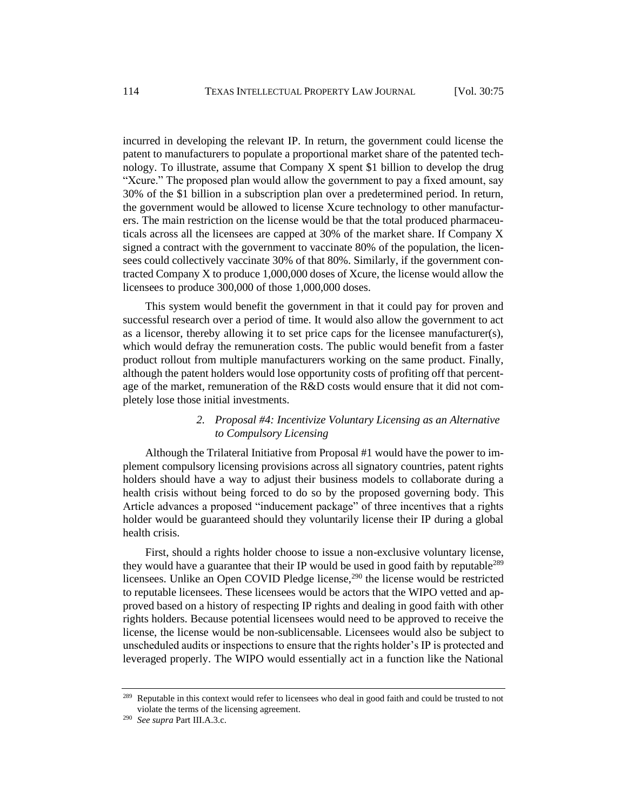incurred in developing the relevant IP. In return, the government could license the patent to manufacturers to populate a proportional market share of the patented technology. To illustrate, assume that Company X spent \$1 billion to develop the drug "Xcure." The proposed plan would allow the government to pay a fixed amount, say 30% of the \$1 billion in a subscription plan over a predetermined period. In return, the government would be allowed to license Xcure technology to other manufacturers. The main restriction on the license would be that the total produced pharmaceuticals across all the licensees are capped at 30% of the market share. If Company X signed a contract with the government to vaccinate 80% of the population, the licensees could collectively vaccinate 30% of that 80%. Similarly, if the government contracted Company X to produce 1,000,000 doses of Xcure, the license would allow the licensees to produce 300,000 of those 1,000,000 doses.

This system would benefit the government in that it could pay for proven and successful research over a period of time. It would also allow the government to act as a licensor, thereby allowing it to set price caps for the licensee manufacturer(s), which would defray the remuneration costs. The public would benefit from a faster product rollout from multiple manufacturers working on the same product. Finally, although the patent holders would lose opportunity costs of profiting off that percentage of the market, remuneration of the R&D costs would ensure that it did not completely lose those initial investments.

## *2. Proposal #4: Incentivize Voluntary Licensing as an Alternative to Compulsory Licensing*

Although the Trilateral Initiative from Proposal #1 would have the power to implement compulsory licensing provisions across all signatory countries, patent rights holders should have a way to adjust their business models to collaborate during a health crisis without being forced to do so by the proposed governing body. This Article advances a proposed "inducement package" of three incentives that a rights holder would be guaranteed should they voluntarily license their IP during a global health crisis.

First, should a rights holder choose to issue a non-exclusive voluntary license, they would have a guarantee that their IP would be used in good faith by reputable<sup>289</sup> licensees. Unlike an Open COVID Pledge license,<sup>290</sup> the license would be restricted to reputable licensees. These licensees would be actors that the WIPO vetted and approved based on a history of respecting IP rights and dealing in good faith with other rights holders. Because potential licensees would need to be approved to receive the license, the license would be non-sublicensable. Licensees would also be subject to unscheduled audits or inspections to ensure that the rights holder's IP is protected and leveraged properly. The WIPO would essentially act in a function like the National

<sup>&</sup>lt;sup>289</sup> Reputable in this context would refer to licensees who deal in good faith and could be trusted to not violate the terms of the licensing agreement.

<sup>290</sup> *See supra* Part III.A.3.c.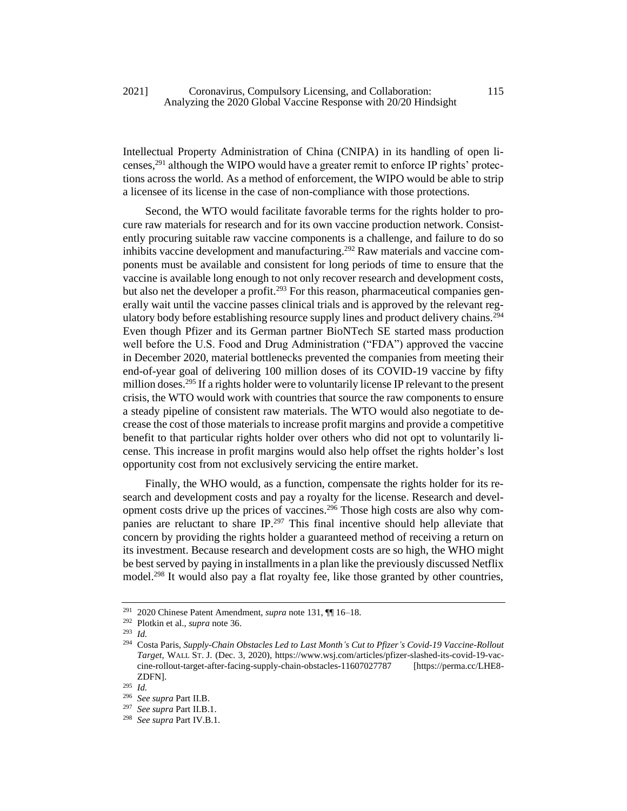Intellectual Property Administration of China (CNIPA) in its handling of open licenses,<sup>291</sup> although the WIPO would have a greater remit to enforce IP rights' protections across the world. As a method of enforcement, the WIPO would be able to strip a licensee of its license in the case of non-compliance with those protections.

Second, the WTO would facilitate favorable terms for the rights holder to procure raw materials for research and for its own vaccine production network. Consistently procuring suitable raw vaccine components is a challenge, and failure to do so inhibits vaccine development and manufacturing.<sup>292</sup> Raw materials and vaccine components must be available and consistent for long periods of time to ensure that the vaccine is available long enough to not only recover research and development costs, but also net the developer a profit.<sup>293</sup> For this reason, pharmaceutical companies generally wait until the vaccine passes clinical trials and is approved by the relevant regulatory body before establishing resource supply lines and product delivery chains.<sup>294</sup> Even though Pfizer and its German partner BioNTech SE started mass production well before the U.S. Food and Drug Administration ("FDA") approved the vaccine in December 2020, material bottlenecks prevented the companies from meeting their end-of-year goal of delivering 100 million doses of its COVID-19 vaccine by fifty million doses.<sup>295</sup> If a rights holder were to voluntarily license IP relevant to the present crisis, the WTO would work with countries that source the raw components to ensure a steady pipeline of consistent raw materials. The WTO would also negotiate to decrease the cost of those materials to increase profit margins and provide a competitive benefit to that particular rights holder over others who did not opt to voluntarily license. This increase in profit margins would also help offset the rights holder's lost opportunity cost from not exclusively servicing the entire market.

Finally, the WHO would, as a function, compensate the rights holder for its research and development costs and pay a royalty for the license. Research and development costs drive up the prices of vaccines.<sup>296</sup> Those high costs are also why companies are reluctant to share IP.<sup>297</sup> This final incentive should help alleviate that concern by providing the rights holder a guaranteed method of receiving a return on its investment. Because research and development costs are so high, the WHO might be best served by paying in installments in a plan like the previously discussed Netflix model.<sup>298</sup> It would also pay a flat royalty fee, like those granted by other countries,

<sup>291</sup> 2020 Chinese Patent Amendment, *supra* not[e 131,](#page-20-1) ¶¶ 16–18.

<sup>292</sup> Plotkin et al., *supra* not[e 36.](#page-8-0)

<sup>293</sup> *Id.* 

<sup>294</sup> Costa Paris, *Supply-Chain Obstacles Led to Last Month's Cut to Pfizer's Covid-19 Vaccine-Rollout Target*, WALL ST. J. (Dec. 3, 2020), https://www.wsj.com/articles/pfizer-slashed-its-covid-19-vaccine-rollout-target-after-facing-supply-chain-obstacles-11607027787 [https://perma.cc/LHE8- ZDFN].

<sup>295</sup> *Id.* 

<sup>296</sup> *See supra* Part II.B.

<sup>297</sup> *See supra* Part II.B.1.

<sup>298</sup> *See supra* Part IV.B.1.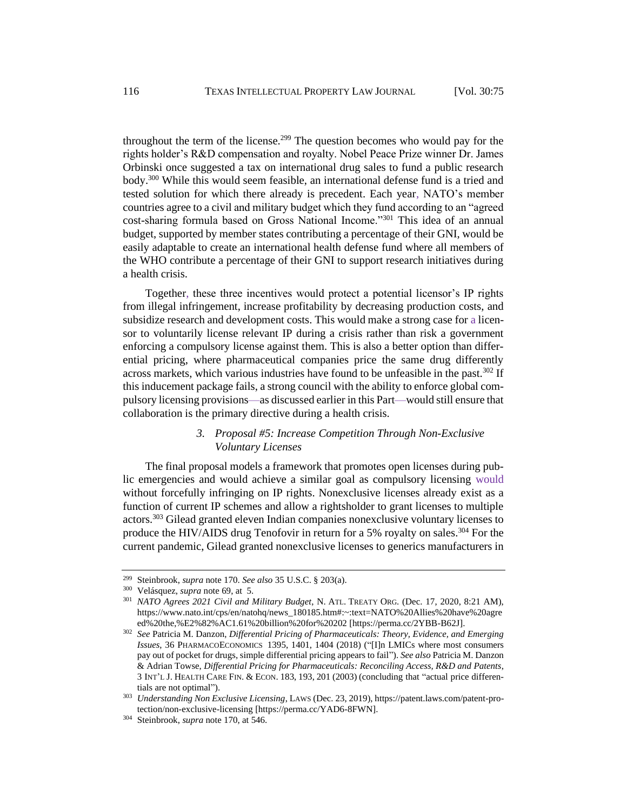throughout the term of the license.<sup>299</sup> The question becomes who would pay for the rights holder's R&D compensation and royalty. Nobel Peace Prize winner Dr. James Orbinski once suggested a tax on international drug sales to fund a public research body.<sup>300</sup> While this would seem feasible, an international defense fund is a tried and tested solution for which there already is precedent. Each year, NATO's member countries agree to a civil and military budget which they fund according to an "agreed cost-sharing formula based on Gross National Income."<sup>301</sup> This idea of an annual budget, supported by member states contributing a percentage of their GNI, would be easily adaptable to create an international health defense fund where all members of the WHO contribute a percentage of their GNI to support research initiatives during a health crisis.

Together, these three incentives would protect a potential licensor's IP rights from illegal infringement, increase profitability by decreasing production costs, and subsidize research and development costs. This would make a strong case for a licensor to voluntarily license relevant IP during a crisis rather than risk a government enforcing a compulsory license against them. This is also a better option than differential pricing, where pharmaceutical companies price the same drug differently across markets, which various industries have found to be unfeasible in the past.<sup>302</sup> If this inducement package fails, a strong council with the ability to enforce global compulsory licensing provisions—as discussed earlier in this Part—would still ensure that collaboration is the primary directive during a health crisis.

# *3. Proposal #5: Increase Competition Through Non-Exclusive Voluntary Licenses*

The final proposal models a framework that promotes open licenses during public emergencies and would achieve a similar goal as compulsory licensing would without forcefully infringing on IP rights. Nonexclusive licenses already exist as a function of current IP schemes and allow a rightsholder to grant licenses to multiple actors.<sup>303</sup> Gilead granted eleven Indian companies nonexclusive voluntary licenses to produce the HIV/AIDS drug Tenofovir in return for a 5% royalty on sales.<sup>304</sup> For the current pandemic, Gilead granted nonexclusive licenses to generics manufacturers in

<sup>299</sup> Steinbrook, *supra* note 170. *See also* 35 U.S.C. § 203(a).

<sup>300</sup> Velásquez, *supra* not[e 69,](#page-12-0) at 5.

<sup>301</sup> *NATO Agrees 2021 Civil and Military Budget*, N. ATL. TREATY ORG. (Dec. 17, 2020, 8:21 AM), https://www.nato.int/cps/en/natohq/news\_180185.htm#:~:text=NATO%20Allies%20have%20agre ed%20the,%E2%82%AC1.61%20billion%20for%20202 [https://perma.cc/2YBB-B62J].

<sup>302</sup> *See* Patricia M. Danzon, *Differential Pricing of Pharmaceuticals: Theory, Evidence, and Emerging Issues*, 36 PHARMACOECONOMICS 1395, 1401, 1404 (2018) ("[I]n LMICs where most consumers pay out of pocket for drugs, simple differential pricing appears to fail"). *See also* Patricia M. Danzon & Adrian Towse, *Differential Pricing for Pharmaceuticals: Reconciling Access, R&D and Patents*, 3 INT'L J. HEALTH CARE FIN. & ECON. 183, 193, 201 (2003) (concluding that "actual price differentials are not optimal").

<sup>303</sup> *Understanding Non Exclusive Licensing*, LAWS (Dec. 23, 2019), https://patent.laws.com/patent-protection/non-exclusive-licensing [https://perma.cc/YAD6-8FWN].

<sup>304</sup> Steinbrook, *supra* note 170, at 546.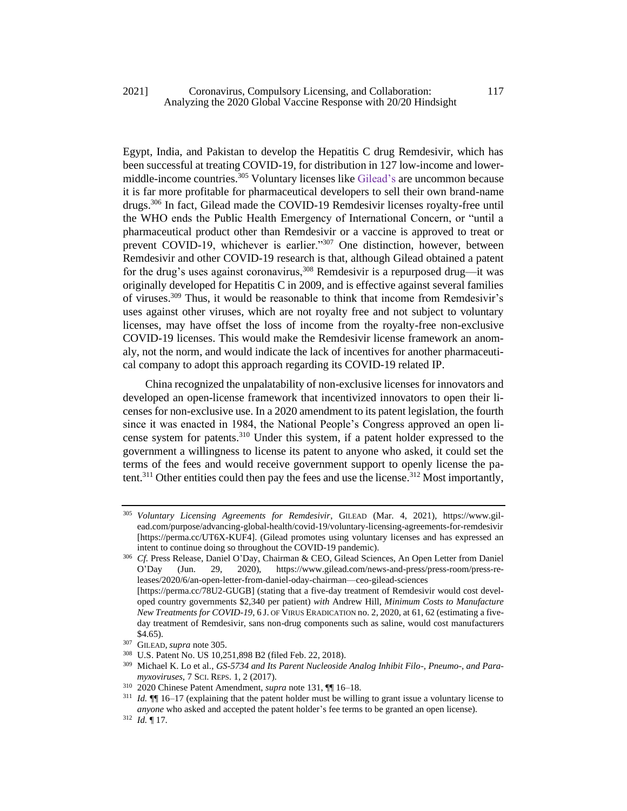## 2021] Coronavirus, Compulsory Licensing, and Collaboration: 117 Analyzing the 2020 Global Vaccine Response with 20/20 Hindsight

Egypt, India, and Pakistan to develop the Hepatitis C drug Remdesivir, which has been successful at treating COVID-19, for distribution in 127 low-income and lowermiddle-income countries.<sup>305</sup> Voluntary licenses like Gilead's are uncommon because it is far more profitable for pharmaceutical developers to sell their own brand-name drugs.<sup>306</sup> In fact, Gilead made the COVID-19 Remdesivir licenses royalty-free until the WHO ends the Public Health Emergency of International Concern, or "until a pharmaceutical product other than Remdesivir or a vaccine is approved to treat or prevent COVID-19, whichever is earlier."<sup>307</sup> One distinction, however, between Remdesivir and other COVID-19 research is that, although Gilead obtained a patent for the drug's uses against coronavirus,  $308$  Remdesivir is a repurposed drug—it was originally developed for Hepatitis C in 2009, and is effective against several families of viruses.<sup>309</sup> Thus, it would be reasonable to think that income from Remdesivir's uses against other viruses, which are not royalty free and not subject to voluntary licenses, may have offset the loss of income from the royalty-free non-exclusive COVID-19 licenses. This would make the Remdesivir license framework an anomaly, not the norm, and would indicate the lack of incentives for another pharmaceutical company to adopt this approach regarding its COVID-19 related IP.

China recognized the unpalatability of non-exclusive licenses for innovators and developed an open-license framework that incentivized innovators to open their licenses for non-exclusive use. In a 2020 amendment to its patent legislation, the fourth since it was enacted in 1984, the National People's Congress approved an open license system for patents.<sup>310</sup> Under this system, if a patent holder expressed to the government a willingness to license its patent to anyone who asked, it could set the terms of the fees and would receive government support to openly license the patent.<sup>311</sup> Other entities could then pay the fees and use the license.<sup>312</sup> Most importantly,

<sup>305</sup> *Voluntary Licensing Agreements for Remdesivir*, GILEAD (Mar. 4, 2021), https://www.gilead.com/purpose/advancing-global-health/covid-19/voluntary-licensing-agreements-for-remdesivir [https://perma.cc/UT6X-KUF4]. (Gilead promotes using voluntary licenses and has expressed an intent to continue doing so throughout the COVID-19 pandemic).

<sup>306</sup> *Cf.* Press Release, Daniel O'Day, Chairman & CEO, Gilead Sciences, An Open Letter from Daniel O'Day (Jun. 29, 2020), https://www.gilead.com/news-and-press/press-room/press-releases/2020/6/an-open-letter-from-daniel-oday-chairman—ceo-gilead-sciences [https://perma.cc/78U2-GUGB] (stating that a five-day treatment of Remdesivir would cost developed country governments \$2,340 per patient) *with* Andrew Hill, *Minimum Costs to Manufacture New Treatments for COVID-19*, 6 J. OF VIRUS ERADICATION no. 2, 2020, at 61, 62 (estimating a fiveday treatment of Remdesivir, sans non-drug components such as saline, would cost manufacturers \$4.65).

<sup>307</sup> GILEAD, *supra* note 305.

<sup>308</sup> U.S. Patent No. US 10,251,898 B2 (filed Feb. 22, 2018).

<sup>309</sup> Michael K. Lo et al., *GS-5734 and Its Parent Nucleoside Analog Inhibit Filo-, Pneumo-, and Paramyxoviruses*, 7 SCI. REPS. 1, 2 (2017).

<sup>310</sup> 2020 Chinese Patent Amendment, *supra* not[e 131,](#page-20-1) ¶¶ 16–18.

<sup>311</sup> *Id.* ¶¶ 16–17 (explaining that the patent holder must be willing to grant issue a voluntary license to *anyone* who asked and accepted the patent holder's fee terms to be granted an open license).

<sup>312</sup> *Id.* ¶ 17.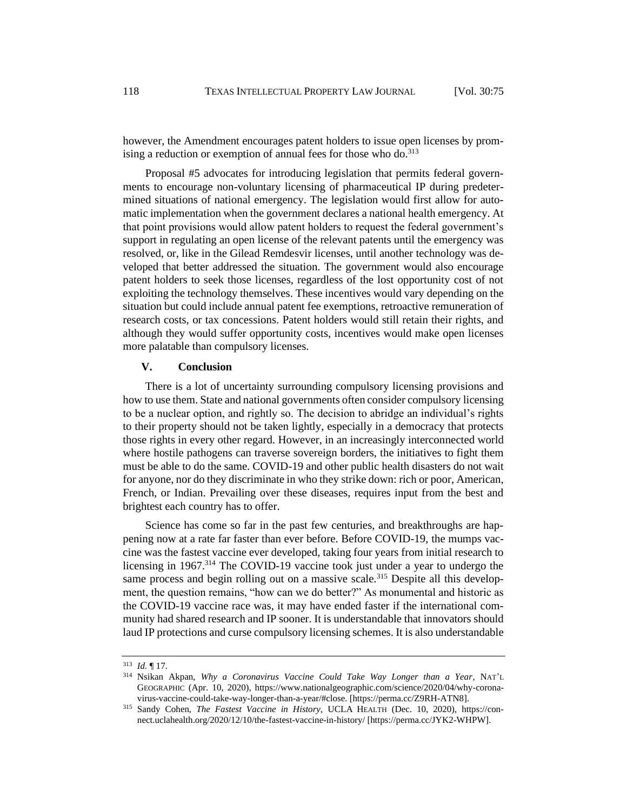however, the Amendment encourages patent holders to issue open licenses by promising a reduction or exemption of annual fees for those who do. $313$ 

Proposal #5 advocates for introducing legislation that permits federal governments to encourage non-voluntary licensing of pharmaceutical IP during predetermined situations of national emergency. The legislation would first allow for automatic implementation when the government declares a national health emergency. At that point provisions would allow patent holders to request the federal government's support in regulating an open license of the relevant patents until the emergency was resolved, or, like in the Gilead Remdesvir licenses, until another technology was developed that better addressed the situation. The government would also encourage patent holders to seek those licenses, regardless of the lost opportunity cost of not exploiting the technology themselves. These incentives would vary depending on the situation but could include annual patent fee exemptions, retroactive remuneration of research costs, or tax concessions. Patent holders would still retain their rights, and although they would suffer opportunity costs, incentives would make open licenses more palatable than compulsory licenses.

#### **V. Conclusion**

There is a lot of uncertainty surrounding compulsory licensing provisions and how to use them. State and national governments often consider compulsory licensing to be a nuclear option, and rightly so. The decision to abridge an individual's rights to their property should not be taken lightly, especially in a democracy that protects those rights in every other regard. However, in an increasingly interconnected world where hostile pathogens can traverse sovereign borders, the initiatives to fight them must be able to do the same. COVID-19 and other public health disasters do not wait for anyone, nor do they discriminate in who they strike down: rich or poor, American, French, or Indian. Prevailing over these diseases, requires input from the best and brightest each country has to offer.

Science has come so far in the past few centuries, and breakthroughs are happening now at a rate far faster than ever before. Before COVID-19, the mumps vaccine was the fastest vaccine ever developed, taking four years from initial research to licensing in 1967.<sup>314</sup> The COVID-19 vaccine took just under a year to undergo the same process and begin rolling out on a massive scale.<sup>315</sup> Despite all this development, the question remains, "how can we do better?" As monumental and historic as the COVID-19 vaccine race was, it may have ended faster if the international community had shared research and IP sooner. It is understandable that innovators should laud IP protections and curse compulsory licensing schemes. It is also understandable

<sup>313</sup> *Id.* ¶ 17.

<sup>314</sup> Nsikan Akpan, *Why a Coronavirus Vaccine Could Take Way Longer than a Year*, NAT'L GEOGRAPHIC (Apr. 10, 2020), https://www.nationalgeographic.com/science/2020/04/why-coronavirus-vaccine-could-take-way-longer-than-a-year/#close. [https://perma.cc/Z9RH-ATN8].

<sup>315</sup> Sandy Cohen, *The Fastest Vaccine in History*, UCLA HEALTH (Dec. 10, 2020), https://connect.uclahealth.org/2020/12/10/the-fastest-vaccine-in-history/ [https://perma.cc/JYK2-WHPW].